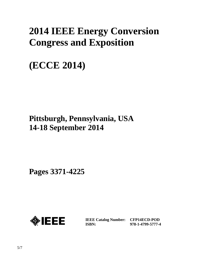# **2014 IEEE Energy Conversion Congress and Exposition**

# **(ECCE 2014)**

# **Pittsburgh, Pennsylvania, USA 14-18 September 2014**

**Pages 3371-4225**



**IEEE Catalog Number: CFP14ECD-POD ISBN:** 

**978-1-4799-5777-4**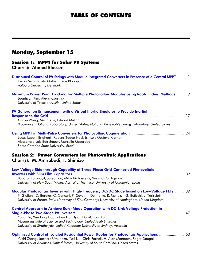# TABLE OF CONTENTS

## Monday, September 15

#### Session 1: MPPT for Solar PV Systems Chair(s): Ahmed Elasser

| Distributed Control of PV Strings with Module Integrated Converters in Presence of a Central MPPT  1<br>Dezso Sera, Laszlo Mathe, Frede Blaabjerg<br>Aalborg University, Denmark                                                                                                                       |
|--------------------------------------------------------------------------------------------------------------------------------------------------------------------------------------------------------------------------------------------------------------------------------------------------------|
| Maximum Power Point Tracking for Multiple Photovoltaic Modules using Root-Finding Methods  9<br>Joonhyun Kim, Alexis Kwasinski<br>University of Texas at Austin, United States                                                                                                                         |
| PV Generation Enhancement with a Virtual Inertia Emulator to Provide Inertial                                                                                                                                                                                                                          |
| Xiaoyu Wang, Meng Yue, Eduard Muljadi<br>Brookhaven National Laboratory, United States; National Renewable Energy Laboratory, United States                                                                                                                                                            |
| Lucas Lapolli Brighenti, Rubens Tadeu Hock Jr., Luis Gustavo Kremer,<br>Alessandro Luiz Batschauer, Marcello Mezaroba<br>Santa Catarina State University, Brazil                                                                                                                                       |
| <b>Session 2: Power Converters for Photovoltaic Applications</b><br>Chair(s): M. Amirabadi, T. Shimizu                                                                                                                                                                                                 |
| Low-Voltage Ride through Capability of Three-Phase Grid-Connected Photovoltaic<br>Baburaj Karanayil, Josep Pou, Mitra Mirhosseini, Vassilios G. Agelidis<br>University of New South Wales, Australia; Technical University of Catalonia, Spain                                                         |
| Modular Photovoltaic Inverter with High-Frequency DC/DC Stage based on Low-Voltage FETs  39<br>F. Giuliani, D. Barater, C. Concari, P. Cova, N. Delmonte, R. Menozzi, G. Buticchi, L. Tarisciotti<br>University of Parma, Italy; University of Kiel, Germany; University of Nottingham, United Kingdom |
| <b>Control Approach to Achieve Burst Mode Operation with DC-Link Voltage Protection in</b>                                                                                                                                                                                                             |
| Yang Du, Weidong Xiao, Yihua Hu, Dylan Dah-Chuan Lu                                                                                                                                                                                                                                                    |
| Masdar Institute of Science and Technology, United Arab Emirates;<br>University of Strathclyde, United Kingdom; University of Sydney, Australia                                                                                                                                                        |
| Optimized Control of Isolated Residential Power Router for Photovoltaic Applications  53<br>Yuzhi Zhang, Janviere Umuhoza, Yusi Liu, Chris Farnell, H. Alan Mantooth, Roger Dougal<br>University of Arkansas, United States; University of South Carolina, United States                               |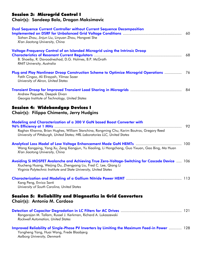#### Session 3: Microgrid Control I

#### Chair(s): Sandeep Bala, Dragan Maksimovic

| Dual Sequence Current Controller without Current Sequence Decomposition<br>Sizhan Zhou, Jinjun Liu, Linyuan Zhou, Hongwei She<br>Xi'an Jiaotong University, China                                                                                                               | 60 |
|---------------------------------------------------------------------------------------------------------------------------------------------------------------------------------------------------------------------------------------------------------------------------------|----|
| Voltage-Frequency Control of an Islanded Microgrid using the Intrinsic Droop<br>B. Shoeiby, R. Davoodnezhad, D.G. Holmes, B.P. McGrath<br>RMIT University, Australia                                                                                                            | 68 |
| Plug and Play Nonlinear Droop Construction Scheme to Optimize Microgrid Operations<br>Fatih Cingoz, Ali Elrayyah, Yilmaz Sozer<br>University of Akron, United States                                                                                                            | 76 |
| Andrew Paquette, Deepak Divan<br>Georgia Institute of Technology, United States                                                                                                                                                                                                 | 84 |
| <b>Session 4: Widebandgap Devices I</b><br>Chair(s): Filippo Chimento, Jerry Hudgins                                                                                                                                                                                            |    |
| Modeling and Characterization of a 300 V GaN based Boost Converter with<br>96% Efficiency at 1 MHz<br>Raghav Khanna, Brian Hughes, William Stanchina, Rongming Chu, Karim Boutros, Gregory Reed<br>University of Pittsburgh, United States; HRL Laboratories LLC, United States | 92 |
| Wang Kangping, Yang Xu, Zeng Xiangjun, Yu Xiaoling, Li Hongchang, Guo Yixuan, Gao Bing, Ma Huan<br>Xi'an Jiaotong University, China                                                                                                                                             |    |
| Avoiding Si MOSFET Avalanche and Achieving True Zero-Voltage-Switching for Cascode Device  106<br>Xiucheng Huang, Weijing Du, Zhengyang Liu, Fred C. Lee, Qiang Li<br>Virginia Polytechnic Institute and State University, United States                                        |    |
| Kang Peng, Enrico Santi<br>University of South Carolina, United States                                                                                                                                                                                                          |    |
| <b>Session 5: Reliability and Diagnostics in Grid Converters</b><br>Chair(s): Antonio M. Cardoso                                                                                                                                                                                |    |
| Rangarajan M. Tallam, Russel J. Kerkman, Richard A. Lukaszewski<br><b>Rockwell Automation, United States</b>                                                                                                                                                                    |    |
| Improved Reliability of Single-Phase PV Inverters by Limiting the Maximum Feed-in Power  128<br>Yongheng Yang, Huai Wang, Frede Blaabjerg                                                                                                                                       |    |

*Aalborg University, Denmark*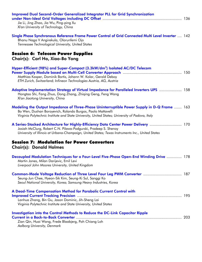| <b>Improved Dual Second-Order Generalized Integrator PLL for Grid Synchronization</b><br>Jie Li, Jing Zhao, Jia Wu, Ping-ping Xu<br>Xi'an University of Technology, China                                                                                     |  |
|---------------------------------------------------------------------------------------------------------------------------------------------------------------------------------------------------------------------------------------------------------------|--|
| Single Phase Synchronous Reference Frame Power Control of Grid Connected Multi Level Inverter  142<br>Bhanu Naga V Angirekula, Olorunfemi Ojo<br>Tennessee Technological University, United States                                                            |  |
| <b>Session 6: Telecom Power Supplies</b><br>Chair(s): Carl Ho, Xiao-Bo Yang                                                                                                                                                                                   |  |
| Hyper-Efficient (98%) and Super-Compact (3.3kW/dm <sup>3</sup> ) Isolated AC/DC Telecom<br>Matthias Kasper, Dominik Bortis, Johann W. Kolar, Gerald Deboy<br>ETH Zurich, Switzerland; Infineon Technologies Austria, AG, Austria                              |  |
| Adaptive Implementation Strategy of Virtual Impedance for Paralleled Inverters UPS  158<br>Hongtao Shi, Fang Zhuo, Dong Zhang, Zhiqing Geng, Feng Wang<br>Xi'an Jiaotong University, China                                                                    |  |
| Modeling the Output Impedance of Three-Phase Uninterruptible Power Supply in D-Q Frame  163<br>Bo Wen, Dushan Boroyevich, Rolando Burgos, Paolo Mattavelli<br>Virginia Polytechnic Institute and State University, United States; University of Padova, Italy |  |
| A Series-Stacked Architecture for Highly-Efficiency Data Center Power Delivery  170<br>Josiah McClurg, Robert C.N. Pilawa-Podgurski, Pradeep S. Shenoy<br>University of Illinois at Urbana-Champaign, United States; Texas Instruments Inc., United States    |  |
| <b>Session 7: Modulation for Power Converters</b><br><b>Chair(s): Donald Holmes</b>                                                                                                                                                                           |  |
| Decoupled Modulation Techniques for a Four-Level Five-Phase Open-End Winding Drive  178<br>Martin Jones, Milan Darijevic, Emil Levi<br>Liverpool John Moores University, United Kingdom                                                                       |  |
| Common-Mode Voltage Reduction of Three Level Four Leg PWM Converter  187<br>Seung-Jun Chee, Hyeon-Sik Kim, Seung-Ki Sul, Sanggi Ko<br>Seoul National University, Korea; Samsung Heavy Industries, Korea                                                       |  |
| A Dead-Time Compensation Method for Parabolic Current Control with<br>Lanhua Zhang, Bin Gu, Jason Dominic, Jih-Sheng Lai<br>Virginia Polytechnic Institute and State University, United States                                                                |  |
| <b>Investigation into the Control Methods to Reduce the DC-Link Capacitor Ripple</b><br>Zian Qin, Huai Wang, Frede Blaabjerg, Poh Chiang Loh<br>Aalborg University, Denmark                                                                                   |  |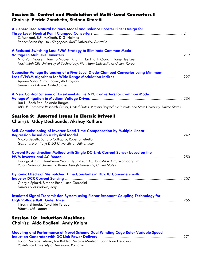#### Session 8: Control and Modulation of Multi-Level Converters I

Chair(s): Pericle Zanchetta, Stefano Bifaretti

| A Generalised Natural Balance Model and Balance Booster Filter Design for<br>Z. Mohzani, B.P. McGrath, D.G. Holmes<br>Robert Bosch Pty. Ltd., Singapore; RMIT University, Australia                                                                                                    |  |
|----------------------------------------------------------------------------------------------------------------------------------------------------------------------------------------------------------------------------------------------------------------------------------------|--|
| A Reduced Switching Loss PWM Strategy to Eliminate Common Mode<br>Nho-Van Nguyen, Tam Tu Nguyen Khanh, Hai Thanh Quach, Hong-Hee Lee<br>Hochiminh City University of Technology, Viet Nam; University of Ulsan, Korea                                                                  |  |
| <b>Capacitor Voltage Balancing of a Five-Level Diode-Clamped Converter using Minimum</b><br>Aparna Saha, Yilmaz Sozer, Ali Elrayyah<br>University of Akron, United States                                                                                                              |  |
| A New Control Scheme of Five-Level Active NPC Converters for Common Mode<br>Jun Li, Zach Pan, Rolando Burgos<br>ABB US Corporate Research Center, United States; Virginia Polytechnic Institute and State University, United States<br>Session 9: Assorted Issues in Electric Drives I |  |
| Chair(s): Uday Deshpande, Akshay Rathore                                                                                                                                                                                                                                               |  |
| Self-Commissioning of Inverter Dead-Time Compensation by Multiple Linear<br>Nicola Bedetti, Sandro Calligaro, Roberto Petrella<br>Gefran s.p.a., Italy; DIEG-University of Udine, Italy                                                                                                |  |
| <b>Current Reconstruction Method with Single DC-Link Current Sensor based on the</b><br>Kwang-Sik Kim, Han-Beom Yeom, Hyun-Keun Ku, Jang-Mok Kim, Won-Sang Im<br>Pusan National University, Korea; Lehigh University, United States                                                    |  |
| <b>Dynamic Effects of Mismatched Time Constants in DC-DC Converters with</b><br>Giorgio Spiazzi, Simone Buso, Luca Corradini<br>University of Padova, Italy                                                                                                                            |  |
| <b>Insulated Signal Transmission System using Planar Resonant Coupling Technology for</b><br>Hiroshi Shinoda, Takahide Terada<br>Hitachi, Ltd., Japan                                                                                                                                  |  |
| <b>Session 10: Induction Machines</b><br>Chair(s): Aldo Boglietti, Andy Knight                                                                                                                                                                                                         |  |
| Modeling and Performance of Novel Scheme Dual Winding Cage Rotor Variable Speed                                                                                                                                                                                                        |  |

Lucian Nicolae Tutelea, Ion Boldea, Nicolae Muntean, Sorin Ioan Deaconu *Politehnica University of Timisoara, Romania*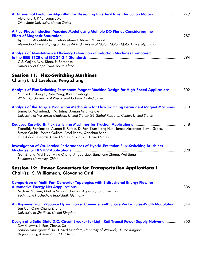| A Differential Evolution Algorithm for Designing Inverter-Driven Induction Motors  279<br>Alejandro J. Piña, Longya Xu<br><b>Ohio State University, United States</b>                                                                                       |     |
|-------------------------------------------------------------------------------------------------------------------------------------------------------------------------------------------------------------------------------------------------------------|-----|
| A Five-Phase Induction Machine Model using Multiple DQ Planes Considering the<br>Ayman S. Abdel-Khalik, Shehab Ahmed, Ahmed Massoud<br>Alexandria University, Egypt; Texas A&M University at Qatar, Qatar; Qatar University, Qatar                          |     |
| Analysis of Non-Intrusive Efficiency Estimation of Induction Machines Compared<br>C.S. Gajjar, M.A. Khan, P. Barendse<br>University of Cape Town, South Africa                                                                                              |     |
| <b>Session 11: Flux-Switching Machines</b><br>Chair(s): Ed Lovelace, Peng Zhang                                                                                                                                                                             |     |
| Analysis of Flux Switching Permanent Magnet Machine Design for High-Speed Applications  302<br>Yingjie Li, Silong Li, Yida Yang, Bulent Sarlioglu<br>WEMPEC, University of Wisconsin-Madison, United States                                                 |     |
| Analysis of the Torque Production Mechanism for Flux-Switching Permanent Magnet Machines  310<br>James D. McFarland, T.M. Jahns, Ayman M. El-Refaie<br>University of Wisconsin-Madison, United States; GE Global Research Center, United States             |     |
| Tsarafidy Raminosoa, Ayman El-Refaie, Di Pan, Kum-Kang Huh, James Alexander, Kevin Grace,<br>Stefan Grubic, Steven Galioto, Patel Reddy, Xiaochun Shen<br>GE Global Research, United States; Ensco PLC, United States                                       |     |
| <b>Investigation of On-Loaded Performances of Hybrid-Excitation Flux-Switching Brushless</b><br>Gan Zhang, Wei Hua, Ming Cheng, Jinguo Liao, Jianzhong Zhang, Wei Jiang<br>Southeast University, China                                                      | 328 |
| <b>Session 12: Power Converters for Transportation Applications I</b><br>Chair(s): S. Williamson, Giovanna Oriti                                                                                                                                            |     |
| <b>Comparison of Multi-Port Converter Topologies with Bidirectional Energy Flow for</b><br>Michael Mürken, Markus Simon, Christian Augustin, Johannes Pforr<br>Technische Hochschule Ingolstadt, Germany                                                    |     |
| An Asymmetrical FZ-Source Hybrid Power Converter with Space Vector Pulse-Width Modulation  344<br>Jun Cai, Qing-Chang Zhong<br>University of Sheffield, United Kingdom                                                                                      |     |
| Design of a Solid-State D.C. Circuit Breaker for Light Rail Transit Power Supply Network  350<br>David Lawes, Li Ran, Zhenyu Xu<br>London Underground Ltd., United Kingdom; University of Warwick, United Kingdom;<br>Beijing Sifang Automation Ltd., China |     |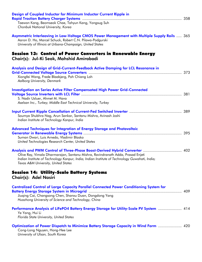| Design of Coupled Inductor for Minimum Inductor Current Ripple in<br>Taewon Kang, Beomseok Chae, Tahyun Kang, Yongsug Suh<br>Chonbuk National University, Korea                                                         |  |
|-------------------------------------------------------------------------------------------------------------------------------------------------------------------------------------------------------------------------|--|
| Asymmetric Interleaving in Low-Voltage CMOS Power Management with Multiple Supply Rails  365<br>Aaron D. Ho, Marcel Schuck, Robert C.N. Pilawa-Podgurski<br>University of Illinois at Urbana-Champaign, United States   |  |
| Session 13: Control of Power Converters in Renewable Energy<br>Chair(s): Jul-Ki Seok, Mahshid Amirabadi                                                                                                                 |  |
| Analysis and Design of Grid-Current-Feedback Active Damping for LCL Resonance in<br>Xiongfei Wang, Frede Blaabjerg, Poh Chiang Loh<br>Aalborg University, Denmark                                                       |  |
| <b>Investigation on Series Active Filter Compensated High Power Grid-Connected</b><br>S. Nadir Usluer, Ahmet M. Hava<br>Aselsan Inc., Turkey; Middle East Technical University, Turkey                                  |  |
| Soumya Shubhra Nag, Arun Sankar, Santanu Mishra, Avinash Joshi<br>Indian Institute of Technology Kanpur, India                                                                                                          |  |
| Advanced Techniques for Integration of Energy Storage and Photovoltaic<br>Suman Dwari, Luis Arnedo, Vladimir Blasko<br>United Technologies Research Center, United States                                               |  |
| Olive Ray, Vimala Dharmarajan, Santanu Mishra, Ravindranath Adda, Prasad Enjeti<br>Indian Institute of Technology Kanpur, India; Indian Institute of Technology Guwahati, India;<br>Texas A&M University, United States |  |
| <b>Session 14: Utility-Scale Battery Systems</b><br>Chair(s): Adel Nasiri                                                                                                                                               |  |
| <b>Centralized Control of Large Capacity Parallel Connected Power Conditioning System for</b><br>Jiuqing Cai, Changsong Chen, Shanxu Duan, Dongdong Yang<br>Huazhong University of Science and Technology, China        |  |
| Performance Analysis of LiFePO4 Battery Energy Storage for Utility-Scale PV System  414<br>Ye Yang, Hui Li<br>Florida State University, United States                                                                   |  |
| Optimization of Power Dispatch to Minimize Battery Storage Capacity in Wind Farm  420<br>Cong-Long Nguyen, Hong-Hee Lee<br>University of Ulsan, South Korea                                                             |  |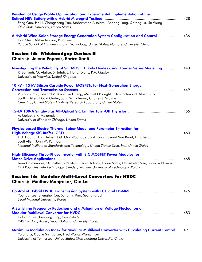| Residential Usage Profile Optimization and Experimental Implementation of the<br>Feng Guo, He Li, Chengcheng Yao, Mohammed Alsolami, Andong Lang, Xintong Lu, Jin Wang<br>Ohio State University, United States                          |     |
|-----------------------------------------------------------------------------------------------------------------------------------------------------------------------------------------------------------------------------------------|-----|
| A Hybrid Wind-Solar-Storage Energy Generation System Configuration and Control  436<br>Dan Shen, Afshin Izadian, Ping Liao<br>Purdue School of Engineering and Technology, United States; Nantong University, China                     |     |
| <b>Session 15: Widebandgap Devices II</b><br>Chair(s): Jelena Popovic, Enrico Santi                                                                                                                                                     |     |
| Investigating the Reliability of SiC MOSFET Body Diodes using Fourier Series Modelling  443<br>R. Bonyadi, O. Alatise, S. Jahdi, J. Hu, L. Evans, P.A. Mawby<br>University of Warwick, United Kingdom                                   |     |
| 10 kV - 15 kV Silicon Carbide Power MOSFETs for Next-Generation Energy                                                                                                                                                                  |     |
| Vipindas Pala, Edward V. Brunt, Lin Cheng, Michael O'Loughlin, Jim Richmond, Albert Burk,<br>Scott T. Allen, David Grider, John W. Palmour, Charles J. Scozzie<br>Cree, Inc., United States; US Army Research Laboratory, United States |     |
| A. Mojab, S.K. Mazumder<br>University of Illinois at Chicago, United States                                                                                                                                                             |     |
| Physics-based Electro-Thermal Saber Model and Parameter Extraction for                                                                                                                                                                  |     |
| T.H. Duong, A.R. Hefner, J.M. Ortiz-Rodríguez, S.-H. Ryu, Edward Van Brunt, Lin Cheng,<br>Scott Allen, John W. Palmour<br>National Institute of Standards and Technology, United States; Cree, Inc., United States                      |     |
| High-Efficiency Three-Phase Inverter with SiC MOSFET Power Modules for<br><b>Motor-Drive Applications </b>                                                                                                                              | 468 |
| Juan Colmenares, Dimosthenis Peftitsis, Georg Tolstoy, Diane Sadik, Hans-Peter Nee, Jacek Rabkowski<br>KTH Royal Institute Technology, Sweden; Warsaw University of Technology, Poland                                                  |     |
| Session 16: Modular Multi-Level Converters for HVDC<br>Chair(s): Madhav Manjrekar, Qin Lei                                                                                                                                              |     |
| Younggi Lee, Shenghui Cui, Sungmin Kim, Seung-Ki Sul<br>Seoul National University, Korea                                                                                                                                                |     |
| A Switching Frequency Reduction and a Mitigation of Voltage Fluctuation of<br>Hak-Jun Lee, Jae-Jung Jung, Seung-Ki Sul<br>LSIS Co., Ltd., Korea; Seoul National University, Korea                                                       |     |
| Maximum Modulation Index for Modular Multilevel Converter with Circulating Current Control  491<br>Yalong Li, Xiaojie Shi, Bo Liu, Fred Wang, Wanjun Lei<br>University of Tennessee, United States; Xi'an Jiaotong University, China    |     |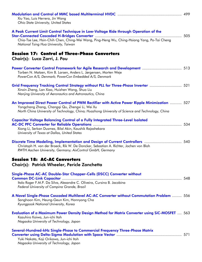| Xiu Yao, Luis Herrera, Jin Wang<br><b>Ohio State University, United States</b>                                                                                                                                                                       |  |
|------------------------------------------------------------------------------------------------------------------------------------------------------------------------------------------------------------------------------------------------------|--|
| A Peak Current Limit Control Technique in Low-Voltage Ride through Operation of the<br>Chia-Tse Lee, Hsin-Chih Chen, Ching-Wei Wang, Ping-Heng Wu, Ching-Hsiang Yang, Po-Tai Cheng<br>National Tsing Hua University, Taiwan                          |  |
| <b>Session 17: Control of Three-Phase Converters</b><br>Chair(s): Luca Zarri, J. Pou                                                                                                                                                                 |  |
| Torben N. Matzen, Kim B. Larsen, Anders L. Jørgensen, Morten Weje<br>PowerCon A/S, Denmark; PowerCon Embedded A/S, Denmark                                                                                                                           |  |
| Grid Frequency Tracking Control Strategy without PLL for Three-Phase Inverter  521<br>Xinxin Zheng, Lan Xiao, Huizhen Wang, Shuo Liu<br>Nanjing University of Aeronautics and Astronautics, China                                                    |  |
| An Improved Direct Power Control of PWM Rectifier with Active Power Ripple Minimization  527<br>Yongchang Zhang, Changqi Qu, Zhengxi Li, Wei Xu<br>North China University of Technology, China; Huazhong University of Science and Technology, China |  |
| <b>Capacitor Voltage Balancing Control of a Fully Integrated Three-Level Isolated</b><br>Xiong Li, Serkan Dusmez, Bilal Akin, Kaushik Rajashekara<br>University of Texas at Dallas, United States                                                    |  |
| Discrete Time Modeling, Implementation and Design of Current Controllers  540<br>Christoph H. van der Broeck, Rik W. De Doncker, Sebastian A. Richter, Jochen von Bloh<br>RWTH Aachen University, Germany; AixControl GmbH, Germany                  |  |
| <b>Session 18: AC-AC Converters</b><br>Chair(s): Patrick Wheeler, Pericle Zanchetta                                                                                                                                                                  |  |
| Single-Phase AC-AC Double-Star Chopper-Cells (DSCC) Converter without<br>Italo Roger F.M.P. Da Silva, Alexandre C. Oliveira, Cursino B. Jacobina<br>Federal University of Campina Grande, Brazil                                                     |  |
| A Novel Single-Phase Cascaded Multilevel AC-AC Converter without Commutation Problem  556<br>Sanghoon Kim, Heung-Geun Kim, Honnyong Cha<br>Kyungpook National University, Korea                                                                      |  |
| Evaluation of a Maximum Power Density Design Method for Matrix Converter using SiC-MOSFET  563<br>Kazuhiro Koiwa, Jun-ichi Itoh<br>Nagaoka University of Technology, Japan                                                                           |  |
| Several-Hundred-kHz Single-Phase to Commercial Frequency Three-Phase Matrix<br>Yuki Nakata, Koji Orikawa, Jun-ichi Itoh<br>Nagaoka University of Technology, Japan                                                                                   |  |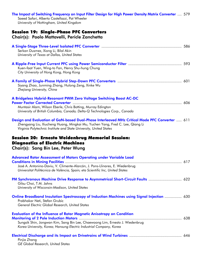| The Impact of Switching Frequency on Input Filter Design for High Power Density Matrix Converter  579<br>Saeed Safari, Alberto Castellazzi, Pat Wheeler<br>University of Nottingham, United Kingdom                                                   |  |
|-------------------------------------------------------------------------------------------------------------------------------------------------------------------------------------------------------------------------------------------------------|--|
| <b>Session 19: Single-Phase PFC Converters</b>                                                                                                                                                                                                        |  |
| Chair(s): Paolo Mattavelli, Pericle Zanchetta                                                                                                                                                                                                         |  |
| Serkan Dusmez, Xiong Li, Bilal Akin<br>University of Texas at Dallas, United States                                                                                                                                                                   |  |
| Kuen-faat Yuen, Wing-to Fan, Henry Shu-hung Chung<br>City University of Hong Kong, Hong Kong                                                                                                                                                          |  |
| Siyang Zhao, Junming Zhang, Hulong Zeng, Xinke Wu<br>Zhejiang University, China                                                                                                                                                                       |  |
| A Bridgeless Hybrid-Resonant PWM Zero Voltage Switching Boost AC-DC<br>Muntasir Alam, Wilson Eberle, Chris Botting, Murray Edington<br>University of British Columbia, Canada; Delta-Q Technologies Corp., Canada                                     |  |
| Design and Evaluation of GaN-based Dual-Phase Interleaved MHz Critical Mode PFC Converter  611<br>Zhengyang Liu, Xiucheng Huang, Mingkai Mu, Yuchen Yang, Fred C. Lee, Qiang Li<br>Virginia Polytechnic Institute and State University, United States |  |
| Session 20: Ernesto Weidenbrug Memorial Session:<br><b>Diagnostics of Electric Machines</b><br>Chair(s): Sang Bin Lee, Peter Wung                                                                                                                     |  |
| Advanced Rotor Assessment of Motors Operating under Variable Load<br>José A. Antonino-Daviu, V. Climente-Alarcón, J. Pons-Llinares, E. Wiedenbrug<br>Universitat Politècnica de València, Spain; eta Scientific Inc, United States                    |  |
| PM Synchronous Machine Drive Response to Asymmetrical Short-Circuit Faults  622<br>Gilsu Choi, T.M. Jahns<br>University of Wisconsin-Madison, United States                                                                                           |  |
| Online Broadband Insulation Spectroscopy of Induction Machines using Signal Injection  630<br>Prabhakar Neti, Stefan Grubic<br>General Electric Global Research, United States                                                                        |  |
| <b>Evaluation of the Influence of Rotor Magnetic Anisotropy on Condition</b><br>Sungsik Shin, Jongwan Kim, Sang Bin Lee, Chaewoong Lim, Ernesto J. Wiedenbrug<br>Korea University, Korea; Hansung Electric Industrial Company, Korea                  |  |
| Pinjia Zhang<br>GE Global Research, United States                                                                                                                                                                                                     |  |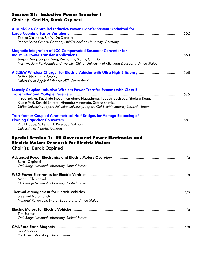### Session 21: Inductive Power Transfer I

Chair(s): Carl Ho, Burak Ozpineci

| A Dual-Side Controlled Inductive Power Transfer System Optimized for                         |     |
|----------------------------------------------------------------------------------------------|-----|
|                                                                                              |     |
| Tobias Diekhans, Rik W. De Doncker                                                           |     |
| Robert Bosch GmbH, Germany; RWTH Aachen University, Germany                                  |     |
| <b>Magnetic Integration of LCC Compensated Resonant Converter for</b>                        |     |
|                                                                                              |     |
| Junjun Deng, Junjun Deng, Weihan Li, Siqi Li, Chris Mi                                       |     |
| Northwestern Polytechnical University, China; University of Michigan-Dearborn, United States |     |
|                                                                                              |     |
| Raffael Haldi, Kurt Schenk                                                                   |     |
| University of Applied Sciences NTB, Switzerland                                              |     |
|                                                                                              |     |
| Loosely Coupled Inductive Wireless Power Transfer Systems with Class-E                       |     |
| Hiroo Sekiya, Kazuhide Inoue, Tomoharu Nagashima, Tadashi Suetsugu, Shotaro Kuga,            |     |
| Xiuqin Wei, Kenichi Shirota, Hironobu Hatamoto, Satoru Shimizu                               |     |
| Chiba University, Japan; Fukuoka University, Japan; Oki Electric Industry Co., Ltd., Japan   |     |
|                                                                                              |     |
| <b>Transformer Coupled Asymmetrical Half Bridges for Voltage Balancing of</b>                |     |
|                                                                                              |     |
|                                                                                              |     |
| R. Ul Haque, S. Leng, N. Perera, J. Salmon                                                   |     |
| University of Alberta, Canada                                                                |     |
|                                                                                              |     |
| <b>Special Session 1: US Government Power Electronics and</b>                                |     |
| <b>Electric Motors Research for Electric Motors</b>                                          |     |
| Chair(s): Burak Ozpineci                                                                     |     |
|                                                                                              |     |
|                                                                                              |     |
| <b>Burak Ozpineci</b>                                                                        |     |
| Oak Ridge National Laboratory, United States                                                 |     |
|                                                                                              | n/a |
| Madhu Chinthavali                                                                            |     |
| Oak Ridge National Laboratory, United States                                                 |     |
|                                                                                              |     |
| Sreekant Narumanchi                                                                          |     |
| National Renewable Energy Laboratory, United States                                          |     |
|                                                                                              |     |
|                                                                                              |     |
| <b>Tim Burress</b><br>Oak Ridge National Laboratory, United States                           |     |
|                                                                                              |     |
|                                                                                              |     |
| Iver Anderson<br>the Ames Laboratory, United States                                          |     |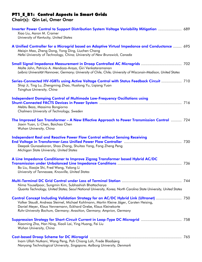#### PT1\_E\_B1: Control Aspects in Smart Grids

Chair(s): Qin Lei, Omer Onar

| Inverter Power Control to Support Distribution System Voltage Variability Mitigation  689<br>Xiao Liu, Aaron M. Cramer<br>University of Kentucky, United States                                                                                                                                                               |  |
|-------------------------------------------------------------------------------------------------------------------------------------------------------------------------------------------------------------------------------------------------------------------------------------------------------------------------------|--|
| A Unified Controller for a Microgrid based on Adaptive Virtual Impedance and Conductance  695<br>Meigin Mao, Zheng Dong, Yong Ding, Liuchen Chang<br>Hefei University of Technology, China; University of New Brunswick, Canada                                                                                               |  |
| Malte John, Patricio A. Mendoza-Araya, Giri Venkataramanan<br>Leibniz Universität Hannover, Germany; University of Chile, Chile; University of Wisconsin-Madison, United States                                                                                                                                               |  |
| Series-Connected HV-IGBTs using Active Voltage Control with Status Feedback Circuit  710<br>Shiqi Ji, Ting Lu, Zhengming Zhao, Hualong Yu, Liqiang Yuan<br>Tsinghua University, China                                                                                                                                         |  |
| <b>Independent Damping Control of Multimode Low-Frequency Oscillations using</b><br>Mebtu Beza, Massimo Bongiorno<br>Chalmers University of Technology, Sweden                                                                                                                                                                |  |
| The Improved Sen Transformer - A New Effective Approach to Power Transmission Control  724<br>Jiaxin Yuan, Li Chen, Baichao Chen<br>Wuhan University, China                                                                                                                                                                   |  |
| <b>Independent Real and Reactive Power Flow Control without Sensing Receiving</b><br>Deepak Gunasekaran, Shao Zhang, Shuitao Yang, Fang Zheng Peng<br>Michigan State University, United States                                                                                                                                |  |
| A Line Impedance Conditioner to Improve Zigzag Transformer based Hybrid AC/DC<br>Bo Liu, Xiaojie Shi, Fred Wang, Yalong Li<br>University of Tennessee, Knoxville, United States                                                                                                                                               |  |
| Nima Yousefpoor, Sungmin Kim, Subhashish Bhattacharya<br>Quanta Technology, United States; Seoul National University, Korea; North Carolina State University, United States                                                                                                                                                   |  |
| Control Concept Including Validation Strategy for an AC/DC Hybrid Link (Ultranet)  750<br>Volker Staudt, Andreas Steimel, Michael Kohlmann, Martin Kleine Jäger, Carsten Heising,<br>Daniel Meyer, Klaus Vennemann, Eckhard Grebe, Klaus Kleinekorte<br>Ruhr-University Bochum, Germany; Avasition, Germany; Amprion, Germany |  |
| Xiaoming Zha, Han Ning, Xiaoli Lai, Ying Huang, Fei Liu<br>Wuhan University, China                                                                                                                                                                                                                                            |  |
| Inam Ullah Nutkani, Wang Peng, Poh Chiang Loh, Frede Blaabjerg<br>Nanyang Technological University, Singapore; Aalborg University, Denmark                                                                                                                                                                                    |  |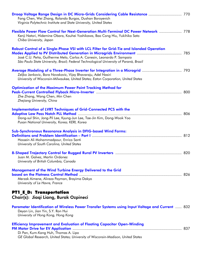| Droop Voltage Range Design in DC Micro-Grids Considering Cable Resistance  770<br>Fang Chen, Wei Zhang, Rolando Burgos, Dushan Boroyevich<br>Virginia Polytechnic Institute and State University, United States                                                |  |
|----------------------------------------------------------------------------------------------------------------------------------------------------------------------------------------------------------------------------------------------------------------|--|
| Flexible Power Flow Control for Next-Generation Multi-Terminal DC Power Network  778<br>Kenji Natori, Hidemine Obara, Kouhei Yoshikawa, Bao Cong Hiu, Yukihiko Sato<br>Chiba University, Japan                                                                 |  |
| Robust Control of a Single-Phase VSI with LCL Filter for Grid-Tie and Islanded Operation<br>José C.U. Peña, Guilherme Melo, Carlos A. Canesin, Leonardo P. Sampaio<br>São Paulo State University, Brazil; Federal Technological University of Paraná, Brazil   |  |
| Zeljko Jankovic, Bora Novakovic, Vijay Bhavaraju, Adel Nasiri<br>University of Wisconsin-Milwaukee, United States; Eaton Corporation, United States                                                                                                            |  |
| <b>Optimization of the Maximum Power Point Tracking Method for</b><br>Zhe Zhang, Wang Chen, Min Chen<br>Zhejiang University, China                                                                                                                             |  |
| <b>Implementation of LVRT Techniques of Grid-Connected PCS with the</b><br>Dong-sul Shin, Jong-Pil Lee, Kyung-Jun Lee, Tae-Jin Kim, Dong-Wook Yoo<br>Pusan National University, Korea; KERI, Korea                                                             |  |
| <b>Sub-Synchronous Resonance Analysis in DFIG-based Wind Farms:</b><br>Definitions and Problem Identification – Part I manufacture manufacture manufacture et al. 812<br>Hossein Ali Mohammadpour, Enrico Santi<br>University of South Carolina, United States |  |
| Juan M. Galvez, Martin Ordonez<br>University of British Columbia, Canada                                                                                                                                                                                       |  |
| <b>Management of the Wind Turbine Energy Delivered to the Grid</b><br>Merzak Aimene, Alireza Payman, Brayima Dakyo<br>University of Le Havre, France                                                                                                           |  |
| <b>PT1_E_D: Transportation</b><br>Chair(s): Jiaqi Liang, Burak Ozpineci                                                                                                                                                                                        |  |
| Parameter Identification of Wireless Power Transfer Systems using Input Voltage and Current  832<br>Deyan Lin, Jian Yin, S.Y. Ron Hui<br>University of Hong Kong, Hong Kong                                                                                    |  |
| <b>Efficiency Improvement and Evaluation of Floating Capacitor Open-Winding</b><br>Di Pan, Kum-Kang Huh, Thomas A. Lipo<br>GE Global Research, United States; University of Wisconsin-Madison, United States                                                   |  |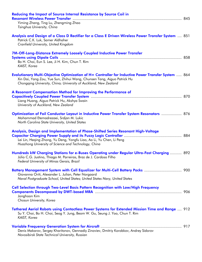| <b>Reducing the Impact of Source Internal Resistance by Source Coil in</b><br>Yiming Zhang, Ting Lu, Zhengming Zhao<br>Tsinghua University, China                                                                                                         |  |
|-----------------------------------------------------------------------------------------------------------------------------------------------------------------------------------------------------------------------------------------------------------|--|
| Analysis and Design of a Class D Rectifier for a Class E Driven Wireless Power Transfer System  851<br>Patrick C.K. Luk, Samer Aldhaher<br><b>Cranfield University, United Kingdom</b>                                                                    |  |
| 7M-Off-Long-Distance Extremely Loosely Coupled Inductive Power Transfer<br>Bo H. Choi, Eun S. Lee, Ji H. Kim, Chun T. Rim<br>KAIST, Korea                                                                                                                 |  |
| <b>Evolutionary Multi-Objective Optimization of H∞ Controller for Inductive Power Transfer System  864</b><br>Xin Dai, Yang Zou, Yue Sun, Zhihui Wang, Chunsen Tang, Aiguo Patrick Hu<br>Chongqing University, China; University of Auckland, New Zealand |  |
| A Resonant Compensation Method for Improving the Performance of<br>Liang Huang, Aiguo Patrick Hu, Akshya Swain<br>University of Auckland, New Zealand                                                                                                     |  |
| Optimization of Foil Conductor Layout in Inductive Power Transfer System Resonators  876<br>Mohammad Etemadrezaei, Srdjan M. Lukic<br>North Carolina State University, United States                                                                      |  |
| Analysis, Design and Implementation of Phase-Shifted Series Resonant High-Voltage<br>Lei Lin, Heqing Zhong, Yu Deng, Yongfu Liao, Ao Li, Yu Chen, Li Peng<br>Huazhong University of Science and Technology, China                                         |  |
| Hundreds kW Charging Stations for e-Buses Operating under Regular Ultra-Fast Charging  892<br>Júlio C.G. Justino, Thiago M. Parreiras, Braz de J. Cardoso Filho<br>Federal University of Minas Gerais, Brazil                                             |  |
| Battery Management System with Cell Equalizer for Multi-Cell Battery Packs  900<br>Giovanna Oriti, Alexander L. Julian, Peter Norgaard<br>Naval Postgraduate School, United States; United States Navy, United States                                     |  |
| Cell Selection through Two-Level Basis Pattern Recognition with Low/High Frequency<br>Jonghoon Kim<br>Chosun University, Korea                                                                                                                            |  |
| Tethered Aerial Robots using Contactless Power Systems for Extended Mission Time and Range  912<br>Su Y. Choi, Bo H. Choi, Seog Y. Jung, Beom W. Gu, Seung J. Yoo, Chun T. Rim<br>KAIST, Korea                                                            |  |
| Denis Makarov, Sergey Kharitonov, Gennadiy Zinoviev, Dmitriy Korobkov, Andrey Sidorov<br>Novosibirsk State Technical University, Russian                                                                                                                  |  |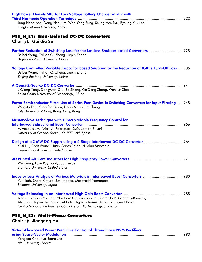| High Power Density SRC for Low Voltage Battery Charger in xEV with                                                                                                                                                               |     |
|----------------------------------------------------------------------------------------------------------------------------------------------------------------------------------------------------------------------------------|-----|
| Jung-Hoon Ahn, Dong-Hee Kim, Won-Yong Sung, Seung-Hee Ryu, Byoung-Kuk Lee<br>Sungkyunkwan University, Korea                                                                                                                      |     |
| PT1_N_E1: Non-Isolated DC-DC Converters<br>Chair(s): Gui-Jia Su                                                                                                                                                                  |     |
| Further Reduction of Switching Loss for the Lossless Snubber based Converters  928<br>Beibei Wang, Trillion Q. Zheng, Jiepin Zhang<br>Beijing Jiaotong University, China                                                         |     |
| Voltage Controlled Variable Capacitor based Snubber for the Reduction of IGBT's Turn-Off Loss  935<br>Beibei Wang, Trillion Q. Zheng, Jiepin Zhang<br>Beijing Jiaotong University, China                                         |     |
| LiQiang Yang, Dongyuan Qiu, Bo Zhang, GuiDong Zhang, Wenxun Xiao<br>South China University of Technology, China                                                                                                                  |     |
| Power Semiconductor Filter: Use of Series-Pass Device in Switching Converters for Input Filtering  948<br>Wing-to Fan, Kuen-faat Yuen, Henry Shu-hung Chung<br>City University of Hong Kong, Hong Kong                           |     |
| <b>Master-Slave Technique with Direct Variable Frequency Control for</b><br>A. Vazquez, M. Arias, A. Rodriguez, D.G. Lamar, S. Luri<br>University of Oviedo, Spain; IK4-IKERLAN, Spain                                           |     |
| Yusi Liu, Chris Farnell, Juan Carlos Balda, H. Alan Mantooth<br>University of Arkansas, United States                                                                                                                            |     |
| Wei Liang, Luke Raymond, Juan Rivas<br><b>Stanford University, United States</b>                                                                                                                                                 | 971 |
| Inductor Loss Analysis of Various Materials in Interleaved Boost Converters  980<br>Yuki Itoh, Shota Kimura, Jun Imaoka, Masayoshi Yamamoto<br>Shimane University, Japan                                                         |     |
| Jesús E. Valdez-Reséndiz, Abraham Claudio-Sánchez, Gerardo V. Guerrero-Ramírez,<br>Alejandro Tapia-Hernández, Aldo N. Higuera Juárez, Adolfo R. López Núñez<br>Centro Nacional de Investigación y Desarrollo Tecnológico, Mexico |     |
| PT1_N_E2: Multi-Phase Converters<br>Chair(s): Jiangang Hu                                                                                                                                                                        |     |
| Virtual-Flux-based Power Predictive Control of Three-Phase PWM Rectifiers<br>Yongsoo Cho, Kyo-Beum Lee<br>Ajou University, Korea                                                                                                 |     |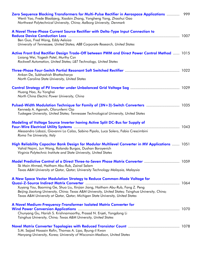| Zero Sequence Blocking Transformers for Multi-Pulse Rectifier in Aerospace Applications<br>Wenli Yao, Frede Blaabjerg, Xiaobin Zhang, Yongheng Yang, Zhaohui Gao<br>Northwest Polytechnical University, China; Aalborg University, Denmark                                                                                                           | 999 |
|------------------------------------------------------------------------------------------------------------------------------------------------------------------------------------------------------------------------------------------------------------------------------------------------------------------------------------------------------|-----|
| A Novel Three-Phase Current Source Rectifier with Delta-Type Input Connection to                                                                                                                                                                                                                                                                     |     |
| Ben Guo, Fred Wang, Eddy Aeloiza<br>University of Tennessee, United States; ABB Corporate Research, United States                                                                                                                                                                                                                                    |     |
| Active Front End Rectifier Design Trade-Off between PWM and Direct Power Control Method  1015<br>Lixiang Wei, Yogesh Patel, Murthy Csn<br>Rockwell Automation, United States; L&T Technology, United States                                                                                                                                          |     |
| Ankan De, Subhashish Bhattacharya<br>North Carolina State University, United States                                                                                                                                                                                                                                                                  |     |
| Huang Hao, Xu Yonghai<br>North China Electric Power University, China                                                                                                                                                                                                                                                                                |     |
| Pulsed-Width Modulation Technique for Family of (3N+3)-Switch Converters  1035<br>Kennedy A. Aganah, Olorunfemi Ojo<br>Tuskegee University, United States; Tennessee Technological University, United States                                                                                                                                         |     |
| Modeling of Voltage Source Inverter having Active Split DC-Bus for Supply of<br>Alessandro Lidozzi, Giovanni Lo Calzo, Sabino Pipolo, Luca Solero, Fabio Crescimbini<br>Roma Tre University, Italy                                                                                                                                                   |     |
| High Reliability Capacitor Bank Design for Modular Multilevel Converter in MV Applications  1051<br>Vahid Najmi, Jun Wang, Rolando Burgos, Dushan Boroyevich<br>Virginia Polytechnic Institute and State University, United States                                                                                                                   |     |
| Model Predictive Control of a Direct Three-to-Seven Phase Matrix Converter  1059<br>Sk Moin Ahmed, Haitham Abu-Rub, Zainal Salam<br>Texas A&M University at Qatar, Qatar; University Technology Malaysia, Malaysia                                                                                                                                   |     |
| A New Space Vector Modulation Strategy to Reduce Common-Mode Voltage for<br>Xuyang You, Baoming Ge, Shuo Liu, Xinjian Jiang, Haitham Abu-Rub, Fang Z. Peng<br>Beijing Jiaotong University, China; Texas A&M University, United States; Tsinghua University, China;<br>Texas A&M University at Qatar, Qatar; Michigan State University, United States |     |
| A Novel Medium-Frequency-Transformer Isolated Matrix Converter for<br>Chunyang Gu, Harish S. Krishnamoorthy, Prasad N. Enjeti, Yongdong Li<br>Tsinghua University, China; Texas A&M University, United States                                                                                                                                        |     |
| S.M. Sajjad Hossain Rafin, Thomas A. Lipo, Byung-il Kwon<br>Hanyang University, Korea; University of Wisconsin-Madison, United States                                                                                                                                                                                                                |     |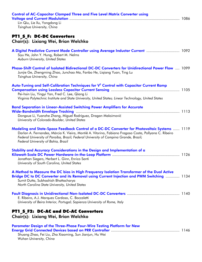| <b>Control of AC-Capacitor Clamped Three and Five Level Matrix Converter using</b><br>Lin Qiu, Lie Xu, Yongdong Li<br>Tsinghua University, China                                                                                                                                                                                      |  |
|---------------------------------------------------------------------------------------------------------------------------------------------------------------------------------------------------------------------------------------------------------------------------------------------------------------------------------------|--|
| <b>PT1 S F: DC-DC Converters</b><br>Chair(s): Lixiang Wei, Brian Welchko                                                                                                                                                                                                                                                              |  |
| A Digital Predictive Current Mode Controller using Average Inductor Current  1092<br>Siyu He, John Y. Hung, Robert M. Nelms<br>Auburn University, United States                                                                                                                                                                       |  |
| Phase-Shift Control of Isolated Bidirectional DC-DC Converters for Unidirectional Power Flow  1099<br>Junjie Ge, Zhengming Zhao, Junchao Ma, Fanbo He, Ligiang Yuan, Ting Lu<br>Tsinghua University, China                                                                                                                            |  |
| Auto-Tuning and Self-Calibration Techniques for V <sup>2</sup> Control with Capacitor Current Ramp<br>Pei-hsin Liu, Yingyi Yan, Fred C. Lee, Qiang Li<br>Virginia Polytechnic Institute and State University, United States; Linear Technology, United States                                                                         |  |
| <b>Band Separation in Linear-Assisted Switching Power Amplifiers for Accurate</b><br>Dongxue Li, Yuanzhe Zhang, Miguel Rodríguez, Dragan Maksimović<br>University of Colorado-Boulder, United States                                                                                                                                  |  |
| Modeling and State-Space Feedback Control of a DC-DC Converter for Photovoltaic Systems  1119<br>Darlan A. Fernandes, Márcia K. Vieira, Montiê A. Vitorino, Fabiano Fragoso Costa, Pollyana C. Ribeiro<br>Federal University of Paraiba, Brazil; Federal University of Campina Grande, Brazil;<br>Federal University of Bahia, Brazil |  |
| Stability and Accuracy Considerations in the Design and Implementation of a<br>Jonathan Siegers, Herbert L. Ginn, Enrico Santi<br>University of South Carolina, United States                                                                                                                                                         |  |
| A Method to Measure the DC bias in High Frequency Isolation Transformer of the Dual Active<br>Bridge DC to DC Converter and its Removal using Current Injection and PWM Switching  1134<br>Sumit Dutta, Subhashish Bhattacharya<br>North Carolina State University, United States                                                     |  |
| E. Ribeiro, A.J. Marques Cardoso, C. Boccaletti<br>University of Beira Interior, Portugal; Sapienza University of Rome, Italy                                                                                                                                                                                                         |  |
| PT1 S F2: DC-AC and DC-AC Converters<br>Chair(s): Lixiang Wei, Brian Welchko                                                                                                                                                                                                                                                          |  |
| Parameter Design of the Three-Phase Four-Wire Testing Platform for New<br>Shuang Zhao, Fei Liu, Zha Xiaoming, Sun Jianjun, Hu Wei<br>Wuhan University, China                                                                                                                                                                          |  |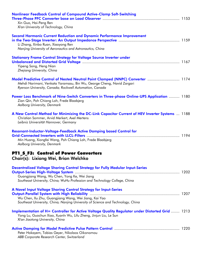| <b>Nonlinear Feedback Control of Compound Active-Clamp Soft-Switching</b><br>Xin Guo, Hai-Peng Ren<br>Xi'an University of Technology, China                                                                         |  |
|---------------------------------------------------------------------------------------------------------------------------------------------------------------------------------------------------------------------|--|
| Second Harmonic Current Reduction and Dynamic Performance Improvement<br>Li Zhang, Xinbo Ruan, Xiaoyong Ren<br>Nanjing University of Aeronautics and Astronautics, China                                            |  |
| <b>Stationary Frame Control Strategy for Voltage Source Inverter under</b><br>Yipeng Song, Heng Nian<br>Zhejiang University, China                                                                                  |  |
| Model Predictive Control of Nested Neutral Point Clamped (NNPC) Converter  1174<br>Mehdi Narimani, Venkata Yaramasu, Bin Wu, George Cheng, Navid Zargari<br>Ryerson University, Canada; Rockwell Automation, Canada |  |
| Power Loss Benchmark of Nine-Switch Converters in Three-phase Online-UPS Application  1180<br>Zian Qin, Poh Chiang Loh, Frede Blaabjerg<br>Aalborg University, Denmark                                              |  |
| A New Control Method for Minimizing the DC-Link Capacitor Current of HEV Inverter Systems  1188<br>Christian Sommer, Arvid Merkert, Axel Mertens<br>Leibniz Universität Hannover, Germany                           |  |
| Resonant-Inductor-Voltage-Feedback Active Damping based Control for<br>Min Huang, Xiongfei Wang, Poh Chiang Loh, Frede Blaabjerg<br>Aalborg University, Denmark                                                     |  |
| PT1_S_F3: Control of Power Converters<br>Chair(s): Lixiang Wei, Brian Welchko                                                                                                                                       |  |
| <b>Decentralized Voltage Sharing Control Strategy for Fully Modular Input-Series</b><br>Guangjiang Wang, Wu Chen, Yong Ke, Wei Jiang<br>Southeast University, China; WuHu Profession and Technology College, China  |  |
| A Novel Input Voltage Sharing Control Strategy for Input-Series<br>Wu Chen, Xu Zhu, Guangjiang Wang, Wei Jiang, Kai Yao<br>Southeast University, China; Nanjing University of Science and Technology, China         |  |
| Implementation of H <sup>®</sup> Controller for Active Voltage Quality Regulator under Distorted Grid  1213<br>Yong Lu, Guochun Xiao, Xuanlv Wu, Lifu Zheng, Jinjun Liu, Le Sun<br>Xi'an Jiaotong University, China |  |
| Peter Hokayem, Tobias Geyer, Nikolaos Oikonomou                                                                                                                                                                     |  |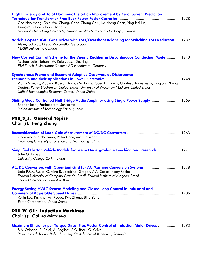| High Efficiency and Total Harmonic Distortion Improvement by Zero Current Prediction<br>Che-Hao Meng, Chih-Wei Chang, Chao-Chang Chiu, Ke-Horng Chen, Ying-Hsi Lin,<br>Tsung-Yen Tsai, Chao-Cheng Lee<br>National Chiao Tung University, Taiwan; Realtek Semiconductor Corp., Taiwan                                                    |  |
|-----------------------------------------------------------------------------------------------------------------------------------------------------------------------------------------------------------------------------------------------------------------------------------------------------------------------------------------|--|
| Variable-Speed IGBT Gate Driver with Loss/Overshoot Balancing for Switching Loss Reduction  1232<br>Alexey Sokolov, Diego Mascarella, Geza Joos<br>McGill University, Canada                                                                                                                                                            |  |
| New Current Control Scheme for the Vienna Rectifier in Discontinuous Conduction Mode  1240<br>Michael Leibl, Johann W. Kolar, Josef Deuringer<br>ETH Zurich, Switzerland; Siemens AG Healthcare, Germany                                                                                                                                |  |
| <b>Synchronous Frame and Resonant Adaptive Observers as Disturbance</b><br>Vlatko Miskovic, Vladimir Blasko, Thomas M. Jahns, Robert D. Lorenz, Charles J. Romenesko, Haojiong Zhang<br>Danfoss Power Electronics, United States; University of Wisconsin-Madison, United States;<br>United Technologies Research Center, United States |  |
| Sliding Mode Controlled Half Bridge Audio Amplifier using Single Power Supply  1256<br>Sridhar Joshi, Parthasarathi Sensarma<br>Indian Institute of Technology Kanpur, India                                                                                                                                                            |  |
| PT1_S_J: General Topics<br>Chair(s): Peng Zhang                                                                                                                                                                                                                                                                                         |  |
| Chun Xiong, Xinbo Ruan, Peilin Chen, Xuehua Wang<br>Huazhong University of Science and Technology, China                                                                                                                                                                                                                                |  |
| Simplified Electric Vehicle Models for use in Undergraduate Teaching and Research  1271<br>John G. Hayes<br>University College Cork, Ireland                                                                                                                                                                                            |  |
| AC/DC Converters with Open-End Grid for AC Machine Conversion Systems  1278<br>João P.R.A. Méllo, Cursino B. Jacobina, Gregory A.A. Carlos, Nady Rocha<br>Federal University of Campina Grande, Brazil; Federal Institute of Alagoas, Brazil;<br>Federal University of Paraíba, Brazil                                                  |  |
| Energy Saving HVAC System Modeling and Closed Loop Control in Industrial and<br>Kevin Lee, Ravishankar Rugge, Kyle Zheng, Bing Yang<br><b>Eaton Corporation, United States</b>                                                                                                                                                          |  |
| PT1_W_G1: Induction Machines<br>Chair(s): Galina Mirzaeva                                                                                                                                                                                                                                                                               |  |
| Maximum Efficiency per Torque Direct Flux Vector Control of Induction Motor Drives  1293                                                                                                                                                                                                                                                |  |

S.A. Odhano, R. Bojoi, A. Boglietti, S.G. Rosu, G. Griva *Politecnico di Torino, Italy; University "Politehnica" of Bucharest, Romania*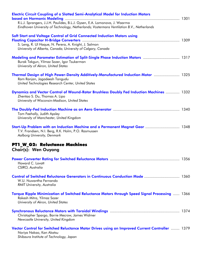| <b>Electric Circuit Coupling of a Slotted Semi-Analytical Model for Induction Motors</b>                                   |  |
|----------------------------------------------------------------------------------------------------------------------------|--|
|                                                                                                                            |  |
| R.L.J. Sprangers, J.J.H. Paulides, B.L.J. Gysen, E.A. Lomonova, J. Waarma                                                  |  |
| Eindhoven University of Technology, Netherlands; Vostermans Ventilation B.V., Netherlands                                  |  |
| Soft Start and Voltage Control of Grid Connected Induction Motors using                                                    |  |
|                                                                                                                            |  |
| S. Leng, R. Ul Haque, N. Perera, A. Knight, J. Salmon                                                                      |  |
| University of Alberta, Canada; University of Calgary, Canada                                                               |  |
| Modeling and Parameter Estimation of Split-Single Phase Induction Motors  1317                                             |  |
| Burak Tekgun, Yilmaz Sozer, Igor Tsukerman                                                                                 |  |
| University of Akron, United States                                                                                         |  |
| Thermal Design of High Power-Density Additively-Manufactured Induction Motor  1325                                         |  |
| Ram Ranjan, Jagadeesh Tangudu                                                                                              |  |
| United Technologies Research Center, United States                                                                         |  |
| Dynamics and Vector Control of Wound-Rotor Brushless Doubly Fed Induction Machines  1332                                   |  |
| Zhentao S. Du, Thomas A. Lipo                                                                                              |  |
| University of Wisconsin-Madison, United States                                                                             |  |
|                                                                                                                            |  |
|                                                                                                                            |  |
| Tom Feehally, Judith Apsley<br>University of Manchester, United Kingdom                                                    |  |
|                                                                                                                            |  |
| Start-Up Problem with an Induction Machine and a Permanent Magnet Gear  1348                                               |  |
| T.V. Frandsen, N.I. Berg, R.K. Holm, P.O. Rasmussen                                                                        |  |
| Aalborg University, Denmark                                                                                                |  |
| PT1_W_G2: Reluctance Machines                                                                                              |  |
| <b>Chair(s): Wen Ouyang</b>                                                                                                |  |
|                                                                                                                            |  |
|                                                                                                                            |  |
| Howard C. Lovatt                                                                                                           |  |
| CSIRO, Australia                                                                                                           |  |
| Control of Switched Reluctance Generators in Continuous Conduction Mode  1360                                              |  |
| W.U. Nuwantha Fernando                                                                                                     |  |
| RMIT University, Australia                                                                                                 |  |
| Torque Ripple Minimization of Switched Reluctance Motors through Speed Signal Processing  1366                             |  |
| Rakesh Mitra, Yilmaz Sozer                                                                                                 |  |
| University of Akron, United States                                                                                         |  |
|                                                                                                                            |  |
| Christopher Spargo, Barrie Mecrow, James Widmer                                                                            |  |
| Newcastle University, United Kingdom                                                                                       |  |
|                                                                                                                            |  |
| Vector Control for Switched Reluctance Motor Drives using an Improved Current Controller  1379<br>Noriya Nakao, Kan Akatsu |  |

*Shibaura Institute of Technology, Japan*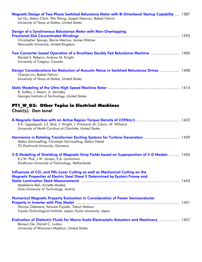| Magnetic Design of Two-Phase Switched Reluctance Motor with Bi-Directional Startup Capability  1387<br>Lei Gu, Adam Clark, Wei Wang, Joseph Hearron, Babak Fahimi<br>University of Texas at Dallas, United States                                     |  |
|-------------------------------------------------------------------------------------------------------------------------------------------------------------------------------------------------------------------------------------------------------|--|
| Design of a Synchronous Reluctance Motor with Non-Overlapping<br>Christopher Spargo, Barrie Mecrow, James Widmer<br>Newcastle University, United Kingdom                                                                                              |  |
| Two Converter based Operation of a Brushless Doubly Fed Reluctance Machine  1400<br>Ronald S. Rebeiro, Andrew M. Knight<br>University of Calgary, Canada                                                                                              |  |
| Design Considerations for Reduction of Acoustic Noise in Switched Reluctance Drives  1408<br>Chenjie Lin, Babak Fahimi<br>University of Texas at Dallas, United States                                                                                |  |
| B. Suttles, J. Mayor, A. Semidey<br>Georgia Institute of Technology, United States                                                                                                                                                                    |  |
| PT1_W_G3: Other Topics in Electrical Machines<br>Chair(s): Dan Ionel                                                                                                                                                                                  |  |
| K.K. Uppalapati, J.Z. Bird, J. Wright, J. Pritchard, M. Calvin, W. Williams<br>University of North Carolina at Charlotte, United States                                                                                                               |  |
| Harmonics in Rotating Transformer Exciting Systems for Turbine Generators  1429<br>Stefan Schmuelling, Christoph Schmuelling, Stefan Habel<br>TU Dortmund University, Germany                                                                         |  |
| 3-D Modeling of Shielding of Magnetic Stray Fields based on Superposition of 2-D Models  1435<br>K.J.W. Pluk, J.W. Jansen, E.A. Lomonova<br>Eindhoven University of Technology, Netherlands                                                           |  |
| Influences of CO <sub>2</sub> and FKL-Laser Cutting as well as Mechanical Cutting on the<br>Magnetic Properties of Electric Steel Sheet S Determined by Epstein Frame and<br>Madeleine Bali, Annette Muetze<br>Graz University of Technology, Austria |  |
| <b>Numerical Magnetic Property Evaluation in Consideration of Power Semiconductor</b><br>Shunya Odawara, Keisuke Fujisaki, Tetsuji Matsuo<br>Toyota Technological Institute, Japan; Kyoto University, Japan                                           |  |
| Evaluation of Dielectric Fluids for Macro-Scale Electrostatic Actuators and Machinery  1457<br>Baoyun Ge, Daniel C. Ludois<br>University of Wisconsin-Madison, United States                                                                          |  |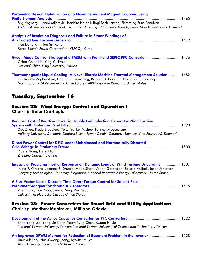| Parametric Design Optimization of a Novel Permanent Magnet Coupling using<br>Stig Högberg, Nenad Mijatovic, Joachim Holbøll, Bogi Bech Jensen, Flemming Buus Bendixen<br>Technical University of Denmark, Denmark; University of the Faroe Islands, Faroe Islands; Sintex a/s, Denmark |  |
|----------------------------------------------------------------------------------------------------------------------------------------------------------------------------------------------------------------------------------------------------------------------------------------|--|
| Analysis of Insulation Diagnosis and Failure in Stator Windings of<br>Hee-Dong Kim, Tae-Sik Kong<br>Korea Electric Power Corporation (KEPCO), Korea                                                                                                                                    |  |
| Green Mode Control Strategy of a PMSM with Front-end SEPIC PFC Converter  1476<br>Chiao-Chien Lin, Ying-Yu Tzou<br>National Chiao Tung University, Taiwan                                                                                                                              |  |

Thermomagnetic Liquid Cooling: A Novel Electric Machine Thermal Management Solution .......... 1482 Giti Karimi-Moghaddam, Darren D. Tremelling, Richard D. Gould, Subhashish Bhattacharya *North Carolina State University, United States; ABB Corporate Research, United States* 

### Tuesday, September 16

#### Session 22: Wind Energy: Control and Operation I

Chair(s): Bulent Sarlioglu

| <b>Reduced Cost of Reactive Power in Doubly Fed Induction Generator Wind Turbine</b>                                                                                                                                                                                                                |  |
|-----------------------------------------------------------------------------------------------------------------------------------------------------------------------------------------------------------------------------------------------------------------------------------------------------|--|
| Dao Zhou, Frede Blaabjerg, Toke Franke, Michael Tonnes, Mogens Lau<br>Aalborg University, Denmark; Danfoss Silicon Power GmbH, Germany; Siemens Wind Power A/S, Denmark                                                                                                                             |  |
| Direct Power Control for DFIG under Unbalanced and Harmonically Distorted                                                                                                                                                                                                                           |  |
| Yipeng Song, Heng Nian<br>Zhejiang University, China                                                                                                                                                                                                                                                |  |
| Impacts of Providing Inertial Response on Dynamic Loads of Wind Turbine Drivetrains  1507<br>Irving P. Girsang, Jaspreet S. Dhupia, Mohit Singh, Vahan Gevorgian, Eduard Muljadi, Jason Jonkman<br>Nanyang Technological University, Singapore; National Renewable Energy Laboratory, United States |  |
| A Flux Vector-based Discrete-Time Direct Torque Control for Salient-Pole                                                                                                                                                                                                                            |  |
| Zhe Zhang, Yue Zhao, Jianwu Zeng, Wei Qiao<br>University of Nebraska-Lincoln, United States                                                                                                                                                                                                         |  |
| <b>Session 23: Power Converters for Smart Grid and Utility Applications</b><br>Chair(s): Madhav Manirekar, Milijana Odavic                                                                                                                                                                          |  |

| Shen-Yang Lee, Yang-Lin Chen, Yaow-Ming Chen, Kwang H. Liu                                       |  |
|--------------------------------------------------------------------------------------------------|--|
| National Taiwan University, Taiwan; National Taiwan University of Science and Technology, Taiwan |  |
| An Improved DPWM Method for Reduction of Resonant Problem in the Inverter  1528                  |  |
| Jin-Hyuk Park, Hae-Gwang Jeong, Kyo-Beum Lee                                                     |  |

*Ajou University, Korea; LG Electronics, Korea*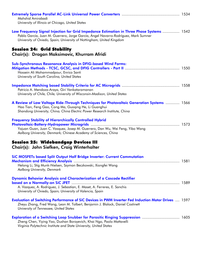| Mahshid Amirabadi<br>University of Illinois at Chicago, United States                                                                                                                                                                                    |  |
|----------------------------------------------------------------------------------------------------------------------------------------------------------------------------------------------------------------------------------------------------------|--|
| Low Frequency Signal Injection for Grid Impedance Estimation in Three Phase Systems  1542<br>Pablo García, Juan M. Guerrero, Jorge García, Ángel Navarro-Rodríguez, Mark Sumner<br>University of Oviedo, Spain; University of Nottingham, United Kingdom |  |
| <b>Session 24: Grid Stability</b><br>Chair(s): Dragan Maksimovic, Khurram Afridi                                                                                                                                                                         |  |
| <b>Sub-Synchronous Resonance Analysis in DFIG-based Wind Farms:</b><br>Hossein Ali Mohammadpour, Enrico Santi<br>University of South Carolina, United States                                                                                             |  |
| Patricio A. Mendoza-Araya, Giri Venkataramanan<br>University of Chile, Chile; University of Wisconsin-Madison, United States                                                                                                                             |  |
| A Review of Low Voltage Ride-Through Techniques for Photovoltaic Generation Systems  1566<br>Hao Tian, Feng Gao, Cong Ma, Guoqing He, Li Guanghui<br>Shandong University, China; China Electric Power Research Institute, China                          |  |
| <b>Frequency Stability of Hierarchically Controlled Hybrid</b><br>Yajuan Guan, Juan C. Vasquez, Josep M. Guerrero, Dan Wu, Wei Feng, Yibo Wang<br>Aalborg University, Denmark; Chinese Academy of Sciences, China                                        |  |
| <b>Session 25: Widebandgap Devices III</b><br>Chair(s): John Siefken, Craig Winterhalter                                                                                                                                                                 |  |
| <b>SiC MOSFETs based Split Output Half Bridge Inverter: Current Commutation</b><br>Helong Li, Stig Munk-Nielsen, Szymon Beczkowski, Xiongfei Wang<br>Aalborg University, Denmark                                                                         |  |
| <b>Dynamic Behavior Analysis and Characterization of a Cascode Rectifier</b><br>A. Vazquez, A. Rodriguez, J. Sebastian, E. Maset, A. Ferreres, E. Sanchis<br>University of Oviedo, Spain; University of Valencia, Spain                                  |  |
| Evaluation of Switching Performance of SiC Devices in PWM Inverter Fed Induction Motor Drives  1597<br>Zheyu Zhang, Fred Wang, Leon M. Tolbert, Benjamin J. Blalock, Daniel Costinett<br>University of Tennessee, United States                          |  |
| <b>Exploration of a Switching Loop Snubber for Parasitic Ringing Suppression  1605</b><br>Zheng Chen, Yiying Yao, Dushan Boroyevich, Khai Ngo, Paolo Mattavelli<br>Virginia Polytechnic Institute and State University, United States                    |  |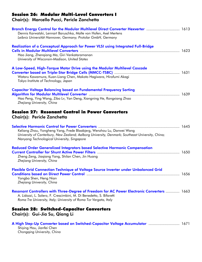#### Session 26: Modular Multi-Level Converters I

Chair(s): Marcello Pucci, Pericle Zanchetta

| Branch Energy Control for the Modular Multilevel Direct Converter Hexverter  1613<br>Dennis Karwatzki, Lennart Baruschka, Malte von Hofen, Axel Mertens<br>Leibniz Universität Hannover, Germany; Protolar GmbH, Germany                       |  |
|------------------------------------------------------------------------------------------------------------------------------------------------------------------------------------------------------------------------------------------------|--|
| Realization of a Conceptual Approach for Power VLSI using Integrated Full-Bridge<br>Hao Jiang, Zhenqiang Ma, Giri Venkataramanan<br>University of Wisconsin-Madison, United States                                                             |  |
| A Low-Speed, High-Torque Motor Drive using the Modular Multilevel Cascade<br>Wataru Kawamura, Kuan-Liang Chen, Makoto Hagiwara, Hirofumi Akagi<br>Tokyo Institute of Technology, Japan                                                         |  |
| <b>Capacitor Voltage Balancing based on Fundamental Frequency Sorting</b><br>Hao Peng, Ying Wang, Zibo Lv, Yan Deng, Xiangning He, Rongxiang Zhao<br>Zhejiang University, China                                                                |  |
| <b>Session 27: Resonant Control in Power Converters</b><br>Chair(s): Pericle Zanchetta                                                                                                                                                         |  |
| Keliang Zhou, Yongheng Yang, Frede Blaabjerg, Wenzhou Lu, Danwei Wang<br>University of Canterbury, New Zealand; Aalborg University, Denmark; Southeast University, China;<br>Nanyang Technological University, Singapore                       |  |
| <b>Reduced Order Generalized Integrators based Selective Harmonic Compensation</b><br>Zheng Zeng, Jiaqiang Yang, Shilan Chen, Jin Huang<br>Zhejiang University, China                                                                          |  |
| Flexible Grid Connection Technique of Voltage Source Inverter under Unbalanced Grid<br>Yongbo Shen, Heng Nian<br>Zhejiang University, China                                                                                                    |  |
| <b>Resonant Controllers with Three-Degree of Freedom for AC Power Electronic Converters  1663</b><br>A. Lidozzi, L. Solero, F. Crescimbini, M. Di Benedetto, S. Bifaretti<br>Roma Tre University, Italy; University of Roma Tor Vergata, Italy |  |
| <b>Session 28: Switched-Capacitor Converters</b><br>Chair(s): Gui-Jia Su, Qiang Li                                                                                                                                                             |  |
| A High Step-Up Converter based on Switched-Capacitor Voltage Accumulator  1671                                                                                                                                                                 |  |

Shiying Hou, Jianfei Chen *Chongqing University, China*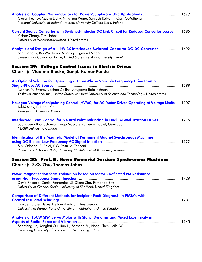| Analysis of Coupled Microinductors for Power-Supply-on-Chip Applications  1679<br>Ciaran Feeney, Maeve Duffy, Ningning Wang, Santosh Kulkarni, Cian O'Mathuna<br>National University of Ireland, Ireland; University College Cork, Ireland |  |  |
|--------------------------------------------------------------------------------------------------------------------------------------------------------------------------------------------------------------------------------------------|--|--|
| Current Source Converter with Switched-Inductor DC Link Circuit for Reduced Converter Losses  1685<br>Yichao Zhang, T.M. Jahns<br>University of Wisconsin-Madison, United States                                                           |  |  |
| Analysis and Design of a 1-kW 3X Interleaved Switched-Capacitor DC-DC Converter  1692<br>Shouxiang Li, Bin Wu, Keyue Smedley, Sigmond Singer<br>University of California, Irvine, United States; Tel Aviv University, Israel               |  |  |
| <b>Session 29: Voltage Control Issues in Electric Drives</b><br>Chair(s): Vladimir Blasko, Sanjib Kumar Panda                                                                                                                              |  |  |
| An Optimal Solution for Operating a Three-Phase Variable Frequency Drive from a                                                                                                                                                            |  |  |
| Mahesh M. Swamy, Joshua Collins, Anupama Balakrishnan<br>Yaskawa America, Inc., United States; Missouri University of Science and Technology, United States                                                                                |  |  |
| Hexagon Voltage Manipulating Control (HVMC) for AC Motor Drives Operating at Voltage Limits  1707<br>Jul-Ki Seok, SeHwan Kim<br>Yeungnam University, Korea                                                                                 |  |  |
| Interleaved PWM Control for Neutral Point Balancing in Dual 3-Level Traction Drives  1715<br>Subhadeep Bhattacharya, Diego Mascarella, Benoit Boulet, Geza Joos<br>McGill University, Canada                                               |  |  |
| <b>Identification of the Magnetic Model of Permanent Magnet Synchronous Machines</b><br>S.A. Odhano, R. Bojoi, S.G. Rosu, A. Tenconi<br>Politecnico di Torino, Italy; University "Politehnica" of Bucharest, Romania                       |  |  |
| Session 30: Prof. D. Howe Memorial Session: Synchronous Machines<br>Chair(s): Z.Q. Zhu, Thomas Jahns                                                                                                                                       |  |  |
| PMSM Magnetization State Estimation based on Stator - Reflected PM Resistance<br>David Reigosa, Daniel Fernandez, Zi-Qiang Zhu, Fernando Briz<br>University of Oviedo, Spain; University of Sheffield, United Kingdom                      |  |  |
| <b>Comparison of Different Methods for Incipient Fault Diagnosis in PMSMs with</b><br>Davide Barater, Jesus Arellano-Padilla, Chris Gerada                                                                                                 |  |  |
| University of Parma, Italy; University of Nottingham, United Kingdom                                                                                                                                                                       |  |  |
| Analysis of FSCW SPM Servo Motor with Static, Dynamic and Mixed Eccentricity in<br>Shaofeng Jia, Ronghai Qu, Jian Li, Zansong Fu, Hong Chen, Leilei Wu<br>Huazhong University of Science and Technology, China                             |  |  |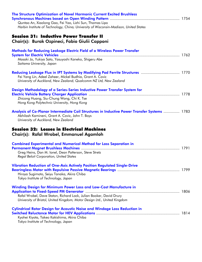| The Structure Optimization of Novel Harmonic Current Excited Brushless<br>Quntao An, Xiaolong Gao, Fei Yao, Lizhi Sun, Thomas Lipo<br>Harbin Institute of Technology, China; University of Wisconsin-Madison, United States |  |
|-----------------------------------------------------------------------------------------------------------------------------------------------------------------------------------------------------------------------------|--|
| <b>Session 31: Inductive Power Transfer II</b><br>Chair(s): Burak Ozpineci, Fabio Giulii Capponi                                                                                                                            |  |
| Methods for Reducing Leakage Electric Field of a Wireless Power Transfer<br>Masaki Jo, Yukiya Sato, Yasuyoshi Kaneko, Shigeru Abe<br>Saitama University, Japan                                                              |  |
| Reducing Leakage Flux in IPT Systems by Modifying Pad Ferrite Structures  1770<br>Fei Yang Lin, Adeel Zaheer, Mickel Budhia, Grant A. Covic<br>University of Auckland, New Zealand; Qualcomm NZ Ltd, New Zealand            |  |
| Design Methodology of a Series-Series Inductive Power Transfer System for<br>Zhicong Huang, Siu-Chung Wong, Chi K. Tse<br>Hong Kong Polytechnic University, Hong Kong                                                       |  |
| Analysis of Co-Planar Intermediate Coil Structures in Inductive Power Transfer Systems  1783<br>Abhilash Kamineni, Grant A. Covic, John T. Boys<br>University of Auckland, New Zealand                                      |  |
| <b>Session 32: Losses in Electrical Machines</b><br>Chair(s): Rafal Wrobel, Emmanuel Agamloh                                                                                                                                |  |
| <b>Combined Experimental and Numerical Method for Loss Separation in</b><br>Greg Heins, Dan M. Ionel, Dean Patterson, Steve Stretz<br><b>Regal Beloit Corporation, United States</b>                                        |  |
| Vibration Reduction of One-Axis Actively Position Regulated Single-Drive<br>Hiroya Sugimoto, Seiyu Tanaka, Akira Chiba<br>Tokyo Institute of Technology, Japan                                                              |  |
| <b>Winding Design for Minimum Power Loss and Low-Cost Manufacture in</b><br>Rafal Wrobel, Dave Staton, Richard Lock, Julian Booker, David Drury<br>University of Bristol, United Kingdom; Motor Design Ltd., United Kingdom |  |
| <b>Cylindrical Rotor Design for Acoustic Noise and Windage Loss Reduction in</b><br>Kyohei Kiyota, Takeo Kakishima, Akira Chiba<br>Tokyo Institute of Technology, Japan                                                     |  |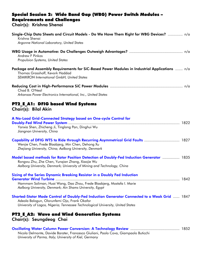#### Special Session 2: Wide Band Gap (WBG) Power Switch Modules – Requirements and Challenges Chair(s): Krishna Shenai

| Single-Chip Data Sheets and Circuit Models - Do We Have Them Right for WBG Devices?  n/a<br>Krishna Shenai<br>Argonne National Laboratory, United States                                                                                                |  |
|---------------------------------------------------------------------------------------------------------------------------------------------------------------------------------------------------------------------------------------------------------|--|
| <b>Andrew F Pinkos</b><br>Propulsion Systems, United States                                                                                                                                                                                             |  |
| Package and Assembly Requirements for SiC-Based Power Modules in Industrial Applications  n/a<br>Thomas Grasshoff, Kevork Haddad<br><b>SEMIKRON International GmbH, United States</b>                                                                   |  |
| Chad B. O'Neal<br>Arkansas Power Electronics International, Inc., United States                                                                                                                                                                         |  |
| PT2_E_A1: DFIG based Wind Systems<br>Chair(s): Bilal Akin                                                                                                                                                                                               |  |
| A No-Load Grid-Connected Strategy based on One-cycle Control for<br>Yanxia Shen, Zhicheng Ji, Tinglong Pan, Dinghui Wu<br>Jiangnan University, China                                                                                                    |  |
| Capability of DFIG WTS to Ride through Recurring Asymmetrical Grid Faults  1827<br>Wenjie Chen, Frede Blaabjerg, Min Chen, Dehong Xu<br>Zhejiang University, China; Aalborg University, Denmark                                                         |  |
| Model based methods for Rotor Position Detection of Doubly-Fed Induction Generator  1835<br>Rongwu Zhu, Zhe Chen, Yungian Zhang, Xiaojie Wu<br>Aalborg University, Denmark; University of Mining and Technology, China                                  |  |
| Sizing of the Series Dynamic Breaking Resistor in a Doubly Fed Induction<br>1842<br><b>Generator Wind Turbine</b><br>Hammam Soliman, Huai Wang, Dao Zhou, Frede Blaabjerg, Mostafa I. Marie<br>Aalborg University, Denmark; Ain Shams University, Egypt |  |
| Shorted-Stator Mode Control of Doubly-Fed Induction Generator Connected to a Weak Grid  1847<br>Adeola Balogun, Olorunfemi Ojo, Frank Okafor<br>University of Lagos, Nigeria; Tennessee Technological University, United States                         |  |
| <b>PT2 E A2: Wave and Wind Generation Systems</b><br>Chair(s): Seungdeog Choi                                                                                                                                                                           |  |
| Nicola Delmonte, Davide Barater, Francesco Giuliani, Paolo Cova, Giampaolo Buticchi                                                                                                                                                                     |  |

*University of Parma, Italy; University of Kiel, Germany*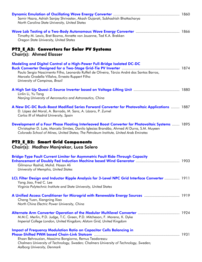| Samir Hazra, Ashish Sanjay Shrivastav, Akash Gujarati, Subhashish Bhattacharya<br>North Carolina State University, United States                                                                                                                                                       |  |
|----------------------------------------------------------------------------------------------------------------------------------------------------------------------------------------------------------------------------------------------------------------------------------------|--|
| Timothy M. Lewis, Bret Bosma, Annette von Jouanne, Ted K.A. Brekken<br>Oregon State University, United States                                                                                                                                                                          |  |
| PT2_E_A3: Converters for Solar PV Systems<br><b>Chair(s): Ahmed Elasser</b>                                                                                                                                                                                                            |  |
| Modeling and Digital Control of a High-Power Full-Bridge Isolated DC-DC<br>Paulo Sergio Nascimento Filho, Leonardo Ruffeil de Oliveira, Tárcio André dos Santos Barros,<br>Marcelo Gradella Villalva, Ernesto Ruppert Filho<br>University of Campinas, Brazil                          |  |
| Linlin Li, Yu Tang<br>Nanjing University of Aeronautics and Astronautics, China                                                                                                                                                                                                        |  |
| A New DC-DC Buck-Boost Modified Series Forward Converter for Photovoltaic Applications  1887<br>D. López del Moral, A. Barrado, M. Sanz, A. Lázaro, P. Zumel<br>Carlos III of Madrid University, Spain                                                                                 |  |
| Development of a Four Phase Floating Interleaved Boost Converter for Photovoltaic Systems  1895<br>Christopher D. Lute, Marcelo Simões, Danilo Iglesias Brandão, Ahmed Al Durra, S.M. Muyeen<br>Colorado School of Mines, United States; The Petroleum Institute, United Arab Emirates |  |
| PT2_E_B2: Smart Grid Components<br>Chair(s): Madhav Manjrekar, Luca Solero                                                                                                                                                                                                             |  |
| <b>Bridge-Type Fault Current Limiter for Asymmetric Fault Ride-Through Capacity</b><br>Gilmanur Rashid, Mohd. Hasan Ali<br>University of Memphis, United States                                                                                                                        |  |
| LCL Filter Design and Inductor Ripple Analysis for 3-Level NPC Grid Interface Converter  1911<br>Yang Jiao, Fred C. Lee<br>Virginia Polytechnic Institute and State University, United States                                                                                          |  |
| A Unified Access Conditioner for Microgrid with Renewable Energy Sources  1919<br>Chang Yuan, Xiangning Xiao<br>North China Electric Power University, China                                                                                                                           |  |
| M.M.C. Merlin, P.D. Judge, T.C. Green, P.D. Mitcheson, F. Moreno, K. Dyke<br>Imperial College London, United Kingdom; Alstom Grid, United Kingdom                                                                                                                                      |  |
| <b>Impact of Frequency Modulation Ratio on Capacitor Cells Balancing in</b><br>Ehsan Behrouzian, Massimo Bongiorno, Remus Teodorescu<br>Chalmers University of Technology, Sweden; Chalmers University of Technology, Sweden;<br>Aalborg University, Denmark                           |  |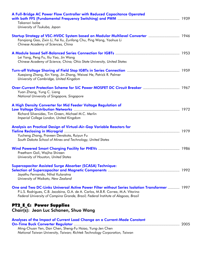| A Full-Bridge AC Power Flow Controller with Reduced Capacitance Operated<br>Takanori Isobe                                                                                                                                                                              |  |
|-------------------------------------------------------------------------------------------------------------------------------------------------------------------------------------------------------------------------------------------------------------------------|--|
| University of Tsukuba, Japan                                                                                                                                                                                                                                            |  |
| Startup Strategy of VSC-HVDC System based on Modular Multilevel Converter  1946<br>Fanqiang Gao, Zixin Li, Fei Xu, Zunfang Chu, Ping Wang, Yaohua Li<br>Chinese Academy of Sciences, China                                                                              |  |
| Lei Yang, Peng Fu, Xiu Yao, Jin Wang<br>Chinese Academy of Science, China; Ohio State University, United States                                                                                                                                                         |  |
| Xueqiang Zhang, Xin Yang, Jin Zhang, Weiwei He, Patrick R. Palmer<br>University of Cambridge, United Kingdom                                                                                                                                                            |  |
| Over-Current Protection Scheme for SiC Power MOSFET DC Circuit Breaker  1967<br>Yuan Zhang, Yung C. Liang<br>National University of Singapore, Singapore                                                                                                                |  |
| A High Density Converter for Mid Feeder Voltage Regulation of<br>Richard Silversides, Tim Green, Michael M.C. Merlin<br>Imperial College London, United Kingdom                                                                                                         |  |
| Analysis on Practical Design of Virtual-Air-Gap Variable Reactors for<br>Yucheng Zhang, Praveen Devakota, Ruiyun Fu<br>South Dakota School of Mines and Technology, United States                                                                                       |  |
| Preetham Goli, Wajiha Shireen<br>University of Houston, United States                                                                                                                                                                                                   |  |
| <b>Supercapacitor Assisted Surge Absorber (SCASA) Technique:</b><br>Jayathu Fernando, Nihal Kularatna<br>University of Waikato, New Zealand                                                                                                                             |  |
| One and Two DC-Links Universal Active Power Filter without Series Isolation Transformer  1997<br>P.L.S. Rodrigues, C.B. Jacobina, G.A. de A. Carlos, M.B.R. Correa, M.A. Vitorino<br>Federal University of Campina Grande, Brazil; Federal Institute of Alagoas, Brazil |  |
| <b>PT2_E_C: Power Supplies</b><br>Chair(s): Jean Luc Schanen, Shuo Wang                                                                                                                                                                                                 |  |
| Analyses of the Impact of Current Load Change on a Current-Mode Constant<br>Ming-Chuan Yen, Dan Chen, Sheng-Fu Hsiao, Yung-Jen Chen                                                                                                                                     |  |

*National Taiwan University, Taiwan; Richtek Technology Corporation, Taiwan*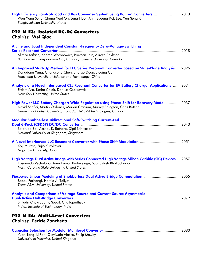| High Efficiency Point-of-Load and Bus Converter System using Built-in Converters  2013<br>Won-Yong Sung, Chang-Yeol Oh, Jung-Hoon Ahn, Byoung-Kuk Lee, Yun-Sung Kim<br>Sungkyunkwan University, Korea                                              |  |
|----------------------------------------------------------------------------------------------------------------------------------------------------------------------------------------------------------------------------------------------------|--|
| PT2_N_E3: Isolated DC-DC Converters                                                                                                                                                                                                                |  |
| Chair(s): Wei Qiao                                                                                                                                                                                                                                 |  |
| A Line and Load Independent Constant-Frequency Zero-Voltage-Switching                                                                                                                                                                              |  |
| Alireza Safaee, Konrad Woronowicz, Praveen Jain, Alireza Bakhshai<br>Bombardier Transportation Inc., Canada; Queen's University, Canada                                                                                                            |  |
| An Improved Start-Up Method for LLC Series Resonant Converter based on State-Plane Analysis  2026<br>Dongdong Yang, Changsong Chen, Shanxu Duan, Jiuqing Cai<br>Huazhong University of Science and Technology, China                               |  |
| Analysis of a Novel Interleaved CLL Resonant Converter for EV Battery Charger Applications  2031<br>Erdem Asa, Kerim Colak, Dariusz Czarkowski<br>New York University, United States                                                               |  |
| High Power LLC Battery Charger: Wide Regulation using Phase-Shift for Recovery Mode  2037<br>Navid Shafiei, Martin Ordonez, Marian Cracium, Murray Edington, Chris Botting<br>University of British Columbia, Canada; Delta-Q Technologies, Canada |  |
| <b>Modular Snubberless Bidirectional Soft-Switching Current-Fed</b><br>Satarupa Bal, Akshay K. Rathore, Dipti Srinivasan<br>National University of Singapore, Singapore                                                                            |  |
| Koji Murata, Fujio Kurokawa<br>Nagasaki University, Japan                                                                                                                                                                                          |  |
| High Voltage Dual Active Bridge with Series Connected High Voltage Silicon Carbide (SiC) Devices  2057<br>Kasunaidu Vechalapu, Arun Kumar Kadavelugu, Subhashish Bhattacharya<br>North Carolina State University, United States                    |  |
| Babak Farhangi, Hamid A. Toliyat<br>Texas A&M University, United States                                                                                                                                                                            |  |
| Analysis and Comparison of Voltage-Source and Current-Source Asymmetric<br>Shiladri Chakraborty, Souvik Chattopadhyay<br>Indian Institute of Technology, India                                                                                     |  |
| <b>PT2 N E4: Multi-Level Converters</b><br>Chair(s): Pericle Zanchetta                                                                                                                                                                             |  |
| Yuan Tang, Li Ran, Olayiwola Alatise, Philip Mawby<br>University of Warwick, United Kingdom                                                                                                                                                        |  |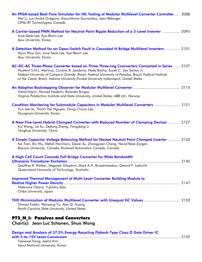| An FPGA-based Real-Time Simulator for HIL Testing of Modular Multilevel Converter Controller  2088<br>Wei Li, Luc-André Grégoire, Sisounthone Souvanlasy, Jean Bélanger<br>OPAL-RT Technologies, Canada                                                                                                                                                                                |  |
|----------------------------------------------------------------------------------------------------------------------------------------------------------------------------------------------------------------------------------------------------------------------------------------------------------------------------------------------------------------------------------------|--|
| A Carrier-based PWM Method for Neutral-Point Ripple Reduction of a 3-Level Inverter  2095<br>June-Seok Lee, Kyo-Beum Lee<br>Ajou University, Korea                                                                                                                                                                                                                                     |  |
| A Detection Method for an Open-Switch Fault in Cascaded H-Bridge Multilevel Inverters  2101<br>Hyun-Woo Sim, June-Seok Lee, Kyo-Beum Lee<br>Ajou University, Korea                                                                                                                                                                                                                     |  |
| AC-DC-AC Three-Phase Converter based on Three Three-Leg Cconverters Connected in Series  2107<br>Nustenil S.M.L. Marinus, Cursino B. Jacobina, Nady Rocha, Euzeli C. dos Santos Jr.<br>Federal University of Campina Grande, Brazil; Federal University of Paraiba, Brazil; Federal Institute<br>of the Ceará, Brazil; Indiana University-Purdue University Indianapoli, United States |  |
| Vahid Najmi, Hamed Nademi, Rolando Burgos<br>Virginia Polytechnic Institute and State University, United States; ABB Ltd., Norway                                                                                                                                                                                                                                                      |  |
| Condition Monitoring for Submodule Capacitors in Modular Multilevel Converters  2121<br>Yun-Jae Jo, Thanh Hai Nguyen, Dong-Choon Lee<br>Yeungnam University, Korea                                                                                                                                                                                                                     |  |
| A New Five-Level Hybrid-Clamped Converter with Reduced Number of Clamping Devices  2127<br>Kui Wang, Lie Xu, Zedong Zheng, Yongdong Li<br>Tsinghua University, China                                                                                                                                                                                                                   |  |
| A Simple Capacitor Voltage Balancing Method for Nested Neutral Point Clamped Inverter  2133<br>Kai Tian, Bin Wu, Mehdi Narimani, Dewei Xu, Zhongyuan Cheng, Navid Reza Zargari<br>Ryerson University, Canada; Rockwell Automation Canada, Canada                                                                                                                                       |  |
| A High Cell Count Cascade Full Bridge Converter for Wide Bandwidth<br>Geoffrey R. Walker, Negareh Ghasemi, Mark A.H. Broadmeadow, Gerard F. Ledwich<br>Queensland University of Technology, Australia                                                                                                                                                                                  |  |
| <b>Improved Thermal Management of Multi-Level Converter Building Module to</b><br>Hidemine Obara, Yukihiko Sato<br>Chiba University, Japan                                                                                                                                                                                                                                             |  |
| Ghazal Falahi, Wensong Yu, Alex Q. Huang<br>North Carolina State University, United States                                                                                                                                                                                                                                                                                             |  |
| <b>PT2 N I: Passives and Converters</b><br>Chair(s): Jean Luc Schanen, Shuo Wang                                                                                                                                                                                                                                                                                                       |  |
| Design and Analysis of 37.5% Energy-Recycling Flyback-Type Class-D Gate Driver IC<br>Tagwook Kana Japha Kim                                                                                                                                                                                                                                                                            |  |

Taewook Kang, Jaeha Kim *Seoul National University, Korea*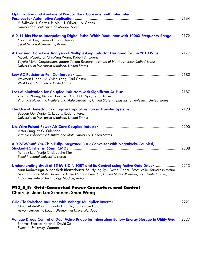| Optimization and Analysis of PwrSoc Buck Converter with Integrated<br>V. Šviković, J. Cortes, P. Alou, J. Oliver, J.A. Cobos<br>Universidad Politécnica de Madrid, Spain                                                                                                                                                                                 |  |
|----------------------------------------------------------------------------------------------------------------------------------------------------------------------------------------------------------------------------------------------------------------------------------------------------------------------------------------------------------|--|
| A 9-11 Bits Phase-Interpolating Digital Pulse-Width Modulator with 1000X Frequency Range  2172<br>Yoontaek Lee, Taewook Kang, Jaeha Kim<br>Seoul National University, Korea                                                                                                                                                                              |  |
| A Transient Core Loss Analysis of Multiple-Gap Inductor Designed for the 2010 Prius  2177<br>Masaki Wasekura, Chi-Ming Wang, Robert D. Lorenz<br>Toyota Motor Corporation, Japan; Toyota Research Institute of North America, United States;<br>University of Wisconsin-Madison, United States                                                           |  |
| Weyman Lundquist, Vivien Yang, Carl Castro<br>West Coast Magnetics, United States                                                                                                                                                                                                                                                                        |  |
| Zhemin Zhang, Milisav Danilovic, Khai D.T. Ngo, Jeff L. Nilles<br>Virginia Polytechnic Institute and State University, United States; Texas Instruments Inc., United States                                                                                                                                                                              |  |
| Baoyun Ge, Daniel C. Ludois, Rodolfo Perez<br>University of Wisconsin-Madison, United States                                                                                                                                                                                                                                                             |  |
| Victor Sung, W.G. Odendaal<br>Virginia Polytechnic Institute and State University, United States                                                                                                                                                                                                                                                         |  |
| A 0.76W/mm <sup>2</sup> On-Chip Fully-Integrated Buck Converter with Negatively-Coupled,<br>Minbok Lee, Yunju Choi, Jaeha Kim<br>Seoul National University, Korea                                                                                                                                                                                        |  |
| Understanding dv/dt of 15 kV SiC N-IGBT and its Control using Active Gate Driver  2213<br>Arun Kadavelugu, Subhashish Bhattacharya, Sei-Hyung Ryu, David Grider, Scott Leslie, Kamalesh Hatua<br>North Carolina State University, United States; Cree, Inc, United States; Powerex, Inc., United States;<br>Indian Institute of Technology Madras, India |  |
| PT2_S_F: Grid-Connected Power Converters and Control<br>Chair(s): Jean Luc Schanen, Shuo Wang                                                                                                                                                                                                                                                            |  |
| Omar Abdel-Rahim, Funato Hirohito, Junnosuke Haruna<br>Aswan University, Egypt; Utsunomiya University, Japan                                                                                                                                                                                                                                             |  |

| Voltage Droop Control of Dual Active Bridge for Integrating Battery Energy Storage to Utility Grid  2227 |  |
|----------------------------------------------------------------------------------------------------------|--|
| Srinivas Bhaskar Karanki, David Xu                                                                       |  |
| $\mathsf{R}$ . The state $\mathsf{R}$ is the state of $\mathsf{R}$                                       |  |

*Ryerson University, Canada*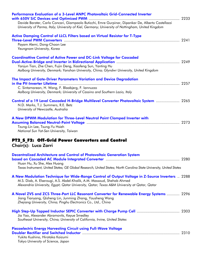| Performance Evaluation of a 3-Level ANPC Photovoltaic Grid-Connected Inverter<br>Davide Barater, Carlo Concari, Giampaolo Buticchi, Emre Gurpinar, Dipankar De, Alberto Castellazzi                                                                                      |  |
|--------------------------------------------------------------------------------------------------------------------------------------------------------------------------------------------------------------------------------------------------------------------------|--|
| University of Parma, Italy; University of Kiel, Germany; University of Nottingham, United Kingdom                                                                                                                                                                        |  |
| <b>Active Damping Control of LLCL Filters based on Virtual Resistor for T-Type</b><br>Payam Alemi, Dong-Choon Lee<br>Yeungnam University, Korea                                                                                                                          |  |
| <b>Coordinattive Control of Active Power and DC-Link Voltage for Cascaded</b><br>Yanjun Tian, Zhe Chen, Fujin Deng, Xiaofeng Sun, Yanting Hu<br>Aalborg University, Denmark; Yanshan University, China; Glyndwr University, United Kingdom                               |  |
| The Impact of Gate-Driver Parameters Variation and Device Degradation<br>C. Sintamarean, H. Wang, F. Blaabjerg, F. lannuzzo<br>Aalborg University, Denmark; University of Cassino and Southern Lazio, Italy                                                              |  |
| Control of a 19 Level Cascaded H-Bridge Multilevel Converter Photovoltaic System  2265<br>N.D. Marks, T.J. Summers, R.E. Betz<br>University of Newcastle, Australia                                                                                                      |  |
| A New DPWM Modulation for Three-Level Neutral Point Clamped Inverter with<br>Tzung-Lin Lee, Tsung-Yu Hsieh<br>National Sun Yat-Sen University, Taiwan                                                                                                                    |  |
| PT2_S_F2: Off-Grid Power Converters and Control<br>Chair(s): Luca Zarri                                                                                                                                                                                                  |  |
| <b>Decentralized Architecture and Control of Photovoltaic Generation System</b><br>Huan Hu, Xu She, Alex Huang<br>Texas Instrument, United States; GE Global Research, United States; North Carolina State University, United States                                     |  |
| A New Modulation Technique for Wide-Range Control of Output Voltage in Z-Source Inverters  2288<br>M.S. Diab, A. Elserougi, A.S. Abdel-Khalik, A.M. Massoud, Shehab Ahmed<br>Alexandria University, Egypt; Qatar University, Qatar; Texas A&M University at Qatar, Qatar |  |
| A Novel ZVS and ZCS Three-Port LLC Resonant Converter for Renewable Energy Systems  2296<br>Jiang Tianyang, Qizheng Lin, Junming Zhang, Yousheng Wang<br>Zhejiang University, China; Pinghu Electronics Co., Ltd., China                                                 |  |
| Jia Yao, Alexander Abramovitz, Keyue Smedley<br>Southeast University, China; University of California, Irvine, United States                                                                                                                                             |  |
| Piezoelectric Energy Harvesting Circuit using Full-Wave Voltage<br>Yukito Kushino, Hirotaka Koizumi<br>Tokyo University of Science, Japan                                                                                                                                |  |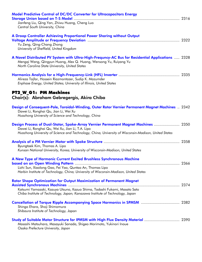| <b>Model Predictive Control of DC/DC Converter for Ultracapacitors Energy</b>                                                             |  |
|-------------------------------------------------------------------------------------------------------------------------------------------|--|
|                                                                                                                                           |  |
| Jianfeng Liu, Qing Yan, Zhiwu Huang, Cheng Luo<br>Central South University, China                                                         |  |
|                                                                                                                                           |  |
| A Droop Controller Achieving Proportional Power Sharing without Output                                                                    |  |
|                                                                                                                                           |  |
| Yu Zeng, Qing-Chang Zhong                                                                                                                 |  |
| University of Sheffield, United Kingdom                                                                                                   |  |
|                                                                                                                                           |  |
| A Novel Distributed PV System with Ultra-High-Frequncy-AC Bus for Residential Applications  2328                                          |  |
| Mengqi Wang, Qingyun Huang, Alex Q. Huang, Wensong Yu, Ruiyang Yu<br>North Carolina State University, United States                       |  |
|                                                                                                                                           |  |
|                                                                                                                                           |  |
| Alireza Tajfar, Hossein Riazmontazer, Sudip K. Mazumder                                                                                   |  |
| Enphase Energy, United States; University of Illinois, United States                                                                      |  |
|                                                                                                                                           |  |
| PT2_W_G1: PM Machines                                                                                                                     |  |
| Chair(s): Abraham Gebregergis, Akira Chiba                                                                                                |  |
|                                                                                                                                           |  |
| Design of Consequent-Pole, Toroidal-Winding, Outer Rotor Vernier Permanent Magnet Machines  2342<br>Dawei Li, Ronghai Qu, Jian Li, Wei Xu |  |
| Huazhong University of Science and Technology, China                                                                                      |  |
|                                                                                                                                           |  |
| Design Process of Dual-Stator, Spoke-Array Vernier Permanent Magnet Machines  2350                                                        |  |
| Dawei Li, Ronghai Qu, Wei Xu, Jian Li, T.A. Lipo                                                                                          |  |
| Huazhong University of Science and Technology, China; University of Wisconsin-Madison, United States                                      |  |
|                                                                                                                                           |  |
| Byungtaek Kim, Thomas A. Lipo                                                                                                             |  |
| Kunsan National University, Korea; University of Wisconsin-Madison, United States                                                         |  |
|                                                                                                                                           |  |
| A New Type of Harmonic Current Excited Brushless Synchronous Machine                                                                      |  |
|                                                                                                                                           |  |
| Lizhi Sun, Xiaolong Gao, Fei Yao, Quntao An, Thomas Lipo                                                                                  |  |
| Harbin Institute of Technology, China; University of Wisconsin-Madison, United States                                                     |  |
| <b>Rotor Shape Optimization for Output Maximization of Permanent Magnet</b>                                                               |  |
|                                                                                                                                           |  |
| Katsumi Yamazaki, Kazuya Utsuno, Kazuo Shima, Tadashi Fukami, Masato Sato                                                                 |  |
| Chiba Institute of Technology, Japan; Kanazawa Institute of Technology, Japan                                                             |  |
|                                                                                                                                           |  |
|                                                                                                                                           |  |
| Shingo Ehara, Shoji Shimomura                                                                                                             |  |
| Shibaura Institute of Technology, Japan                                                                                                   |  |
| Study of Suitable Motor Structure for IPMSM with High Flux Density Material  2390                                                         |  |
| Masashi Matsuhara, Masayuki Sanada, Shigeo Morimoto, Yukinori Inoue                                                                       |  |
| Osaka Prefecture University, Japan                                                                                                        |  |
|                                                                                                                                           |  |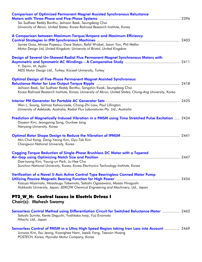| <b>Comparison of Optimized Permanent Magnet Assisted Synchronous Reluctance</b><br>Sai Sudheer Reddy Bonthu, Jeihoon Baek, Seungdeog Choi<br>University of Akron, United States; Korea Railroad Research Institute, Korea                                       |      |
|-----------------------------------------------------------------------------------------------------------------------------------------------------------------------------------------------------------------------------------------------------------------|------|
| A Comparison between Maximum Torque/Ampere and Maximum Efficiency<br>James Goss, Mircea Popescu, Dave Staton, Rafal Wrobel, Jason Yon, Phil Mellor<br>Motor Design Ltd, United Kingdom; University of Bristol, United Kingdom                                   |      |
| Design of Several Un-Skewed Radial Flux Permanent Magnet Synchronous Motors with<br>Y. Demir, M. Aydin<br>MDS Motor Design Ltd., Turkey; Kocaeli University, Turkey                                                                                             |      |
| <b>Optimal Design of Five-Phase Permanent Magnet Assisted Synchronous</b><br>Jeihoon Baek, Sai Sudheer Reddy Bonthu, Sangshin Kwak, Seungdeog Choi<br>Korea Railroad Research Institute, Korea; University of Akron, United States; Chung-Ang University, Korea |      |
| Wen L. Soong, Solmaz Kahourzade, Chong-Zhi Liaw, Paul Lillington<br>University of Adelaide, Australia; Radial Flux Laboratories Pty. Ltd., Australia                                                                                                            |      |
| Prediction of Magnetically Induced Vibration in a PMSM using Time Stretched Pulse Excitation  2434<br>Doyeon Kim, Jeongyong Song, Gunhee Jang<br>Hanyang University, Korea                                                                                      |      |
| Min-Chul Kang, Dong-Yeong Kim, Gyu-Tak Kim<br>Changwon National University, Korea                                                                                                                                                                               |      |
| <b>Cogging Torque Reduction of Single-Phase Brushless DC Motor with a Tapered</b><br>Dae-kyong Kim, Young-un Park, Ju-Hee Cho<br>Sunchon National University, Korea; Korea Electronics Technology Institute, Korea                                              | 2447 |
| Verification of a Novel 5-Axis Active Control Type Bearingless Canned Motor Pump<br>Kazuya Miyamoto, Masatsugu Takemoto, Satoshi Ogasawara, Masao Hiragushi<br>Hokkaido University, Japan; SEIKOW Chemical Engneering and Machinery, Ltd., Japan                |      |
| PT2_W_H: Control Issues in Electric Drives I<br>Chair(s): Mahesh Swamy                                                                                                                                                                                          |      |
| Sensorless Control Method using Differentiation Circuit for Switched Reluctance Motor  2462<br>Satoshi Sumita, Kenta Deguchi, Yoshitaka Iwaji, Yuji Enomoto<br>Hitachi, Ltd., Japan                                                                             |      |
| Sensorless Control of PMSM in a Ultra High Speed Region taking Iron Loss into Account  2469<br>Junwoo Kim, Ilsu Jeong, Kwanghee Nam, Jaesik Yang, Taewon Hwang<br>POSTECH, Korea; Hyundai Motor Company, Korea                                                  |      |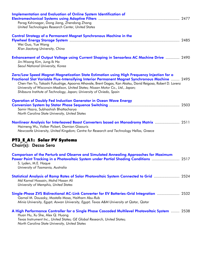| <b>Implementation and Evaluation of Online System Identification of</b><br>Parag Kshirsagar, Dong Jiang, Zhendong Zhang<br>United Technologies Research Center, United States                                                                                                                                                                                                                                                                                       |  |
|---------------------------------------------------------------------------------------------------------------------------------------------------------------------------------------------------------------------------------------------------------------------------------------------------------------------------------------------------------------------------------------------------------------------------------------------------------------------|--|
| <b>Control Strategy of a Permanent Magnet Synchronous Machine in the</b><br>Wei Guo, Yue Wang<br>Xi'an Jiaotong University, China                                                                                                                                                                                                                                                                                                                                   |  |
| <b>Enhancement of Output Voltage using Current Shaping in Sensorless AC Machine Drive  2490</b><br>Jin-Woong Kim, Jung-Ik Ha<br>Seoul National University, Korea                                                                                                                                                                                                                                                                                                    |  |
| Zero/Low Speed Magnet Magnetization State Estimation using High Frequency Injection for a<br>Fractional Slot Variable Flux-Intensifying Interior Permanent Magnet Synchronous Machine  2495<br>Chen-Yen Yu, Takashi Fukushige, Apoorva Athavale, Brent Gagas, Kan Akatsu, David Reigosa, Robert D. Lorenz<br>University of Wisconsin-Madison, United States; Nissan Motor Co., Ltd., Japan;<br>Shibaura Institute of Technology, Japan; University of Oviedo, Spain |  |
| <b>Operation of Doubly Fed Induction Generator in Ocean Wave Energy</b><br>Samir Hazra, Subhashish Bhattacharya<br>North Carolina State University, United States                                                                                                                                                                                                                                                                                                   |  |
| Nonlinear Analysis for Interleaved Boost Converters based on Monodromy Matrix  2511<br>Haimeng Wu, Volker Pickert, Damian Giaouris<br>Newcastle University, United Kingdom; Centre for Research and Technology Hellas, Greece                                                                                                                                                                                                                                       |  |
| <b>PT3 E A1: Solar PV Systems</b><br>Chair(s): Dezso Sera                                                                                                                                                                                                                                                                                                                                                                                                           |  |
| <b>Comparison of the Perturb and Observe and Simulated Annealing Approaches for Maximum</b><br>Power Point Tracking in a Photovoltaic System under Partial Shading Conditions  2517<br>S. Lyden, M.E. Haque<br>University of Tasmania, Australia                                                                                                                                                                                                                    |  |
| Statistical Analysis of Ramp Rates of Solar Photovoltaic System Connected to Grid  2524<br>Md Kamal Hossain, Mohd Hasan Ali<br>University of Memphis, United States                                                                                                                                                                                                                                                                                                 |  |
| Single-Phase ZVS Bidirectional AC-Link Converter for EV Batteries-Grid Integration  2532<br>Gamal M. Dousoky, Mostafa Mosa, Haitham Abu-Rub<br>Minia University, Egypt; Aswan University, Egypt; Texas A&M University at Qatar, Qatar                                                                                                                                                                                                                               |  |
| A High Performance Controller for a Single Phase Cascaded Multilevel Photovoltaic System  2538<br>Huan Hu, Xu She, Alex Q. Huang<br>Texas Instrument Inc., United States; GE Global Research, United States;<br>North Carolina State University, United States                                                                                                                                                                                                      |  |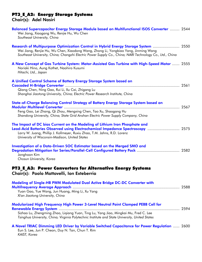#### PT3\_E\_A2: Energy Storage Systems Chair(s): Adel Nasiri

| <b>Balanced Supercapacitor Energy Storage Module based on Multifunctional ISOS Converter </b> 2544<br>Wei Jiang, Xiaogang Wu, Renjie Hu, Wu Chen<br>Southeast University, China                                                                                                               |  |
|-----------------------------------------------------------------------------------------------------------------------------------------------------------------------------------------------------------------------------------------------------------------------------------------------|--|
| Research of Multipurpose Optimization Control in Hybrid Energy Storage System  2550<br>Wei Jiang, Renjie Hu, Wu Chen, Xiaodong Wang, Zhong Li, Yongbiao Yang, Jinming Wang<br>Southeast University, China; Changzhi Electric Power Supply Co., China; NARI Technology Co., Ltd., China        |  |
| A New Concept of Gas Turbine System: Motor-Assisted Gas Turbine with High-Speed Motor  2555<br>Noriaki Hino, Aung Kothet, Naohiro Kusumi<br>Hitachi, Ltd., Japan                                                                                                                              |  |
| A Unified Control Scheme of Battery Energy Storage System based on                                                                                                                                                                                                                            |  |
| Qiang Chen, Ning Gao, Rui Li, Xu Cai, Zhigang Lu<br>Shanghai Jiaotong University, China; Electric Power Research Institute, China                                                                                                                                                             |  |
| State-of-Charge Balancing Control Strategy of Battery Energy Storage System based on                                                                                                                                                                                                          |  |
| Feng Gao, Lei Zhang, Qi Zhou, Mengxing Chen, Tao Xu, Shaogang Hu<br>Shandong University, China; State Grid Anshan Electric Power Supply Company, China                                                                                                                                        |  |
| The Impact of DC bias Current on the Modeling of Lithium Iron Phosphate and<br>Lead-Acid Batteries Observed using Electrochemical Impedance Spectroscopy  2575<br>Larry W. Juang, Phillip J. Kollmeyer, Ruxiu Zhao, T.M. Jahns, R.D. Lorenz<br>University of Wisconsin-Madison, United States |  |
| Investigation of a Data-Driven SOC Estimator based on the Merged SMO and<br>Jonghoon Kim<br>Chosun University, Korea                                                                                                                                                                          |  |
| PT3_E_A3: Power Converters for Alternative Energy Systems<br>Chair(s): Paolo Mattavelli, Ion Exteberria                                                                                                                                                                                       |  |
| Modeling of Single-HB PWM Modulated Dual Active Bridge DC-DC Converter with                                                                                                                                                                                                                   |  |
| Yuan Gao, Yue Wang, Jun Huang, Ming Li, Xu Yang<br>Xi'an Jiaotong University, China                                                                                                                                                                                                           |  |
| Modularized High Frequency High Power 3-Level Neutral Point Clamped PEBB Cell for                                                                                                                                                                                                             |  |
| Sizhao Lu, Zhengming Zhao, Ligiang Yuan, Ting Lu, Yang Jiao, Mingkai Mu, Fred C. Lee<br>Tsinghua University, China; Virginia Polytechnic Institute and State University, United States                                                                                                        |  |
| A Novel TRIAC Dimming LED Driver by Variable Switched Capacitance for Power Regulation  2600<br>$\sim$ $\sim$ $\sim$ $\sim$ $\sim$                                                                                                                                                            |  |

Eun S. Lee, Jun P. Cheon, Duy N. Tan, Chun T. Rim *KAIST, Korea*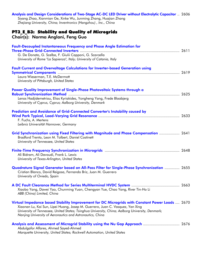| Analysis and Design Considerations of Two-Stage AC-DC LED Driver without Electrolytic Capacitor  2606<br>Siyang Zhao, Xianmian Ge, Xinke Wu, Junming Zhang, Huajian Zhang<br>Zhejiang University, China; Inventronics (Hangzhou), Inc., China                                                                                                      |  |
|----------------------------------------------------------------------------------------------------------------------------------------------------------------------------------------------------------------------------------------------------------------------------------------------------------------------------------------------------|--|
| PT3_E_B3: Stability and Quality of Microgrids<br>Chair(s): Norma Anglani, Feng Guo                                                                                                                                                                                                                                                                 |  |
| <b>Fault-Decoupled Instantaneous Frequency and Phase Angle Estimation for</b><br>G. De Donato, G. Scelba, F. Giulii Capponi, G. Scarcella<br>University of Rome "La Sapienza", Italy; University of Catania, Italy                                                                                                                                 |  |
| <b>Fault Current and Overvoltage Calculations for Inverter-based Generation using</b><br>Laura Wieserman, T.E. McDermott<br>University of Pittsburgh, United States                                                                                                                                                                                |  |
| Power Quality Improvement of Single-Phase Photovoltaic Systems through a<br>Lenos Hadjidemetriou, Elias Kyriakides, Yongheng Yang, Frede Blaabjerg<br>University of Cyprus, Cyprus; Aalborg University, Denmark                                                                                                                                    |  |
| Prediction and Avoidance of Grid-Connected Converter's Instability caused by<br>F. Fuchs, A. Mertens<br>Leibniz Universität Hannover, Germany                                                                                                                                                                                                      |  |
| Grid Synchronization using Fixed Filtering with Magnitude and Phase Compensation  2641<br>Bradford Trento, Leon M. Tolbert, Daniel Costinett<br>University of Tennessee, United States                                                                                                                                                             |  |
| Ali Bidram, Ali Davoudi, Frank L. Lewis<br>University of Texas-Arlington, United States                                                                                                                                                                                                                                                            |  |
| Quadrature Signal Generator based on All-Pass Filter for Single-Phase Synchronization  2655<br>Cristian Blanco, David Reigosa, Fernando Briz, Juan M. Guerrero<br>University of Oviedo, Spain                                                                                                                                                      |  |
| Xiaobo Yang, Dawei Yao, Chunming Yuan, Chengyan Yue, Chao Yang, River Tin-Ho Li<br>ABB (China) Limited, China                                                                                                                                                                                                                                      |  |
| Virtual Impedance based Stability Improvement for DC Microgrids with Constant Power Loads  2670<br>Xiaonan Lu, Kai Sun, Lipei Huang, Josep M. Guerrero, Juan C. Vasquez, Yan Xing<br>University of Tennessee, United States; Tsinghua University, China; Aalborg University, Denmark;<br>Nanjing University of Aeronautics and Astronautics, China |  |
| Analysis and Assessment of Microgrid Stability using the Nu Gap Approach  2676<br>Abdulgafor Alfares, Ahmed Sayed-Ahmed<br>Marquette University, United States; Rockwell Automation, United States                                                                                                                                                 |  |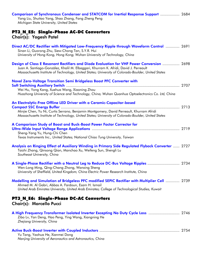| Michigan State University, United States                                                                                                                                                                                                                                                  |  |
|-------------------------------------------------------------------------------------------------------------------------------------------------------------------------------------------------------------------------------------------------------------------------------------------|--|
| PT3_N_E5: Single-Phase AC-DC Converters<br>Chair(s): Yogesh Patel                                                                                                                                                                                                                         |  |
| Direct AC/DC Rectifier with Mitigated Low-Frequency Ripple through Waveform Control  2691<br>Sinan Li, Guorong Zhu, Siew-Chong Tan, S.Y.R. Hui<br>University of Hong Kong, Hong Kong; Wuhan University of Technology, China                                                               |  |
| Design of Class E Resonant Rectifiers and Diode Evaluation for VHF Power Conversion  2698<br>Juan A. Santiago-González, Khalil M. Elbaggari, Khurram K. Afridi, David J. Perreault<br>Massachusetts Institute of Technology, United States; University of Colorado-Boulder, United States |  |
| Novel Zero-Voltage Transition Semi Bridgeless Boost PFC Converter with                                                                                                                                                                                                                    |  |
| Wei Hu, Yong Kang, Xuehua Wang, Xiaoning Zhou<br>Huazhong University of Science and Technology, China; Wuhan Quanhua Optoelectronics Co. Ltd, China                                                                                                                                       |  |
| An Electrolytic-Free Offline LED Driver with a Ceramic-Capacitor-based<br>Minjie Chen, Yu Ni, Curtis Serrano, Benjamin Montgomery, David Perreault, Khurram Afridi<br>Massachusetts Institute of Technology, United States; University of Colorado-Boulder, United States                 |  |
| A Comparison Study of Boost and Buck-Boost Power Factor Corrector for<br>Sheng-Yang Yu, Hung-Chi Chen<br>Texas Instruments Inc., United States; National Chiao Tung University, Taiwan                                                                                                    |  |
| Analysis on Ringing Effect of Auxiliary Winding in Primary Side Regulated Flyback Converter  2727<br>Taizhi Zhang, Qinsong Qian, Manchao Xu, Weifeng Sun, Shengli Lu<br>Southeast University, China                                                                                       |  |
| A Single-Phase Rectifier with a Neutral Leg to Reduce DC-Bus Voltage Ripples  2734<br>Wen-Long Ming, Qing-Chang Zhong, Wanxing Sheng<br>University of Sheffield, United Kingdom; China Electric Power Research Institute, China                                                           |  |
| Modelling and Simulation of Bridgeless PFC modified SEPIC Rectifier with Multiplier Cell  2739<br>Ahmed M. Al Gabri, Abbas A. Fardoun, Esam H. Ismail<br>United Arab Emirates University, United Arab Emirates; College of Technological Studies, Kuwait                                  |  |
| PT3_N_E6: Single-Phase DC-AC Converters<br>Chair(s): Marcello Pucci                                                                                                                                                                                                                       |  |
| A High Frequency Transformer Isolated Inverter Excepting No Duty Cycle Loss  2746<br>Zibo Lv, Yan Deng, Hao Peng, Ying Wang, Xiangning He<br>Zhejiang University, China                                                                                                                   |  |
| Yu Tang, Yaohua He, Xianmei Dong<br>Nanjing University of Aeronautics and Astronautics, China                                                                                                                                                                                             |  |

Comparison of Synchronous Condenser and STATCOM for Inertial Response Support .................. 2684

Yang Liu, Shuitao Yang, Shao Zhang, Fang Zheng Peng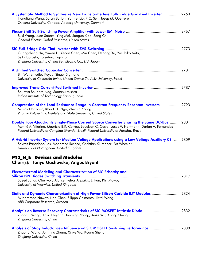| A Systematic Method to Synthesize New Transformerless Full-Bridge Grid-Tied Inverter  2760<br>Hongliang Wang, Sarah Burton, Yan-fei Liu, P.C. Sen, Josep M. Guerrero<br>Queen's University, Canada; Aalborg University, Denmark                                                         |  |
|-----------------------------------------------------------------------------------------------------------------------------------------------------------------------------------------------------------------------------------------------------------------------------------------|--|
| Ruxi Wang, Juan Sabate, Ying Mei, Jianguo Xiao, Song Chi<br>General Electric Global Research, United States                                                                                                                                                                             |  |
| Guangcheng Hu, Yawen Li, Yenan Chen, Min Chen, Dehong Xu, Yasuhiko Arita,<br>Seiki Igarashi, Tatsuhiko Fujihira<br>Zhejiang University, China; Fuji Electric Co., Ltd, Japan                                                                                                            |  |
| Bin Wu, Smedley Keyue, Singer Sigmond<br>University of California-Irvine, United States; Tel-Aviv University, Israel                                                                                                                                                                    |  |
| Soumya Shubhra Nag, Santanu Mishra<br>Indian Institute of Technology Kanpur, India                                                                                                                                                                                                      |  |
| Compression of the Load Resistance Range in Constant Frequency Resonant Inverters  2793<br>Milisav Danilovic, Khai D.T. Ngo, Zhemin Zhang<br>Virginia Polytechnic Institute and State University, United States                                                                         |  |
| Double Four-Quadrants Single-Phase Current Source Converter Sharing the Same DC-Bus  2801<br>Montiê A. Vitorino, Maurício B.R. Corrêa, Louelson C. Costa, Lucas V. Hartmann, Darlan A. Fernandes<br>Federal University of Campina Grande, Brazil; Federal University of Paraiba, Brazil |  |
| A Hybrid Inverter System for Medium Voltage Applications using a Low Voltage Auxiliary CSI  2809<br>Savvas Papadopoulos, Mohamed Rashed, Christian Klumpner, Pat Wheeler<br>University of Nottingham, United Kingdom                                                                    |  |
| PT3_N_I: Devices and Modules<br>Chair(s): Tanya Gachovska, Angus Bryant                                                                                                                                                                                                                 |  |
| <b>Electrothermal Modeling and Characterization of SiC Schottky and</b><br>Saeed Jahdi, Olayiwola Alatise, Petros Alexakis, Li Ran, Phil Mawby<br>University of Warwick, United Kingdom                                                                                                 |  |
| Static and Dynamic Characterization of High Power Silicon Carbide BJT Modules  2824<br>Muhammad Nawaz, Nan Chen, Filippo Chimento, Liwei Wang<br>ABB Corporate Research, Sweden                                                                                                         |  |
| Analysis on Reverse Recovery Characteristics of SiC MOSFET Intrinsic Diode  2832<br>Zhaohui Wang, Jiajia Ouyang, Junming Zhang, Xinke Wu, Kuang Sheng<br>Zhejiang University, China                                                                                                     |  |
| Analysis of Stray Inductance's Influence on SiC MOSFET Switching Performance  2838<br>Zhaohui Wang, Junming Zhang, Xinke Wu, Kuang Sheng<br>Zhejiang University, China                                                                                                                  |  |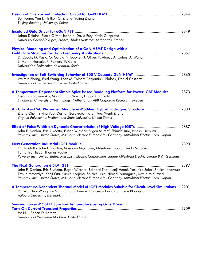| Bo Huang, Yan Li, Trillion Q. Zheng, Yajing Zhang<br>Beijing Jiaotong University, China                                                                                                                                                                                                                                   |  |
|---------------------------------------------------------------------------------------------------------------------------------------------------------------------------------------------------------------------------------------------------------------------------------------------------------------------------|--|
| Johan Delaine, Pierre-Olivier Jeannin, David Frey, Kevin Guepratte<br>University Grenoble Alpes, France; Thales Systemes Aeroportes, France                                                                                                                                                                               |  |
| Physical Modeling and Optimization of a GaN HEMT Design with a<br>D. Cucak, M. Vasic, O. Garcia, Y. Bouvier, J. Oliver, P. Alou, J.A. Cobos, A. Wang,<br>S. Martin-Horcajo, F. Romero, F. Calle<br>Universidad Politecnica de Madrid, Spain                                                                               |  |
| Weimin Zhang, Fred Wang, Leon M. Tolbert, Benjamin J. Blalock, Daniel Costinett<br>University of Tennessee-Knoxville, United States                                                                                                                                                                                       |  |
| A Temperature Dependent Simple Spice based Modeling Platform for Power IGBT Modules  2873<br>Georgios Sfakianakis, Muhammad Nawaz, Filippo Chimento<br>Eindhoven University of Technology, Netherlands; ABB Corporate Research, Sweden                                                                                    |  |
| An Ultra-Fast SiC Phase-Leg Module in Modified Hybrid Packaging Structure  2880<br>Zheng Chen, Yiying Yao, Dushan Boroyevich, Khai Ngo, Wenli Zhang<br>Virginia Polytechnic Institute and State University, United States                                                                                                 |  |
| John F. Donlon, Eric R. Motto, Eugen Wiesner, Eugen Stumpf, Shinichi Iura, Hitoshi Uemura<br>Powerex, Inc., United States; Mitsubishi Electric Europe B.V., Germany; Mitsubishi Electric Corp., Japan                                                                                                                     |  |
| Eric R. Motto, John F. Donlon, Masaomi Miyazawa, Mitsuharu Tabata, Hiroki Muraoka,<br>Tomohiro Hieda, Thomas Radke<br>Powerex Inc., United States; Mitsubishi Electric Corporation, Japan; Mitsubishi Electric Europe B.V., Germany                                                                                       |  |
| John F. Donlon, Eric R. Motto, Eugen Wiesner, Eckhard Thal, Kenji Hatori, Yasuhiro Sakai, Shuichi Kitamura,<br>Tetsuo Motomiya, Kenji Ota, Yumie Kitajima, Shinichi Iura, Hiroshi Yamaguchi, Kazuhiro Kurachi<br>Powerex, Inc., United States; Mitsubishi Electric Europe B.V., Germany; Mitsubishi Electric Corp., Japan |  |
| A Temperature-Dependent Thermal Model of IGBT Modules Suitable for Circuit-Level Simulations  2901<br>Rui Wu, Huai Wang, Ke Ma, Pramod Ghimire, Francesco lannuzzo, Frede Blaabjerg<br>Aalborg University, Denmark                                                                                                        |  |
| <b>Sensing Power MOSFET Junction Temperature using Gate Drive</b>                                                                                                                                                                                                                                                         |  |
| He Niu, Robert D. Lorenz                                                                                                                                                                                                                                                                                                  |  |

*University of Wisconsin Madison, United States*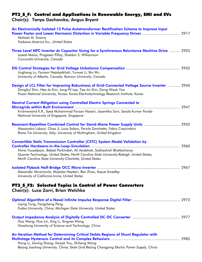### PT3\_S\_F: Control and Applications in Renewable Energy, EMI and EVs

#### Chair(s): Tanya Gachovska, Angus Bryant

| An Electronically Isolated 12 Pulse Autotransformer Rectification Scheme to Improve Input<br>Power Factor and Lower Harmonic Distortion in Variable Frequency Drives  2917<br>Mahesh M. Swamy<br>Yaskawa America Inc., United States                                                                                    |  |
|-------------------------------------------------------------------------------------------------------------------------------------------------------------------------------------------------------------------------------------------------------------------------------------------------------------------------|--|
| Three Level NPC Inverter dc Capacitor Sizing for a Synchronous Reluctance Machine Drive  2925<br>Lesedi Masisi, Pragasen Pillay, Sheldon S. Williamson<br>Concordia University, Canada                                                                                                                                  |  |
| Jinghang Lu, Farzam Nejabatkhah, Yunwei Li, Bin Wu<br>University of Alberta, Canada; Ryerson University, Canada                                                                                                                                                                                                         |  |
| Design of LCL Filter for Improving Robustness of Grid-Connected Voltage Source Inverter  2940<br>DongSul Shin, Hee-Je Kim, Jong-Pil Lee, Tae-Jin Kim, Dong-Wook Yoo<br>Pusan National University, Korea; Korea Electrotechnology Research Institute, Korea                                                              |  |
| <b>Neutral Current Mitigation using Controlled Electric Springs Connected to</b><br>Krishnanand K.R., Syed Muhammad Farzan Hasani, Jayantika Soni, Sanjib Kumar Panda<br>National University of Singapore, Singapore                                                                                                    |  |
| Resonant-Repetitive Combined Control for Stand-Alone Power Supply Units  2952<br>Alessandro Lidozzi, Chao Ji, Luca Solero, Pericle Zanchetta, Fabio Crescimbini<br>Roma Tre University, Italy; University of Nottingham, United Kingdom                                                                                 |  |
| <b>Convertible Static Transmission Controller (CSTC) System Model Validation by</b><br>Nima Yousefpoor, Babak Parkhideh, Ali Azidehak, Subhashish Bhattacharya<br>Quanta Technology, United States; North Carolina State University-Raleigh, United States;<br>North Carolina State University-Charlotte, United States |  |
| Alexander Abramovitz, Mojtaba Heydari, Ben Zhao, Keyue Smedley<br>University of California-Irvine, United States                                                                                                                                                                                                        |  |
| PT3_S_F2: Selected Topics in Control of Power Converters<br>Chair(s): Luca Zarri, Brian Welchko                                                                                                                                                                                                                         |  |
| Liging Tong, Fangzheng Peng<br>Fudan University, China; Michigan State University, United States                                                                                                                                                                                                                        |  |
| Hua Wang, Hua Lin, Xing Li, Xingwei Wang<br>Huazhong University of Science and Technology, China                                                                                                                                                                                                                        |  |
| An Iteration Method for Determining Critical Stable Regions of Shunt Regulator with<br>Hong Li, Jianing Shang, Xiaojie You, Shiheng Wang<br>Beijing Jiaotong University, China; State Grid Beijing Changping Electric Power Supply, China                                                                               |  |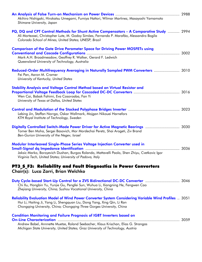| Akihiro Nishigaki, Hirokatsu Umegami, Fumiya Hattori, Wilmar Martinez, Masayoshi Yamamoto<br>Shimane University, Japan                                                                                                                                         |  |
|----------------------------------------------------------------------------------------------------------------------------------------------------------------------------------------------------------------------------------------------------------------|--|
| PQ, DQ and CPT Control Methods for Shunt Active Compensators - A Comparative Study  2994<br>Ali Mortezaei, Christopher Lute, M. Godoy Simões, Fernando P. Marafão, Alessandro Bogila<br>Colorado School of Mines, United States; UNESP, Brazil                 |  |
| <b>Comparison of the Gate Drive Parameter Space for Driving Power MOSFETs using</b><br>Mark A.H. Broadmeadow, Geoffrey R. Walker, Gerard F. Ledwich<br>Queensland University of Technology, Australia                                                          |  |
| Reduced-Order Multifrequency Averaging in Naturally Sampled PWM Converters  3010<br>Fei Pan, Aaron M. Cramer<br>University of Kentucky, United States                                                                                                          |  |
| Stability Analysis and Voltage Control Method based on Virtual Resistor and<br>Wen Cai, Babak Fahimi, Eva Cosoroaba, Fan Yi<br>University of Texas at Dallas, United States                                                                                    |  |
| Lebing Jin, Staffan Norrga, Oskar Wallmark, Mojgan Nikouei Harnefors<br>KTH Royal Institute of Technology, Sweden                                                                                                                                              |  |
| Digitally Controlled Switch-Mode Power Driver for Active Magnetic Bearings  3030<br>Tomer Ben Moha, Sergei Basovich, Mor Mordechai Peretz, Shai Arogeti, Ziv Brand<br>Ben-Gurion University of the Negev, Israel                                               |  |
| Modular Interleaved Single-Phase Series Voltage Injection Converter used in<br>3036<br>Jaksic Marko, Boroyevich Dushan, Burgos Rolando, Mattavelli Paolo, Shen Zhiyu, Cvetkovic Igor<br>Virginia Tech, United States; University of Padova, Italy              |  |
| PT3_S_F3: Reliability and Fault Diagnostics in Power Converters<br>Chair(s): Luca Zarri, Brian Welchko                                                                                                                                                         |  |
| Duty Cycle-based Start-Up Control for a ZVS Bidirectional DC-DC Converter  3046<br>Chi Xu, Hongbin Yu, Yunjie Gu, Pengfei Sun, Wuhua Li, Xiangning He, Fengwen Cao<br>Zhejiang University, China; Suzhou Vocational University, China                          |  |
| <b>Reliability Evaluation Model of Wind Power Converter System Considering Variable Wind Profiles</b> 3051<br>Hui Li, Haiting Ji, Yang Li, Shengquan Liu, Dong Yang, Xing Qin, Li Ran<br>Chongqing University, China; Chongqing Three Gorges University, China |  |
| <b>Condition Monitoring and Failure Prognosis of IGBT Inverters based on</b><br>Andrew Babel, Annnette Muetze, Roland Seebacher, Klaus Krischan, Elias G. Strangas<br>Michigan State University, United States; Graz University of Technology, Austria         |  |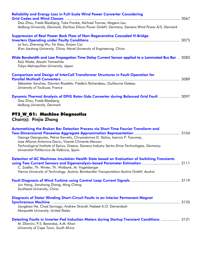| Dao Zhou, Frede Blaabjerg, Toke Franke, Michael Tonnes, Mogens Lau<br>Aalborg University, Denmark; Danfoss Silicon Power GmbH, Germany; Siemens Wind Power A/S, Denmark                                                                                                                                                           |  |
|-----------------------------------------------------------------------------------------------------------------------------------------------------------------------------------------------------------------------------------------------------------------------------------------------------------------------------------|--|
| <b>Suppression of Real Power Back Flow of Non-Regenerative Cascaded H-Bridge</b><br>Le Sun, Zhenxing Wu, Fei Xiao, Xinjian Cai<br>Xi'an Jiaotong University, China; Naval University of Engineering, China                                                                                                                        |  |
| Wide Bandwidth and Low Propagation Time Delay Current Sensor applied to a Laminated Bus Bar  3083<br>Keiji Wada, Atsushi Yamashita<br>Tokyo Metropolitan University, Japan                                                                                                                                                        |  |
| <b>Comparison and Design of InterCell Transformer Structures in Fault-Operation for</b><br>Sébastien Sanchez, Damien Risaletto, Frédéric Richardeau, Guillaume Gateau<br>University of Toulouse, France                                                                                                                           |  |
| Dynamic Thermal Analysis of DFIG Rotor-Side Converter during Balanced Grid Fault  3097<br>Dao Zhou, Frede Blaabjerg<br>Aalborg University, Denmark                                                                                                                                                                                |  |
| PT3_W_G1: Machine Diagnostics<br>Chair(s): Pinjia Zhang                                                                                                                                                                                                                                                                           |  |
| Automatizing the Broken Bar Detection Process via Short Time Fourier Transform and<br>George Georgoulas, Petros Karvelis, Chrysostomos D. Stylios, Ioannis P. Tsoumas,<br>Jose Alfonso Antonino-Daviu, Vicente Climente-Alarcon                                                                                                   |  |
| Technological Institute of Epirus, Greece; Siemens Industry Sector-Drive Technologies, Germany;<br>Universitat Politècnica de València, Spain                                                                                                                                                                                     |  |
| Detection of AC Machines Insulation Health State based on Evaluation of Switching Transients<br>using Two Current Sensors and Eigenanalysis-based Parameter Estimation  3111<br>C. Zoeller, Th. Winter, Th. Wolbank, M. Vogelsberger<br>Vienna University of Technology, Austria; Bombardier Transportation Austria GmbH, Austria |  |
| Jun Hang, Jianzhong Zhang, Ming Cheng<br>Southeast University, China                                                                                                                                                                                                                                                              |  |
| Diagnosis of Stator Winding Short-Circuit Faults in an Interior Permanent Magnet<br>Jiangbiao He, Chad Somogyi, Andrew Strandt, Nabeel A.O. Demerdash<br>Marquette University, United States                                                                                                                                      |  |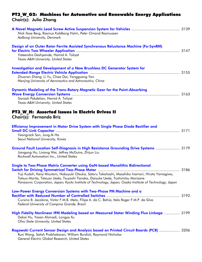#### PT3\_W\_G2: Machines for Automotive and Renewable Energy Applications Chair(s): Julia Zhang

| Nick Ilsoe Berg, Rasmus Koldborg Holm, Peter Omand Rasmussen<br>Aalborg University, Denmark                                                                                                                                                                                                                                                                                       |      |
|-----------------------------------------------------------------------------------------------------------------------------------------------------------------------------------------------------------------------------------------------------------------------------------------------------------------------------------------------------------------------------------|------|
| Design of an Outer Rotor Ferrite Assisted Synchronous Reluctance Machine (Fa-SynRM)<br>Yateendra Deshpande, Hamid A. Toliyat<br>Texas A&M University, United States                                                                                                                                                                                                               |      |
| <b>Investigation and Development of a New Brushless DC Generator System for</b><br>Zhuoran Zhang, Li Yu, Chao Dai, Yangguang Yan<br>Nanjing University of Aeronautics and Astronautics, China                                                                                                                                                                                     |      |
| Dynamic Modeling of the Trans-Rotary Magnetic Gear for the Point-Absorbing<br>Siavash Pakdelian, Hamid A. Toliyat<br>Texas A&M University, United States                                                                                                                                                                                                                          |      |
| PT3_W_H: Assorted Issues in Electric Drives II<br>Chair(s): Fernando Briz                                                                                                                                                                                                                                                                                                         |      |
| Efficiency Improvement in Motor Drive System with Single Phase Diode Rectifier and<br>Yeongrack Son, Jung-Ik Ha<br>Seoul National University, Korea                                                                                                                                                                                                                               |      |
| Ground Fault Location Self-Diagnosis in High Resistance Grounding Drive Systems  3179<br>Jiangang Hu, Lixiang Wei, Jeffrey McGuire, Zhijun Liu<br>Rockwell Automation Inc., United States                                                                                                                                                                                         |      |
| Single to Two-Phase Matrix Converter using GaN-based Monolithic Bidirectional<br>Yuji Kudoh, Kenji Mizutani, Nobuyuki Otsuka, Satoru Takahashi, Masahiko Inamori, Hiroto Yamagiwa,<br>Tatsuo Morita, Tetsuzo Ueda, Tsuyoshi Tanaka, Daisuke Ueda, Toshimitsu Morizane<br>Panasonic Corporation, Japan; Kyoto Institute of Technology, Japan; Osaka Institute of Technology, Japan | 3186 |
| Low-Power Energy Conversion Systems with Two-Phase PM Machine and a<br>Cursino B. Jacobina, Victor F.M.B. Melo, Filipe A. da C. Bahia, Italo Roger F.M.P. da Silva<br>Federal University of Campina Grande, Brazil                                                                                                                                                                |      |
| High Fidelity Nonlinear IPM Modeling based on Measured Stator Winding Flux Linkage  3199                                                                                                                                                                                                                                                                                          |      |

Dakai Hu, Yazan Alsmadi, Longya Xu *Ohio State University, United States*  Rogowski Current Sensor Design and Analysis based on Printed Circuit Boards (PCB) ................... 3206

Ruxi Wang, Satish Prabhakaran, William Burdick, Raymond Nicholas *General Electric Global Research, United States*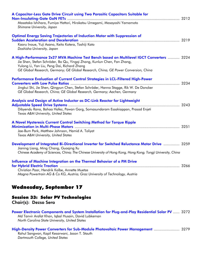| A Capacitor-Less Gate Drive Circuit using Two Parasitic Capacitors Suitable for                                                                                                                                                                                                                          |  |
|----------------------------------------------------------------------------------------------------------------------------------------------------------------------------------------------------------------------------------------------------------------------------------------------------------|--|
| Masataka Ishihara, Fumiya Hattori, Hirokatsu Umegami, Masayoshi Yamamoto<br>Shimane University, Japan                                                                                                                                                                                                    |  |
| <b>Optimal Energy Saving Trajectories of Induction Motor with Suppression of</b><br>Kaoru Inoue, Yuji Asano, Keito Kotera, Toshiji Kato<br>Doshisha University, Japan                                                                                                                                    |  |
| A High-Performance 2x27 MVA Machine Test Bench based on Multilevel IGCT Converters  3224<br>Jie Shen, Stefan Schröder, Bo Qu, Yingqi Zhang, Kunlun Chen, Fan Zhang,<br>Yulong Li, Yan Liu, Peng Dai, Richard Zhang<br>GE Global Research, Germany; GE Global Research, China; GE Power Conversion, China |  |
| Performance Evaluation of Current Control Strategies in LCL-Filtered High-Power<br>Jingkui Shi, Jie Shen, Qingyun Chen, Stefan Schröder, Hanno Stagge, Rik W. De Doncker<br>GE Global Research, China; GE Global Research, Germany; Aachen, Germany                                                      |  |
| Analysis and Design of Active Inductor as DC-Link Reactor for Lightweight<br>Dibyendu Rana, Bahaa Hafez, Pawan Garg, Somasundaram Essakiappan, Prasad Enjeti<br>Texas A&M University, United States                                                                                                      |  |
| A Novel Hysteresis Current Control Switching Method for Torque Ripple<br>Jae-Bum Park, Matthew Johnson, Hamid A. Toliyat<br>Texas A&M University, United States                                                                                                                                          |  |
| Development of Integrated Bi-Directional Inverter for Switched Reluctance Motor Drive  3259<br>Jianing Liang, Ming Chang, Guoging Xu<br>Chinese Academy of Sciences, China; The Chinese University of Hong Kong, Hong Kong; Tongji University, China                                                     |  |
| Influence of Machine Integration on the Thermal Behavior of a PM Drive<br>Christian Paar, Hendrik Kolbe, Annette Muetze<br>Magna Powertrain AG & Co KG, Austria; Graz University of Technology, Austria                                                                                                  |  |

# Wednesday, September 17

# Session 33: Solar PV Technologies

Chair(s): Dezso Sera

Power Electronic Components and System Installation for Plug-and-Play Residential Solar PV ...... 3272 Md Tanvir Arafat Khan, Iqbal Husain, David Lubkeman *North Carolina State University, United States* 

| High-Density Power Converters for Sub-Module Photovoltaic Power Management  3279 |                                                 |  |
|----------------------------------------------------------------------------------|-------------------------------------------------|--|
|                                                                                  | Rahul Sangwan, Kapil Kesarwani, Jason T. Stauth |  |
|                                                                                  | Dartmouth College, United States                |  |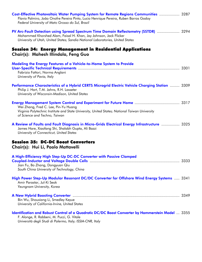| Cost-Effective Photovoltaic Water Pumping System for Remote Regions Communities  3287<br>Flavio Palmiro, João Onofre Pereira Pinto, Lucio Henrique Pereira, Ruben Barros Godoy<br>Federal University of Mato Grosso do Sul, Brazil          |  |
|---------------------------------------------------------------------------------------------------------------------------------------------------------------------------------------------------------------------------------------------|--|
| PV Arc-Fault Detection using Spread Spectrum Time Domain Reflectometry (SSTDR)  3294<br>Mohammed Khorshed Alam, Faisal H. Khan, Jay Johnson, Jack Flicker<br>University of Utah, United States; Sandia National Laboratories, United States |  |
| Session 34: Energy Management in Residential Applications<br>Chair(s): Mahesh Illindala, Feng Guo                                                                                                                                           |  |
| Modeling the Energy Features of a Vehicle-to-Home System to Provide<br>Fabrizio Fattori, Norma Anglani<br>University of Pavia, Italy                                                                                                        |  |
| Performance Characteristics of a Hybrid CERTS Microgrid Electric Vehicle Charging Station  3309<br>Philip J. Hart, T.M. Jahns, R.H. Lasseter<br>University of Wisconsin-Madison, United States                                              |  |
| Wei Zhang, Fred C. Lee, Pin-Yu Huang<br>Virginia Polytechnic Institute and State University, United States; National Taiwan University<br>of Science and Techno, Taiwan                                                                     |  |
| A Review of Faults and Fault Diagnosis in Micro-Grids Electrical Energy Infrastructure  3325<br>James Hare, Xiaofang Shi, Shalabh Gupta, Ali Bazzi<br>University of Connecticut, United States                                              |  |
| <b>Session 35: DC-DC Boost Converters</b><br>Chair(s): Hui Li, Paolo Mattavelli                                                                                                                                                             |  |
| A High-Efficiency High Step-Up DC-DC Converter with Passive Clamped<br>Jian Fu, Bo Zhang, Dongyuan Qiu<br>South China University of Technology, China                                                                                       |  |
| High Power Step-Up Modular Resonant DC/DC Converter for Offshore Wind Energy Systems  3341<br>Amir Parastar, Jul-Ki Seok<br>Yeungnam University, Korea                                                                                      |  |
| Bin Wu, Shouxiang Li, Smedley Keyue<br>University of California-Irvine, United States                                                                                                                                                       |  |
| Identification and Robust Control of a Quadratic DC/DC Boost Converter by Hammerstein Model  3355<br>F. Alonge, R. Rabbeni, M. Pucci, G. Vitale<br>Università degli Studi di Palermo, Italy; ISSIA-CNR, Italy                               |  |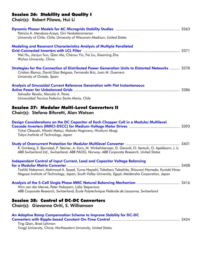### Session 36: Stability and Quality I

| Chair(s): Robert Pilawa, Hui Li                                                                                                                                                                                                                                                                   |      |
|---------------------------------------------------------------------------------------------------------------------------------------------------------------------------------------------------------------------------------------------------------------------------------------------------|------|
| Patricio A. Mendoza-Araya, Giri Venkataramanan<br>University of Chile, Chile; University of Wisconsin-Madison, United States                                                                                                                                                                      |      |
| <b>Modeling and Resonant Characteristics Analysis of Multiple Paralleled</b><br>Wei Hu, Jianjun Sun, Qian Ma, Chenxu Yin, Fei Liu, Xiaoming Zha<br>Wuhan University, China                                                                                                                        |      |
| Strategies for the Connection of Distributed Power Generation Units to Distorted Networks  3378<br>Cristian Blanco, David Diaz Reigosa, Fernando Briz, Juan M. Guerrero<br>University of Oviedo, Spain                                                                                            |      |
| <b>Analysis of Sinusoidal Current Reference Generation with Flat Instantaneous</b><br>Salvador Revelo, Marcelo A. Perez<br>Universidad Tecnica Federico Santa Maria, Chile<br>Session 37: Modular Multi-Level Converters II<br>Chair(s): Stefano Bifaretti, Alan Watson                           |      |
| Design Considerations on the DC Capacitor of Each Chopper Cell in a Modular Multilevel<br>Yuhei Okazaki, Hitoshi Matsui, Makoto Hagiwara, Hirofumi Akagi<br>Tokyo Institute of Technology, Japan                                                                                                  |      |
| R. Grinberg, E. Bjornstad, P. Steimer, A. Korn, M. Winkelnkemper, D. Gerardi, O. Senturk, O. Apeldoorn, J. Li<br>ABB Switzerland Ltd., Switzerland; ABB PAOG, Norway; ABB Corporate Research, United States                                                                                       |      |
| <b>Independent Control of Input Current, Load and Capacitor Voltage Balancing</b><br>Toshiki Nakamori, Mahmoud A. Sayed, Yuma Hayashi, Takaharu Takeshita, Shizunori Hamada, Kuniaki Hirao<br>Nagoya Institute of Technology, Japan; South Valley University, Egypt; Meidensha Corporation, Japan | 3408 |
| Wim van der Merwe, Peter Hokayem, Lidia Stepanova<br>ABB Corporate Research, Switzerland; École Polytechnique Fédérale de Lausanne, Switzerland                                                                                                                                                   |      |
| <b>Session 38: Control of DC-DC Converters</b><br>Chair(s): Giovanna Oriti, S. Williamson                                                                                                                                                                                                         |      |
| An Adaptive Ramp Compensation Scheme to Improve Stability for DC-DC                                                                                                                                                                                                                               |      |

#### Ting Qian, Brad Lehman *Tongji University, China; Northeastern University, United States*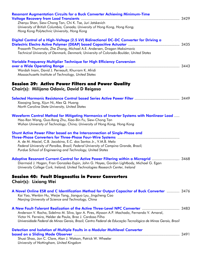| <b>Resonant Augmentation Circuits for a Buck Converter Achieving Minimum-Time</b><br>Zhenyu Shan, Siew-Chong Tan, Chi K. Tse, Juri Jatskevich<br>University of British Columbia, Canada; University of Hong Kong, Hong Kong;<br>Hong Kong Polytechnic University, Hong Kong                          |      |
|------------------------------------------------------------------------------------------------------------------------------------------------------------------------------------------------------------------------------------------------------------------------------------------------------|------|
| Digital Control of a High-Voltage (2.5 kV) Bidirectional DC-DC Converter for Driving a<br>Prasanth Thummala, Zhe Zhang, Michael A.E. Andersen, Dragan Maksimovic<br>Technical University of Denmark, Denmark; University of Colorado-Boulder, United States                                          |      |
| Variable Frequency Multiplier Technique for High Efficiency Conversion<br>Wardah Inam, David J. Perreault, Khurram K. Afridi<br>Massachusetts Institute of Technology, United States                                                                                                                 |      |
| <b>Session 39: Active Power Filters and Power Quality</b><br>Chair(s): Milijana Odavic, David D Reigosa                                                                                                                                                                                              |      |
| Xiaoqing Song, Xijun Ni, Alex Q. Huang<br>North Carolina State University, United States                                                                                                                                                                                                             |      |
| Waveform Control Method for Mitigating Harmonics of Inverter Systems with Nonlinear Load<br>Hao-Ran Wang, Guo-Rong Zhu, Xiao-Bin Fu, Siew-Chong Tan<br>Wuhan University of Technology, China; University of Hong Kong, Hong Kong                                                                     |      |
| Shunt Active Power Filter based on the Interconnection of Single-Phase and<br>A. de M. Maciel, C.B. Jacobina, E.C. dos Santos Jr., V.M.B. Melo<br>Federal University of Paraíba, Brazil; Federal University of Campina Grande, Brazil;<br>Purdue School of Engineering and Technology, United States |      |
| Adaptive Resonant Current-Control for Active Power Filtering within a Microgrid<br>Diarmaid J. Hogan, Fran Gonzalez-Espin, John G. Hayes, Gordon Lightbody, Michael G. Egan<br>University College Cork, Ireland; United Technologies Research Center, Ireland                                        | 3468 |
| <b>Session 40: Fault Diagnostics in Power Converters</b><br>Chair(s): Lixiang Wei                                                                                                                                                                                                                    |      |
| A Novel Online ESR and C Identification Method for Output Capacitor of Buck Converter  3476<br>Kai Yao, Wenbin Hu, Weijie Tang, Jianguo Lyu, Jingcheng Cao<br>Nanjing University of Science and Technology, China                                                                                    |      |
| Anderson V. Rocha, Sidelmo M. Silva, Igor A. Pires, Alysson A.P. Machado, Fernando V. Amaral,<br>Victor N. Ferreira, Helder de Paula, Braz J. Cardoso Filho<br>Universidade Federal de Minas Gerais, Brazil; Centro Federal de Educação Tecnológica de Minas Gerais, Brazil                          |      |
| Detection and Isolation of Multiple Faults in a Modular Multilevel Converter<br>Shuai Shao, Jon C. Clare, Alan J. Watson, Patrick W. Wheeler<br>University of Nottingham, United Kingdom                                                                                                             |      |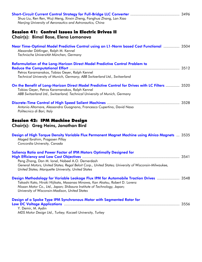| Shuo Liu, Ren Ren, Wuji Meng, Xinxin Zheng, Fanghua Zhang, Lan Xiao<br>Nanjing University of Aeronautics and Astronautics, China                                                                                                                                                                  |  |
|---------------------------------------------------------------------------------------------------------------------------------------------------------------------------------------------------------------------------------------------------------------------------------------------------|--|
| <b>Session 41: Control Issues in Electric Drives II</b><br>Chair(s): Bimal Bose, Elena Lomonova                                                                                                                                                                                                   |  |
| Near Time-Optimal Model Predictive Control using an L1-Norm based Cost Functional  3504<br>Alexander Dötlinger, Ralph M. Kennel<br>Technische Universität München, Germany                                                                                                                        |  |
| Reformulation of the Long-Horizon Direct Model Predictive Control Problem to<br>Petros Karamanakos, Tobias Geyer, Ralph Kennel<br>Technical University of Munich, Germany; ABB Switzerland Ltd., Switzerland                                                                                      |  |
| On the Benefit of Long-Horizon Direct Model Predictive Control for Drives with LC Filters  3520<br>Tobias Geyer, Petros Karamanakos, Ralph Kennel<br>ABB Switzerland Ltd., Switzerland; Technical University of Munich, Germany                                                                   |  |
| Antonio Altomare, Alessandra Guagnano, Francesco Cupertino, David Naso<br>Politecnico di Bari, Italy                                                                                                                                                                                              |  |
| <b>Session 42: IPM Machine Design</b><br>Chair(s): Greg Heins, Jonathan Bird                                                                                                                                                                                                                      |  |
| Design of High Torque Density Variable Flux Permanent Magnet Machine using Alnico Magnets  3535<br>Maged Ibrahim, Pragasen Pillay<br>Concordia University, Canada                                                                                                                                 |  |
| Saliency Ratio and Power Factor of IPM Motors Optimally Designed for<br>Peng Zhang, Dan M. Ionel, Nabeel A.O. Demerdash<br>General Motors, United States; Regal Beloit Corp., United States; University of Wisconsin-Milwaukee,<br>United States; Marquette University, United States             |  |
| Design Methodology for Variable Leakage Flux IPM for Automobile Traction Drives  3548<br>Takashi Kato, Hiroki Hijikata, Masanao Minowa, Kan Akatsu, Robert D. Lorenz<br>Nissan Motor Co., Ltd., Japan; Shibaura Institute of Technology, Japan;<br>University of Wisconsin-Madison, United States |  |
| Design of a Spoke Type IPM Synchronous Motor with Segmented Rotor for<br>Y. Demir, M. Aydin<br>MDS Motor Design Ltd., Turkey; Kocaeli University, Turkey                                                                                                                                          |  |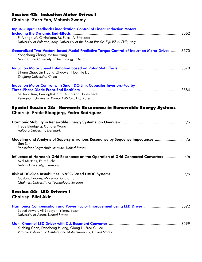# Session 43: Induction Motor Drives I

# Chair(s): Zach Pan, Mahesh Swamy

| <b>Input-Output Feedback Linearization Control of Linear Induction Motors</b><br>F. Alonge, M. Cirrincione, M. Pucci, A. Sferlazza<br>University of Palermo, Italy; University of the South Pacific, Fiji; ISSIA-CNR, Italy |
|-----------------------------------------------------------------------------------------------------------------------------------------------------------------------------------------------------------------------------|
| <b>Generalized Two-Vectors-based Model Predictive Torque Control of Induction Motor Drives  3570</b><br>Yongchang Zhang, Haitao Yang<br>North China University of Technology, China                                         |
| Lihang Zhao, Jin Huang, Zhaowen Hou, He Liu<br>Zhejiang University, China                                                                                                                                                   |
| <b>Induction Motor Control with Small DC-Link Capacitor Inverters-Fed by</b><br>SeHwan Kim, GwangRok Kim, Anno Yoo, Jul-Ki Seok<br>Yeungnam University, Korea; LSIS Co., Ltd, Korea                                         |
| Special Session 3A: Harmonic Resonance in Renewable Energy Systems<br>Chair(s): Frede Blaagjerg, Pedro Rodriguez                                                                                                            |
| Frede Blaabjerg, Xiongfei Wang<br>Aalborg University, Denmark                                                                                                                                                               |
| Modeling and Analysis of Supersynchronous Resonance by Sequence Impedances  n/a<br>Jian Sun<br>Rensselaer Polytechnic Institute, United States                                                                              |
| Influence of Harmonic Grid Resonance on the Operation of Grid-Connected Converters  n/a<br>Axel Mertens, Felix Fuchs<br>Leibniz University, Germany                                                                         |
| Gustavo Pinares, Massimo Bongiorno<br>Chalmers University of Technology, Sweden                                                                                                                                             |
| <b>Session 44: LED Drivers I</b><br>Chair(s): Bilal Akin                                                                                                                                                                    |
| Harmonics Compensation and Power Factor Improvement using LED Driver  3592<br>Saeed Anwar, Ali Elrayyah, Yilmaz Sozer<br>University of Akron, United States                                                                 |
| Xuebing Chen, Daocheng Huang, Qiang Li, Fred C. Lee<br>Virginia Polytechnic Institute and State University, United States                                                                                                   |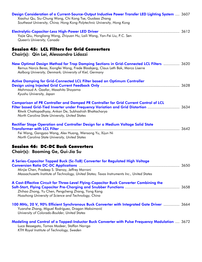| Design Consideration of a Current-Source-Output Inductive Power Transfer LED Lighting System  3607<br>Xiaohui Qu, Siu-Chung Wong, Chi Kong Tse, Guobao Zhang<br>Southeast University, China; Hong Kong Polytechnic University, Hong Kong                                                        |  |
|-------------------------------------------------------------------------------------------------------------------------------------------------------------------------------------------------------------------------------------------------------------------------------------------------|--|
| Yajie Qiu, Hongliang Wang, Zhiyuan Hu, Laili Wang, Yan-Fei Liu, P.C. Sen<br>Queen's University, Canada                                                                                                                                                                                          |  |
| <b>Session 45: LCL Filters for Grid Converters</b><br>Chair(s): Qin Lei, Alessandro Lidozzi                                                                                                                                                                                                     |  |
| New Optimal Design Method for Trap Damping Sections in Grid-Connected LCL Filters  3620<br>Remus Narcis Beres, Xiongfei Wang, Frede Blaabjerg, Claus Leth Bak, Marco Liserre<br>Aalborg University, Denmark; University of Kiel, Germany                                                        |  |
| <b>Active Damping for Grid-Connected LCL Filter based on Optimum Controller</b><br>Mahmoud A. Gaafar, Masahito Shoyama<br>Kyushu University, Japan                                                                                                                                              |  |
| <b>Comparison of PR Controller and Damped PR Controller for Grid Current Control of LCL</b><br>Filter based Grid-Tied Inverter under Frequency Variation and Grid Distortion  3634<br>Ritwik Chattopadhyay, Ankan De, Subhashish Bhattacharya<br>North Carolina State University, United States |  |
| Rectifier Stage Operation and Controller Design for a Medium Voltage Solid State<br>Transformer with LCL Filter<br>Fei Wang, Gangyao Wang, Alex Huang, Wensong Yu, Xijun Ni<br>North Carolina State University, United States                                                                   |  |
| <b>Session 46: DC-DC Buck Converters</b><br>Chair(s): Baoming Ge, Gui-Jia Su                                                                                                                                                                                                                    |  |
| A Series-Capacitor Tapped Buck (Sc-TaB) Converter for Regulated High Voltage<br>Minjie Chen, Pradeep S. Shenoy, Jeffrey Morroni<br>Massachusetts Institute of Technology, United States; Texas Instruments Inc., United States                                                                  |  |
| A Cost-Effective Circuit for Three-Level Flying-Capacitor Buck Converter Combining the<br>Zhihao Zhong, Yu Chen, Pengcheng Zhang, Yong Kang<br>Huazhong University of Science and Technology, China                                                                                             |  |
| 100 MHz, 20 V, 90% Efficient Synchronous Buck Converter with Integrated Gate Driver  3664<br>Yuanzhe Zhang, Miguel Rodríguez, Dragan Maksimović<br>University of Colorado-Boulder, United States                                                                                                |  |
| Modeling and Control of a Tapped-Inductor Buck Converter with Pulse Frequency Modulation  3672<br>Luca Bessegato, Tomas Modeer, Staffan Norrga<br>KTH Royal Institute of Technology, Sweden                                                                                                     |  |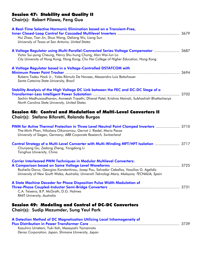### Session 47: Stability and Quality II

Chair(s): Robert Pilawa, Feng Guo

| A Real-Time Selective Harmonic Elimination based on a Transient-Free,<br>Hui Zhao, Tian Jin, Shuo Wang, Deliang Wu, Liang Sun<br>University of Texas at San Antonio, United States                                                                                                                                                 |  |
|------------------------------------------------------------------------------------------------------------------------------------------------------------------------------------------------------------------------------------------------------------------------------------------------------------------------------------|--|
| A Voltage Regulator using Multi-Parallel-Connected Series-Voltage Compensator  3687<br>Victor Sui-pung Cheung, Henry Shu-hung Chung, Alan Wai-lun Lo<br>City University of Hong Kong, Hong Kong; Chu Hai College of Higher Education, Hong Kong                                                                                    |  |
| A Voltage Regulator based in a Voltage-Controlled DSTATCOM with<br>Rubens Tadeu Hock Jr., Yales Rômulo De Novaes, Alessandro Luiz Batschauer<br>Santa Catarina State University, Brazil                                                                                                                                            |  |
| Stability Analysis of the High Voltage DC Link between the FEC and DC-DC Stage of a<br>Transformer-Less Intelligent Power Substation manufacture manufacture manufacture 3702<br>Sachin Madhusoodhanan, Awneesh Tripathi, Dhaval Patel, Krishna Mainali, Subhashish Bhattacharya<br>North Carolina State University, United States |  |
| Session 48: Control and Modulation of Multi-Level Converters II<br>Chair(s): Stefano Bifaretti, Rolando Burgos                                                                                                                                                                                                                     |  |
| PWM for Active Thermal Protection in Three Level Neutral Point Clamped Inverters  3710<br>The-Minh Phan, Nikolaos Oikonomou, Gernot J. Riedel, Mario Pacas<br>University of Siegen, Germany; ABB Corporate Research, Switzerland                                                                                                   |  |
| Control Strategy of a Multi-Level Converter with Multi-Winding MFT/HFT Isolation  3717<br>Chunyang Gu, Zedong Zheng, Yongdong Li<br>Tsinghua University, China                                                                                                                                                                     |  |
| <b>Carrier Interleaved PWM Techniques in Modular Multilevel Converters:</b><br>Rosheila Darus, Georgios Konstantinou, Josep Pou, Salvador Ceballos, Vassilios G. Agelidis<br>University of New South Wales, Australia; Universiti Teknologi Mara, Malaysia; TECNALIA, Spain                                                        |  |
| A State Machine Decoder for Phase Disposition Pulse Width Modulation of<br>C.A. Teixeira, B.P. McGrath, D.G. Holmes<br>RMIT University, Australia                                                                                                                                                                                  |  |
| Session 49: Modeling and Control of DC-DC Converters<br>Chair(s): Sudip Mazumder, Sung Yeul Park                                                                                                                                                                                                                                   |  |
| A Detection Method of DC Magnetization Utilizing Local Inhomogeneity of<br>Kazuhiro Umetani, Yuki Itoh, Masayoshi Yamamoto<br>Denso Corporation, Japan; Shimane University, Japan                                                                                                                                                  |  |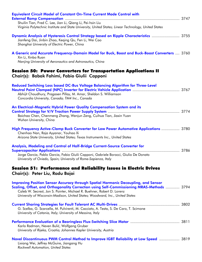| <b>Equivalent Circuit Model of Constant On-Time Current Mode Control with</b><br>Shuilin Tian, Fred C. Lee, Jian Li, Qiang Li, Pei-hsin Liu<br>Virginia Polytechnic Institute and State University, United States; Linear Technology, United States                                                                                               |
|---------------------------------------------------------------------------------------------------------------------------------------------------------------------------------------------------------------------------------------------------------------------------------------------------------------------------------------------------|
| Dynamic Analysis of Hysteresis Control Strategy based on Ripple Characteristics  3755<br>Jianfeng Dai, Jinbin Zhao, Keqing Qu, Fen Li, Wei Cao<br>Shanghai University of Electric Power, China                                                                                                                                                    |
| A Generic and Accurate Frequency-Domain Model for Buck, Boost and Buck-Boost Converters  3760<br>Xin Li, Xinbo Ruan<br>Nanjing University of Aeronautics and Astronautics, China                                                                                                                                                                  |
| <b>Session 50: Power Converters for Transportation Applications II</b><br>Chair(s): Babak Fahimi, Fabio Giulii Capponi                                                                                                                                                                                                                            |
| Reduced Switching Loss based DC-Bus Voltage Balancing Algorithm for Three-Level<br>Abhijit Choudhury, Pragasen Pillay, M. Amar, Sheldon S. Williamson<br>Concordia University, Canada; TM4 Inc., Canada                                                                                                                                           |
| An Electrical-Magnetic Hybrid Power Quality Compensation System and its<br>Baichao Chen, Chenmeng Zhang, Wenjun Zeng, Cuihua Tian, Jiaxin Yuan<br>Wuhan University, China                                                                                                                                                                         |
| High Frequency Active-Clamp Buck Converter for Low Power Automotive Applications  3780<br>Chenhao Nan, Raja Ayyanar, Youhao Xi<br>Arizona State University, United States; Texas Instruments Inc., United States                                                                                                                                  |
| Analysis, Modeling and Control of Half-Bridge Current-Source Converter for<br>Jorge Garcia, Pablo Garcia, Fabio Giulii Capponi, Gabriele Borocci, Giulio De Donato<br>University of Oviedo, Spain; University of Rome-Sapienza, Italy                                                                                                             |
| Session 51: Performance and Reliability Issues in Electric Drives<br>Chair(s): Peter Liu, Radu Bojoi                                                                                                                                                                                                                                              |
| <b>Improving Position Sensor Accuracy through Spatial Harmonic Decoupling, and Sensor</b><br>Scaling, Offset, and Orthogonality Correction using Self-Commissioning MRAS-Methods  3794<br>Caleb W. Secrest, Jon S. Pointer, Michael R. Buehner, Robert D. Lorenz<br>University of Wisconsin-Madison, United States; Woodward, Inc., United States |
| G. Scelba, G. Scarcella, M. Pulvirenti, M. Cacciato, A. Testa, S. De Caro, T. Scimone<br>University of Catania, Italy; University of Messina, Italy                                                                                                                                                                                               |
| Karlo Radman, Neven Bulić, Wolfgang Gruber<br>University of Rijeka, Croatia; Johannes Kepler University, Austria                                                                                                                                                                                                                                  |
| Novel Discontinuous PWM Control Method to Improve IGBT Reliability at Low Speed  3819<br>Lixiang Wei, Jeffrey McGuire, Jiangang Hu<br>Rockwell Automation, United States                                                                                                                                                                          |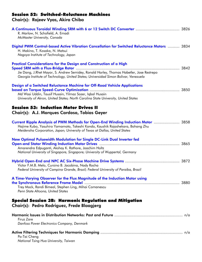# Session 52: Switched-Reluctance Machines

Chair(s): Rajeev Vyas, Akira Chiba

| R. Marlow, N. Schofield, A. Emadi<br>McMaster University, Canada                                                                                                                                                                                       |  |
|--------------------------------------------------------------------------------------------------------------------------------------------------------------------------------------------------------------------------------------------------------|--|
| Digital PWM Control-based Active Vibration Cancellation for Switched Reluctance Motors  3834<br>H. Makino, T. Kosaka, N. Matsui<br>Nagoya Institute of Technology, Japan                                                                               |  |
| Practical Considerations for the Design and Construction of a High<br>Jie Dang, J.Rhet Mayor, S. Andrew Semidey, Ronald Harley, Thomas Habetler, Jose Restrepo<br>Georgia Institute of Technology, United States; Universidad Simon Bolivar, Venezuela |  |
| Design of a Switched Reluctance Machine for Off-Road Vehicle Applications<br>Md Wasi Uddin, Tausif Husain, Yilmaz Sozer, Iqbal Husain<br>University of Akron, United States; North Carolina State University, United States                            |  |
| <b>Session 53: Induction Motor Drives II</b><br>Chair(s): A.J. Marques Cardoso, Tobias Geyer                                                                                                                                                           |  |
| Current Ripple Analysis of PWM Methods for Open-End Winding Induction Motor  3858<br>Hajime Kubo, Yasuhiro Yamamoto, Takeshi Kondo, Kaushik Rajashekara, Bohang Zhu<br>Meidensha Corporation, Japan; University of Texas at Dallas, United States      |  |
| New Optimal Pulsewidth Modulation for Single DC-Link Dual Inverter fed<br>Amarendra Edpuganti, Akshay K. Rathore, Joachim Holtz<br>National University of Singapore, Singapore; University of Wuppertal, Germany                                       |  |
| Victor F.M.B. Melo, Cursino B. Jacobina, Nady Rocha<br>Federal University of Campina Grande, Brazil; Federal University of Paraiba, Brazil                                                                                                             |  |
| A Time-Varying Observer for the Flux Magnitude of the Induction Motor using<br>Trey Mock, Randi Bimeal, Stephen Ling, Mihai Comanescu<br>Penn State Altoona, United States                                                                             |  |
| Special Session 3B: Harmonic Regulation and Mitigation<br>Chair(s): Pedro Rodriguez, Frede Blaagjerg                                                                                                                                                   |  |
| Firuz Zare<br>Danfoss Power Electronics Company, Denmark                                                                                                                                                                                               |  |
| Po-Tai Cheng<br>National Tsing Hua University, Taiwan                                                                                                                                                                                                  |  |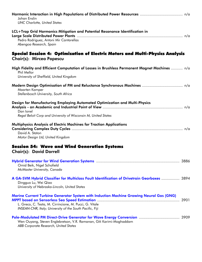| Johan Enslin<br><b>UNC Charlotte, United States</b>                                                                                                                                                                                                                                                                                      |
|------------------------------------------------------------------------------------------------------------------------------------------------------------------------------------------------------------------------------------------------------------------------------------------------------------------------------------------|
| LCL+Trap Grid Harmonics Mitigation and Potential Resonance Identification in<br>Pedro Rodriguez, Antoni Mir Cantarellas<br>Abengoa Research, Spain                                                                                                                                                                                       |
| Special Session 4: Optimization of Electric Motors and Multi-Physics Analysis<br>Chair(s): Mircea Popescu                                                                                                                                                                                                                                |
| High Fidelity and Efficient Computation of Losses in Brushless Permanent Magnet Machines  n/a<br>Phil Mellor<br>University of Sheffield, United Kingdom                                                                                                                                                                                  |
| Maarten Kamper<br>Stellenbosch University, South Africa                                                                                                                                                                                                                                                                                  |
| Design for Manufacturing Employing Automated Optimization and Multi-Physics<br>Dan Ionel<br>Regal Beloit Corp and University of Wisconsin M, United States                                                                                                                                                                               |
| Multiphysics Analysis of Electric Machines for Traction Applications<br>David A. Staton<br>Motor Design Ltd, United Kingdom                                                                                                                                                                                                              |
| <b>Session 54: Wave and Wind Generation Systems</b><br><b>Chair(s): David Dorrell</b>                                                                                                                                                                                                                                                    |
| Omid Beik, Nigel Schofield<br>McMaster University, Canada                                                                                                                                                                                                                                                                                |
| A GA-SVM Hybrid Classifier for Multiclass Fault Identification of Drivetrain Gearboxes  3894<br>Dingguo Lu, Wei Qiao<br>University of Nebraska-Lincoln, United States                                                                                                                                                                    |
| Marine Current Turbine Generator System with Induction Machine Growing Neural Gas (GNG)<br><b>MPPT based on Sensorless Sea Speed Estimation machinery and continuum control and the Sea Speed Estimation meta</b><br>L. Greco, C. Testa, M. Cirrincione, M. Pucci, G. Vitale<br>INSEAN-CNR, Italy; University of the South Pacific, Fiji |
| Wen Ouyang, Steven Englebretson, V.R. Ramanan, Giti Karimi-Moghaddam<br>ABB Corporate Research, United States                                                                                                                                                                                                                            |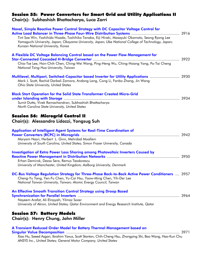#### Session 55: Power Converters for Smart Grid and Utility Applications II Chair(s): Subhashish Bhattacharya, Luca Zarri

| Novel, Simple Reactive Power Control Strategy with DC Capacitor Voltage Control for                                                                                                                                                         |  |
|---------------------------------------------------------------------------------------------------------------------------------------------------------------------------------------------------------------------------------------------|--|
| Tint Soe Win, Yoshihido Hisada, Toshihiko Tanaka, Eiji Hiraki, Masayuki Okamoto, Seong Ryong Lee<br>Yamaguchi University, Japan; Okayama University, Japan; Ube National College of Technology, Japan;<br>Kunsan National University, Korea |  |
| A Flexible DC Voltage Balancing Control based on the Power Flow Management for                                                                                                                                                              |  |
| Chia-Tse Lee, Hsin-Chih Chen, Ching-Wei Wang, Ping-Heng Wu, Ching-Hsiang Yang, Po-Tai Cheng<br>National Tsing Hua University, Taiwan                                                                                                        |  |
| Multilevel, Multiport, Switched-Capacitor based Inverter for Utility Applications  3930<br>Mark J. Scott, Rachid Darbali Zamora, Andong Lang, Cong Li, Fanbo Zhang, Jin Wang<br>Ohio State University, United States                        |  |
| <b>Black Start Operation for the Solid State Transformer Created Micro-Grid</b>                                                                                                                                                             |  |
| Sumit Dutta, Vivek Ramachandran, Subhashish Bhattacharya<br>North Carolina State University, United States                                                                                                                                  |  |
| <b>Session 56: Microgrid Control II</b><br>Chair(s): Alessandro Lidozzi, Yongsug Suh                                                                                                                                                        |  |
| <b>Application of Intelligent Agent Systems for Real-Time Coordination of</b>                                                                                                                                                               |  |
| Maryam Nasri, Herbert L. Ginn, Mehrdad Moallem<br>University of South Carolina, United States; Simon Fraser University, Canada                                                                                                              |  |
| <b>Investigation of Extra Power Loss Sharing among Photovoltaic Inverters Caused by</b>                                                                                                                                                     |  |
| Erhan Demirok, Dezso Sera, Remus Teodorescu<br>University of Manchester, United Kingdom; Aalborg University, Denmark                                                                                                                        |  |
| DC-Bus Voltage Regulation Strategy for Three-Phase Back-to-Back Active Power Conditioners  3957                                                                                                                                             |  |
| Cheng-Yu Tang, Yen-Fu Chen, Yu-Cai Hsu, Yaow-Ming Chen, Yih-Der Lee<br>National Taiwan University, Taiwan; Atomic Energy Council, Taiwan                                                                                                    |  |
| An Effective Smooth Transition Control Strategy using Droop Based                                                                                                                                                                           |  |
| Nayeem Arafat, Ali Elrayyah, Yilmaz Sozer<br>University of Akron, United States; Qatar Environment and Energy Research Institute, Qatar                                                                                                     |  |
| <b>Session 57: Battery Models</b>                                                                                                                                                                                                           |  |
| Chair(s): Henry Chung, John Miller                                                                                                                                                                                                          |  |
| A Transient Reduced Order Model for Battery Thermal Management based on                                                                                                                                                                     |  |

Singular Value Decomposition .......................................................................................................... 3971 Xiao Hu, Saeed Asgari, Ibrahim Yavuz, Scott Stanton, Chih-Cheng Hsu, Zhongying Shi, Bao Wang, Hao-Kun Chu *ANSYS Inc., United States; General Motor Company, United States*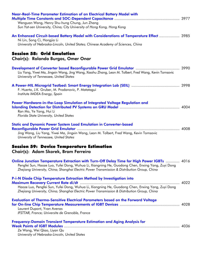| Near-Real-Time Parameter Estimation of an Electrical Battery Model with<br>Wenguan Wang, Henry Shu-hung Chung, Jun Zhang<br>Sun Yat-sen University, China; City University of Hong Kong, Hong Kong                                                                                             |  |
|------------------------------------------------------------------------------------------------------------------------------------------------------------------------------------------------------------------------------------------------------------------------------------------------|--|
| An Enhanced Circuit-based Battery Model with Considerations of Temperature Effect  3985<br>Ni Lin, Song Ci, Hongjia Li<br>University of Nebraska-Lincoln, United States; Chinese Academy of Sciences, China                                                                                    |  |
| <b>Session 58: Grid Emulation</b><br>Chair(s): Rolando Burgos, Omer Onar                                                                                                                                                                                                                       |  |
| Liu Yang, Yiwei Ma, Jingxin Wang, Jing Wang, Xiaohu Zhang, Leon M. Tolbert, Fred Wang, Kevin Tomsovic<br>University of Tennessee, United States                                                                                                                                                |  |
| F. Huerta, J.K. Gruber, M. Prodanovic, P. Matatagui<br>Institute IMDEA Energy, Spain                                                                                                                                                                                                           |  |
| Power Hardware-in-the-Loop Simulation of Integrated Voltage Regulation and<br>Ran Mo, Ye Yang, Hui Li<br>Florida State University, United States                                                                                                                                               |  |
| <b>Static and Dynamic Power System Load Emulation in Converter-based</b><br>Jing Wang, Liu Yang, Yiwei Ma, Jingxin Wang, Leon M. Tolbert, Fred Wang, Kevin Tomsovic<br>University of Tennessee, United States                                                                                  |  |
| <b>Session 59: Device Temperature Estimation</b><br>Chair(s): Adam Skorek, Bram Ferreira                                                                                                                                                                                                       |  |
| Online Junction Temperature Extraction with Turn-Off Delay Time for High Power IGBTs  4016<br>Pengfei Sun, Haoze Luo, Yufei Dong, Wuhua Li, Xiangning He, Guodong Chen, Enxing Yang, Zuyi Dong<br>Zhejiang University, China; Shanghai Electric Power Transmission & Distribution Group, China |  |
| P-i-N Diode Chip Temperature Extraction Method by Investigation into<br>Haoze Luo, Pengfei Sun, Yufei Dong, Wuhua Li, Xiangning He, Guodong Chen, Enxing Yang, Zuyi Dong<br>Zhejiang University, China; Shanghai Electric Power Transmission & Distribution Group, China                       |  |
| Evaluation of Thermo-Sensitive Electrical Parameters based on the Forward Voltage<br>Laurent Dupont, Yvan Avenas<br>IFSTTAR, France; Universite de Grenoble, France                                                                                                                            |  |
| <b>Frequency-Domain Transient Temperature Estimation and Aging Analysis for</b><br>Ze Wang, Wei Qiao, Liyan Qu<br>University of Nebraska-Lincoln, United States                                                                                                                                |  |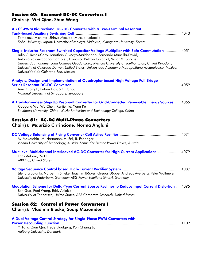## Session 60: Resonant DC-DC Converters I

# Chair(s): Wei Qiao, Shuo Wang

| A ZCS-PWM Bidirectional DC-DC Converter with a Two-Terminal Resonant                                                                                                                                                                                                                                                                                                                                                                                                                                        |  |
|-------------------------------------------------------------------------------------------------------------------------------------------------------------------------------------------------------------------------------------------------------------------------------------------------------------------------------------------------------------------------------------------------------------------------------------------------------------------------------------------------------------|--|
|                                                                                                                                                                                                                                                                                                                                                                                                                                                                                                             |  |
| Tomokazu Mishima, Shinya Masuda, Mutsuo Nakaoka<br>Kobe University, Japan; University of Malaya, Malaysia; Kyungnam University, Korea                                                                                                                                                                                                                                                                                                                                                                       |  |
|                                                                                                                                                                                                                                                                                                                                                                                                                                                                                                             |  |
| Single-Inductor Resonant Switched Capacitor Voltage Multiplier with Safe Commutation  4051<br>Julio C. Rosas-Caro, Jonathan C. Mayo-Maldonado, Fernando Mancilla-David,<br>Antonio Valderrabano-Gonzalez, Francisco Beltran Carbajal, Victor M. Sanchez<br>Universidad Panamericana Campus Guadalajara, Mexico; University of Southampton, United Kingdom;<br>University of Colorado-Denver, United States; Universidad Autonoma Metropolitana Azcapotzalco, Mexico;<br>Universidad de Quintana Roo, Mexico |  |
| Analysis, Design and Implementation of Quadrupler based High Voltage Full Bridge                                                                                                                                                                                                                                                                                                                                                                                                                            |  |
|                                                                                                                                                                                                                                                                                                                                                                                                                                                                                                             |  |
| Amit K. Singh, Pritam Das, S.K. Panda                                                                                                                                                                                                                                                                                                                                                                                                                                                                       |  |
| National University of Singapore, Singapore                                                                                                                                                                                                                                                                                                                                                                                                                                                                 |  |
| A Transformerless Step-Up Resonant Converter for Grid-Connected Renewable Energy Sources  4065                                                                                                                                                                                                                                                                                                                                                                                                              |  |
| Xiaogang Wu, Wu Chen, Renjie Hu, Yong Ke                                                                                                                                                                                                                                                                                                                                                                                                                                                                    |  |
| Southeast University, China; WuHu Profession and Technology College, China                                                                                                                                                                                                                                                                                                                                                                                                                                  |  |
|                                                                                                                                                                                                                                                                                                                                                                                                                                                                                                             |  |
| <b>Session 61: AC-DC Multi-Phase Converters</b><br>Chair(s): Maurizio Cirrincione, Norma Anglani                                                                                                                                                                                                                                                                                                                                                                                                            |  |
|                                                                                                                                                                                                                                                                                                                                                                                                                                                                                                             |  |
|                                                                                                                                                                                                                                                                                                                                                                                                                                                                                                             |  |
| M. Makoschitz, M. Hartmann, H. Ertl, R. Fehringer                                                                                                                                                                                                                                                                                                                                                                                                                                                           |  |
| Vienna University of Technology, Austria; Schneider Electric Power Drives, Austria                                                                                                                                                                                                                                                                                                                                                                                                                          |  |
| Multilevel Multichannel Interleaved AC-DC Converter for High Current Applications  4079<br>Eddy Aeloiza, Yu Du                                                                                                                                                                                                                                                                                                                                                                                              |  |
| <b>ABB Inc., United States</b>                                                                                                                                                                                                                                                                                                                                                                                                                                                                              |  |
| Jitendra Solanki, Norbert Fröhleke, Joachim Böcker, Gregor Düppe, Andreas Averberg, Peter Wallmeier<br>University of Paderborn, Germany; AEG Power Solutions GmbH, Germany                                                                                                                                                                                                                                                                                                                                  |  |
|                                                                                                                                                                                                                                                                                                                                                                                                                                                                                                             |  |
| Modulation Scheme for Delta-Type Current Source Rectifier to Reduce Input Current Distortion  4095<br>Ben Guo, Fred Wang, Eddy Aeloiza                                                                                                                                                                                                                                                                                                                                                                      |  |
| University of Tennessee, United States; ABB Corporate Research, United States                                                                                                                                                                                                                                                                                                                                                                                                                               |  |
|                                                                                                                                                                                                                                                                                                                                                                                                                                                                                                             |  |
| <b>Session 62: Control of Power Converters I</b><br>Chair(s): Vladimir Blasko, Sudip Mazumder                                                                                                                                                                                                                                                                                                                                                                                                               |  |
| A Dual Voltage Control Strategy for Single-Phase PWM Converters with                                                                                                                                                                                                                                                                                                                                                                                                                                        |  |
|                                                                                                                                                                                                                                                                                                                                                                                                                                                                                                             |  |
| Yi Tang, Zian Qin, Frede Blaabjerg, Poh Chiang Loh<br>Aalborg University, Denmark                                                                                                                                                                                                                                                                                                                                                                                                                           |  |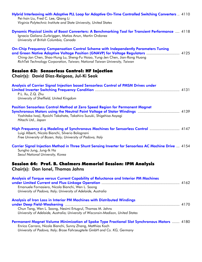| Hybrid Interleaving with Adaptive PLL Loop for Adaptive On-Time Controlled Switching Converters  4110<br>Pei-hsin Liu, Fred C. Lee, Qiang Li<br>Virginia Polytechnic Institute and State University, United States                                                                                                                  |
|-------------------------------------------------------------------------------------------------------------------------------------------------------------------------------------------------------------------------------------------------------------------------------------------------------------------------------------|
| Dynamic Physical Limits of Boost Converters: A Benchmarking Tool for Transient Performance  4118<br>Ignacio Galiano Zurbriggen, Matias Anun, Martin Ordonez<br>University of British Columbia, Canada                                                                                                                               |
| On-Chip Frequency Compensation Control Scheme with Independently Parameters Tuning<br>and Green Native Adaptive Voltage Position (GNAVP) for Voltage Regulators  4125<br>Ching-Jan Chen, Shao-Hung Lu, Sheng-Fu Hsiao, Yung-Jen Chen, Jian-Rong Huang<br>RichTek Technology Corporation, Taiwan; National Taiwan University, Taiwan |
| <b>Session 63: Sensorless Control: HF Injection</b><br>Chair(s): David Diaz-Reigosa, Jul-Ki Seok                                                                                                                                                                                                                                    |
| Analysis of Carrier Signal Injection based Sensorless Control of PMSM Drives under<br>P.L. Xu, Z.Q. Zhu<br>University of Sheffield, United Kingdom                                                                                                                                                                                  |
| Position Sensorless Control Method at Zero Speed Region for Permanent Magnet<br>Yoshitaka Iwaji, Ryoichi Takahata, Takahiro Suzuki, Shigehisa Aoyagi<br>Hitachi Ltd., Japan                                                                                                                                                         |
| High Frequency d-q Modeling of Synchronous Machines for Sensorless Control  4147<br>Luigi Alberti, Nicola Bianchi, Silverio Bolognani<br>Free University of Bozen, Italy; University of Padova, Italy                                                                                                                               |
| Carrier Signal Injection Method in Three Shunt Sensing Inverter for Sensorless AC Machine Drive  4154<br>Sungho Jung, Jung-Ik Ha<br>Seoul National University, Korea                                                                                                                                                                |
| Session 64: Prof. B. Chalmers Memorial Session: IPM Analysis<br>Chair(s): Dan Ionel, Thomas Jahns                                                                                                                                                                                                                                   |
| Analysis of Torque versus Current Capability of Reluctance and Interior PM Machines<br>Emanuele Fornasiero, Nicola Bianchi, Wen L. Soong<br>University of Padova, Italy; University of Adelaide, Australia                                                                                                                          |
| Analysis of Iron Loss in Interior PM Machines with Distributed Windings<br>Chun Tang, Wen L. Soong, Nesimi Ertugrul, Thomas M. Jahns<br>University of Adelaide, Australia; University of Wisconsin-Madison, United States                                                                                                           |
| <b>Permanent Magnet Volume Minimization of Spoke Type Fractional Slot Synchronous Motors  4180</b><br>Enrico Carraro, Nicola Bianchi, Sunny Zhang, Matthias Koch<br>University of Padova, Italy; Brose Fahrzeugteile GmbH and Co. KG, Germany                                                                                       |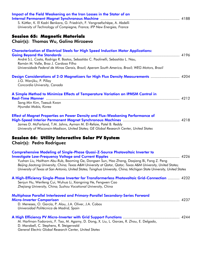| Impact of the Field Weakening on the Iron Losses in the Stator of an                                                                                    |  |
|---------------------------------------------------------------------------------------------------------------------------------------------------------|--|
|                                                                                                                                                         |  |
| S. Küttler, K. El Kadri Benkara, G. Friedrich, F. Vangraefschèpe, A. Abdelli<br>University of Technology of Compiegne, France; IFP New Energies, France |  |
|                                                                                                                                                         |  |
| <b>Session 65: Magnetic Materials</b>                                                                                                                   |  |
| Chair(s): Thomas Wu, Galina Mirzaeva                                                                                                                    |  |
| <b>Characterization of Electrical Steels for High Speed Induction Motor Applications:</b>                                                               |  |
|                                                                                                                                                         |  |
| André S.L. Costa, Rodrigo R. Bastos, Sebastião C. Paolinelli, Sebastião L. Nau,<br>Ramón M. Valle, Braz J. Cardoso Filho                                |  |
| Universidade Federal de Minas Gerais, Brazil; Aperam South America, Brazil; WEG Motors, Brazil                                                          |  |
| Design Considerations of 2-D Magnetizers for High Flux Density Measurements  4204                                                                       |  |
| J.G. Wanjiku, P. Pillay                                                                                                                                 |  |
| Concordia University, Canada                                                                                                                            |  |
| A Simple Method to Minimize Effects of Temperature Variation on IPMSM Control in                                                                        |  |
|                                                                                                                                                         |  |
| Sang Min Kim, Taesuk Kwon<br>Hyundai Mobis, Korea                                                                                                       |  |
|                                                                                                                                                         |  |
| <b>Effect of Magnet Properties on Power Density and Flux-Weakening Performance of</b>                                                                   |  |
|                                                                                                                                                         |  |
| James D. McFarland, T.M. Jahns, Ayman M. El-Refaie, Patel B. Reddy                                                                                      |  |
| University of Wisconsin-Madison, United States; GE Global Research Center, United States                                                                |  |
| Session 66: Utility Interactive Solar PV System                                                                                                         |  |
| <b>Chair(s): Pedro Rodriguez</b>                                                                                                                        |  |
| <b>Comprehensive Modeling of Single-Phase Quasi-Z-Source Photovoltaic Inverter to</b>                                                                   |  |
|                                                                                                                                                         |  |
| Yushan Liu, Haitham Abu-Rub, Baoming Ge, Dongsen Sun, Hao Zhang, Daqiang Bi, Fang Z. Peng                                                               |  |
| Beijing Jiaotong University, China; Texas A&M University at Qatar, Qatar; Texas A&M University, United States;                                          |  |
| University of Texas at San Antonio, United States; Tsinghua University, China; Michigan State University, United States                                 |  |
| A High-Efficiency Single-Phase Inverter for Transformerless Photovoltaic Grid-Connection  4232                                                          |  |
| Senjun Hu, Wenfeng Cui, Wuhua Li, Xiangning He, Fengwen Cao                                                                                             |  |
| Zhejiang University, China; Suzhou Vocational University, China                                                                                         |  |
| Multiphase Parallel Interleaved and Primary-Parallel Secondary-Series Forward                                                                           |  |
|                                                                                                                                                         |  |
| D. Meneses, O. García, P. Alou, J.A. Oliver, J.A. Cobos                                                                                                 |  |
| Universidad Politécnica de Madrid, Spain                                                                                                                |  |
|                                                                                                                                                         |  |
|                                                                                                                                                         |  |

M. Harfman-Todorovic, F. Tao, M. Agamy, D. Dong, X. Liu, L. Garces, R. Zhou, E. Delgado, D. Marabell, C. Stephens, R. Steigerwald *General Electric Global Research Center, United States*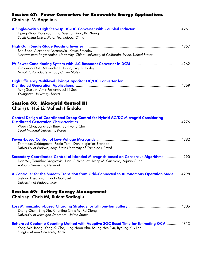## Session 67: Power Converters for Renewable Energy Applications Chair(s): V. Angelidis

| Liping Zhou, Dongyuan Qiu, Wenxun Xiao, Bo Zhang                                              |  |
|-----------------------------------------------------------------------------------------------|--|
| South China University of Technology, China                                                   |  |
|                                                                                               |  |
| Ben Zhao, Alexander Abramovitz, Keyue Smedley                                                 |  |
| Northwestern Polytechnical University, China; University of California, Irvine, United States |  |
|                                                                                               |  |
| Giovanna Oriti, Alexander L. Julian, Troy D. Bailey                                           |  |
| Naval Postgraduate School, United States                                                      |  |
| <b>High Efficiency Multilevel Flying-Capacitor DC/DC Converter for</b>                        |  |
|                                                                                               |  |
| MingGuo Jin, Amir Parastar, Jul-Ki Seok                                                       |  |
| Yeungnam University, Korea                                                                    |  |
| <b>Session 68: Microgrid Control III</b>                                                      |  |
| Chair(s): Hui Li, Mahesh Illindala                                                            |  |
|                                                                                               |  |
| <b>Control Design of Coordinated Droop Control for Hybrid AC/DC Microgrid Considering</b>     |  |
|                                                                                               |  |
| Wooin Choi, Jong-Bok Baek, Bo-Hyung Cho                                                       |  |
| Seoul National University, Korea                                                              |  |
|                                                                                               |  |
| Tommaso Caldognetto, Paolo Tenti, Danilo Iglesias Brandao                                     |  |
| University of Padova, Italy; State University of Campinas, Brazil                             |  |
| Secondary Coordinated Control of Islanded Microgrids based on Consensus Algorithms  4290      |  |
| Dan Wu, Tomislav Dragicevic, Juan C. Vasquez, Josep M. Guerrero, Yajuan Guan                  |  |
| Aalborg University, Denmark                                                                   |  |
| A Controller for the Smooth Transition from Grid-Connected to Autonomous Operation Mode  4298 |  |
| Stefano Lissandron, Paolo Mattavelli                                                          |  |
| University of Padova, Italy                                                                   |  |
| <b>Session 69: Battery Energy Management</b>                                                  |  |
| Chair(s): Chris Mi, Bulent Sarlioglu                                                          |  |
|                                                                                               |  |
|                                                                                               |  |
| Zheng Chen, Bing Xia, Chunting Chris Mi, Rui Xiong                                            |  |
| University of Michigan-Dearborn, United States                                                |  |
| Enhanced Coulomb Counting Method with Adaptive SOC Reset Time for Estimating OCV  4313        |  |
| Yong-Min Jeong, Yong-Ki Cho, Jung-Hoon Ahn, Seung-Hee Ryu, Byoung-Kuk Lee                     |  |
| Sungkyunkwan University, Korea                                                                |  |
|                                                                                               |  |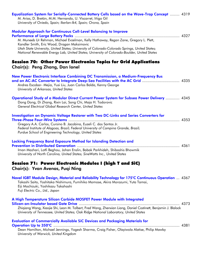| Equalization System for Serially-Connected Battery Cells based on the Wave-Trap Concept  4319<br>M. Arias, D. Bretón, M.M. Hernando, U. Viscarret, Iñigo Gil<br>University of Oviedo, Spain; Ikerlan-Ik4, Spain; Orona, Spain                                                                                       |
|---------------------------------------------------------------------------------------------------------------------------------------------------------------------------------------------------------------------------------------------------------------------------------------------------------------------|
| <b>Modular Approach for Continuous Cell-Level Balancing to Improve</b>                                                                                                                                                                                                                                              |
| M. Muneeb Ur Rehman, Michael Evzelman, Kelly Hathaway, Regan Zane, Gregory L. Plett,<br>Kandler Smith, Eric Wood, Dragan Maksimovic                                                                                                                                                                                 |
| Utah State University, United States; University of Colorado-Colorado Springs, United States;<br>National Renewable Energy Lab, United States; University of Colorado-Boulder, United States                                                                                                                        |
|                                                                                                                                                                                                                                                                                                                     |
| Session 70: Other Power Electronics Topics for Grid Applications<br>Chair(s): Peng Zhang, Dan Ionel                                                                                                                                                                                                                 |
| New Power Electronic Interface Combining DC Transmission, a Medium-Frequency Bus<br>and an AC-AC Converter to Integrate Deep-Sea Facilities with the AC Grid  4335<br>Andres Escobar- Mejia, Yusi Liu, Juan Carlos Balda, Kenny George<br>University of Arkansas, United States                                     |
| Operational Study of a Modular Direct Current Power System for Subsea Power Delivery  4345<br>Dong Dong, Di Zhang, Rixin Lai, Song Chi, Maja H. Todorovic<br>General Electrical Global Research Center, United States                                                                                               |
| <b>Investigation on Dynamic Voltage Restorer with Two DC-Links and Series Converters for</b><br>Gregory A.A. Carlos, Cursino B. Jacobina, Euzeli C. dos Santos Jr.<br>Federal Institute of Alagoas, Brazil; Federal University of Campina Grande, Brazil;<br>Purdue School of Engineering Technology, United States |
| <b>Locking Frequency Band Exposure Method for Islanding Detection and</b><br>Iman Mazhari, Lotfi Beghou, Johan Enslin, Babak Parkhideh, Shibashis Bhowmik<br>University of North Carolina, United States; SineWatts Inc., United States                                                                             |
| Session 71: Power Electronic Modules I (high T and SiC)<br>Chair(s): Yvan Avenas, Puqi Ning                                                                                                                                                                                                                         |
| Novel IGBT Module Design, Material and Reliability Technology for 175°C Continuous Operation  4367<br>Takashi Saito, Yoshitaka Nishimura, Fumihiko Momose, Akira Morozumi, Yuta Tamai,<br>Eiji Mochizuki, Yoshikazu Takahashi<br>Fuji Electric Co., Ltd., Japan                                                     |
| A High Temperature Silicon Carbide MOSFET Power Module with Integrated                                                                                                                                                                                                                                              |
| Zhigiang Wang, Xiaojie Shi, Leon M. Tolbert, Fred Wang, Zhenxian Liang, Daniel Costinett, Benjamin J. Blalock<br>University of Tennessee, United States; Oak Ridge National Laboratory, United States                                                                                                               |
| <b>Evaluation of Commercially Available SiC Devices and Packaging Materials for</b>                                                                                                                                                                                                                                 |
| Dean Hamilton, Michael Jennings, Yogesh Sharma, Craig Fisher, Olayiwola Alatise, Philip Mawby<br>University of Warwick, United Kingdom                                                                                                                                                                              |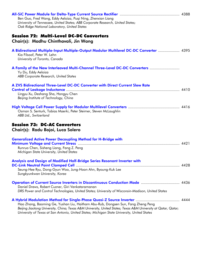| Ben Guo, Fred Wang, Eddy Aeloiza, Pugi Ning, Zhenxian Liang<br>University of Tennessee, United States; ABB Corporate Research, United States;<br>Oak Ridge National Laboratory, United States                                                                                                     |  |
|---------------------------------------------------------------------------------------------------------------------------------------------------------------------------------------------------------------------------------------------------------------------------------------------------|--|
| <b>Session 72: Multi-Level DC-DC Converters</b><br>Chair(s): Madhu Chinthavali, Jin Wang                                                                                                                                                                                                          |  |
| A Bidirectional Multiple-Input Multiple-Output Modular Multilevel DC-DC Converter  4395<br>Kia Filsoof, Peter W. Lehn<br>University of Toronto, Canada                                                                                                                                            |  |
| A Family of the New Interleaved Multi-Channel Three-Level DC-DC Converters<br>Yu Du, Eddy Aeloiza<br>ABB Corporate Research, United States                                                                                                                                                        |  |
| A ZVS Bidirectional Three-Level DC-DC Converter with Direct Current Slew Rate<br>Lingyu Xu, Deshang Sha, Hongyu Chen<br>Beijing Institute of Technology, China                                                                                                                                    |  |
| Osman S. Senturk, Tobias Maerki, Peter Steimer, Steven McLaughlin<br>ABB Ltd., Switzerland                                                                                                                                                                                                        |  |
| <b>Session 73: DC-AC Converters</b><br>Chair(s): Radu Bojoi, Luca Solero                                                                                                                                                                                                                          |  |
| <b>Generalized Active Power Decoupling Method for H-Bridge with</b>                                                                                                                                                                                                                               |  |
| Runruo Chen, Sisheng Liang, Fang Z. Peng<br>Michigan State University, United States                                                                                                                                                                                                              |  |
| Analysis and Design of Modified Half-Bridge Series Resonant Inverter with<br>Seung-Hee Ryu, Dong-Gyun Woo, Jung-Hoon Ahn, Byoung-Kuk Lee                                                                                                                                                          |  |
| Sungkyunkwan University, Korea                                                                                                                                                                                                                                                                    |  |
| Operation of Current Source Inverters in Discontinuous Conduction Mode  4436<br>Daniel Drews, Robert Cuzner, Giri Venkataramanan<br>DRS Power and Control Technologies, United States; University of Wisconsin-Madison, United States                                                             |  |
| Hao Zhang, Baoming Ge, Yushan Liu, Haitham Abu-Rub, Dongsen Sun, Fang Zheng Peng<br>Beijing Jiaotong University, China; Texas A&M University, United States; Texas A&M University at Qatar, Qatar;<br>University of Texas at San Antonio, United States; Michigan State University, United States |  |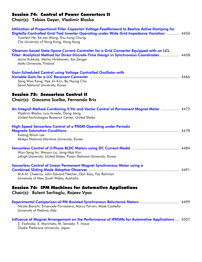## Session 74: Control of Power Converters II

Chair(s): Tobias Geyer, Vladimir Blasko

| Utilization of Proportional Filter Capacitor Voltage Feedforward to Realize Active Damping for<br>Digitally-Controlled Grid-Tied Inverter Operating under Wide Grid Impedance Variation  4450<br>Yuanbin He, Ke-wei Wang, Shu-hung Chung<br>City University of Hong Kong, Hong Kong |  |
|-------------------------------------------------------------------------------------------------------------------------------------------------------------------------------------------------------------------------------------------------------------------------------------|--|
| Observer-based State-Space Current Controller for a Grid Converter Equipped with an LCL<br>Filter: Analytical Method for Direct Discrete-Time Design in Synchronous Coordinates  4458<br>Jarno Kukkola, Marko Hinkkanen, Kai Zenger<br>Aalto University, Finland                    |  |
| <b>Gain-Scheduled Control using Voltage Controlled Oscillator with</b><br>Sang Woo Kang, Hye Jin Kim, Bo Hyung Cho<br>Seoul National University, Korea                                                                                                                              |  |
| <b>Session 75: Sensorless Control II</b><br>Chair(s): Giacomo Scelba, Fernando Briz                                                                                                                                                                                                 |  |
| An Integral Method Combining V/Hz and Vector Control of Permanent Magnet Motor  4472<br>Vladimir Blasko, Luis Arnedo, Dong Jiang<br>United Technologies Research Center, United States                                                                                              |  |
| High-Speed Sensorless Control of a PMSM Operating under Periodic<br>Kwang-Woon Lee<br>Mokpo National Maritime University, Korea                                                                                                                                                     |  |
| Won-Sang Im, Wenxin Liu, Jang-Mok Kim<br>Lehigh University, United States; Pusan National University, Korea                                                                                                                                                                         |  |
| Sensorless Control of Linear Permanent Magnet Synchronous Motor using a<br>M.A.M. Cheema, John Edward Fletcher, Dan Xiao, Faz Rahman<br>University of New South Wales, Australia                                                                                                    |  |
| <b>Session 76: IPM Machines for Automotive Applications</b><br>Chair(s): Bulent Sarlioglu, Rajeev Vyas                                                                                                                                                                              |  |
| <b>Experimental Comparison of PM Assisted Synchronous Reluctance Motors  4499</b><br>Nicola Bianchi, Emanuele Fornasiero, Marco Ferrari, Mosè Castiello<br>University of Padova, Italy                                                                                              |  |
| Influence of Magnet Arrangement on the Performance of IPMSMs for Automotive Applications  4507<br>S. Yoshioka, S. Morimoto, M. Sanada, Y. Inoue<br>Osaka Prefecture University, Japan                                                                                               |  |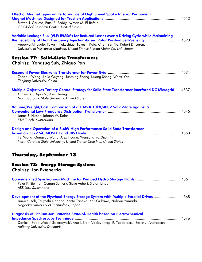| <b>Effect of Magnet Types on Performance of High Speed Spoke Interior Permanent</b><br>Steven J. Galioto, Patel B. Reddy, Ayman M. El-Refaie<br><b>GE Global Research Center, United States</b>                                                                                                                                                         |  |
|---------------------------------------------------------------------------------------------------------------------------------------------------------------------------------------------------------------------------------------------------------------------------------------------------------------------------------------------------------|--|
| Variable Leakage Flux (VLF) IPMSMs for Reduced Losses over a Driving Cycle while Maintaining<br>the Feasibility of High Frequency Injection-based Rotor Position Self-Sensing  4523<br>Apoorva Athavale, Takashi Fukushige, Takashi Kato, Chen-Yen Yu, Robert D. Lorenz<br>University of Wisconsin-Madison, United States; Nissan Motor Co. Ltd., Japan |  |
| <b>Session 77: Solid-State Transformers</b><br>Chair(s): Yongsug Suh, Zhiguo Pan                                                                                                                                                                                                                                                                        |  |
| Zhaohui Wang, Jiajia Ouyang, Junming Zhang, Kuang Sheng, Wenxi Yao<br>Zhejiang University, China                                                                                                                                                                                                                                                        |  |
| <b>Multiple Objectives Tertiary Control Strategy for Solid State Transformer Interfaced DC Microgrid 4537</b><br>Xunwei Yu, Xijun Ni, Alex Huang<br>North Carolina State University, United States                                                                                                                                                      |  |
| Volume/Weight/Cost Comparison of a 1 MVA 10kV/400V Solid-State against a<br>Jonas E. Huber, Johann W. Kolar<br><b>ETH Zurich, Switzerland</b>                                                                                                                                                                                                           |  |
| Design and Operation of a 3.6kV High Performance Solid State Transformer<br>Fei Wang, Gangyao Wang, Alex Huang, Wensong Yu, Xijun Ni<br>North Carolina State University, United States; Cree Inc., United States                                                                                                                                        |  |
| <b>Thursday, September 18</b>                                                                                                                                                                                                                                                                                                                           |  |
| <b>Session 78: Energy Storage Systems</b><br>Chair(s): Ion Exteberria                                                                                                                                                                                                                                                                                   |  |
| Peter K. Steimer, Osman Senturk, Steve Aubert, Stefan Linder<br>ABB Ltd., Switzerland                                                                                                                                                                                                                                                                   |  |
| Development of the Flywheel Energy Storage System with Multiple Parallel Drives  4568<br>Jun-ichi Itoh, Tsuyoshi Nagano, Kenta Tanaka, Koji Orikawa, Noboru Yamada<br>Nagaoka University of Technology, Japan                                                                                                                                           |  |
| Diagnosis of Lithium-Ion Batteries State-of-Health based on Electrochemical<br>Daniel I. Stroe, Maciej Swierczynski, Ana I. Stan, Vaclav Knap, R. Teodorescu, Søren J. Andreasen<br>Aalborg University, Denmark                                                                                                                                         |  |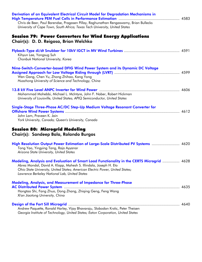| Derivation of an Equivalent Electrical Circuit Model for Degradation Mechanisms in<br>Chris de Beer, Paul Barendse, Pragasen Pillay, Raghunathan Rengaswamy, Brian Bullecks<br>University of Cape Town, South Africa; Texas Tech University, United States                                       |  |
|--------------------------------------------------------------------------------------------------------------------------------------------------------------------------------------------------------------------------------------------------------------------------------------------------|--|
| <b>Session 79: Power Converters for Wind Energy Applications</b><br>Chair(s): D. D. Reigosa, Brian Welchko                                                                                                                                                                                       |  |
| Kihyun Lee, Yongsug Suh<br>Chonbuk National University, Korea                                                                                                                                                                                                                                    |  |
| Nine-Switch-Converter-based DFIG Wind Power System and its Dynamic DC Voltage<br>Wen Gang, Chen Yu, Zhong Zhihao, Kang Yong<br>Huazhong University of Science and Technology, China                                                                                                              |  |
| Mohammad Mohebbi, Michael L. McIntyre, John F. Naber, Robert Hickman<br>University of Louisville, United States; APIQ Semiconductor, United States                                                                                                                                               |  |
| Single-Stage Three-Phase AC/DC Step-Up Medium Voltage Resonant Converter for<br>John Lam, Praveen K. Jain<br>York University, Canada; Queen's University, Canada                                                                                                                                 |  |
| <b>Session 80: Microgrid Modeling</b><br>Chair(s): Sandeep Bala, Rolando Burgos                                                                                                                                                                                                                  |  |
| High Resolution Output Power Estimation of Large-Scale Distributed PV Systems  4620<br>Tong Yao, Yingying Tang, Raja Ayyanar<br>Arizona State University, United States                                                                                                                          |  |
| Modeling, Analysis and Evaluation of Smart Load Functionality in the CERTS Microgrid  4628<br>Abrez Mondal, David A. Klapp, Mahesh S. Illindala, Joseph H. Eto<br>Ohio State University, United States; American Electric Power, United States;<br>Lawrence Berkeley National Lab, United States |  |
| <b>Modeling, Analysis, and Measurement of Impedance for Three-Phase</b><br>Hongtao Shi, Fang Zhuo, Dong Zhang, Zhiqing Geng, Feng Wang<br>Xi'an Jiaotong University, China                                                                                                                       |  |
| Andrew Paquette, Ronald Harley, Vijay Bhavaraju, Slobodan Krstic, Peter Theisen<br>Georgia Institute of Technology, United States; Eaton Corporation, United States                                                                                                                              |  |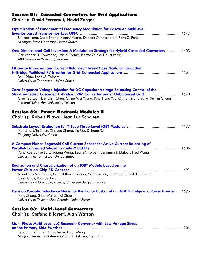### Session 81: Cascaded Converters for Grid Applications

Chair(s): David Perreault, Navid Zargari

| <b>Optimization of Fundamental Frequency Modulation for Cascaded Multilevel</b><br>Shuitao Yang, Shao Zhang, Xiaorui Wang, Deepak Gunasekaran, Fang Z. Peng<br>Michigan State University, United States                                                                                                 |  |
|---------------------------------------------------------------------------------------------------------------------------------------------------------------------------------------------------------------------------------------------------------------------------------------------------------|--|
| One Dimensional Cell Inversion: A Modulation Strategy for Hybrid Cascaded Converters  4653<br>Christopher D. Townsend, Daniel Tormo, Hector Zelaya De La Parra<br>ABB Corporate Research, Sweden                                                                                                        |  |
| <b>Efficiency Improved and Current Balanced Three-Phase Modular Cascaded</b><br>Bailu Xiao, Leon M. Tolbert<br>University of Tennessee, United States                                                                                                                                                   |  |
| Zero-Sequence Voltage Injection for DC Capacitor Voltage Balancing Control of the<br>Star-Connected Cascaded H-Bridge PWM Converter under Unbalanced Grid  4670<br>Chia-Tse Lee, Hsin-Chih Chen, Ching-Wei Wang, Ping-Heng Wu, Ching-Hsiang Yang, Po-Tai Cheng<br>National Tsing Hua University, Taiwan |  |
| <b>Session 82: Power Electronic Modules II</b><br>Chair(s): Robert Pilawa, Jean Luc Schanen                                                                                                                                                                                                             |  |
| Nan Zhu, Min Chen, Xingyao Zhang, Jie Ma, Dehong Xu<br>Zhejiang University, China                                                                                                                                                                                                                       |  |
| A Compact Planar Rogowski Coil Current Sensor for Active Current Balancing of<br>Yang Xue, Junjie Lu, Zhiqiang Wang, Leon M. Tolbert, Benjamin J. Blalock, Fred Wang<br>University of Tennessee, United States                                                                                          |  |
| Realization and Characterization of an IGBT Module based on the<br>Jean-Louis Marchesini, Pierre-Olivier Jeannin, Yvan Avenas, Leonardo Ruffeil de Oliveira,<br>Cyril Buttay, Raphaël Riva<br>Universite de Grenoble, France; Université de Lyon, France                                                |  |
| Develop Parasitic Inductance Model for the Planar Busbar of an IGBT H Bridge in a Power Inverter  4696<br>Ning Zhang, Shuo Wang, Hui Zhao<br>University of Texas at San Antonio, United States                                                                                                          |  |
| <b>Session 83: Multi-Level Converters</b><br>Chair(s): Stefano Bifaretti, Alan Watson                                                                                                                                                                                                                   |  |
| Multi-Phase Multi-Level LLC Resonant Converter with Low Voltage Stress                                                                                                                                                                                                                                  |  |

Feng Jin, Fuxin Liu, Xinbo Ruan, Xiaoli Meng *Nanjing University of Aeronautics and Astronautics, China*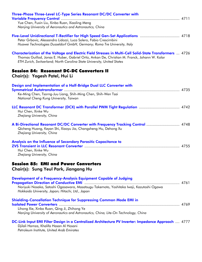| Three-Phase Three-Level LC-Type Series Resonant DC/DC Converter with                                                                                                                                      |
|-----------------------------------------------------------------------------------------------------------------------------------------------------------------------------------------------------------|
| Yue Chen, Fuxin Liu, Xinbo Ruan, Xiaoling Meng                                                                                                                                                            |
| Nanjing University of Aeronautics and Astronautics, China                                                                                                                                                 |
|                                                                                                                                                                                                           |
|                                                                                                                                                                                                           |
| Petar Grbovic, Alessandro Lidozzi, Luca Solero, Fabio Crescimbini                                                                                                                                         |
| Huawei Technologies Dusseldorf GmbH, Germany; Roma Tre University, Italy                                                                                                                                  |
|                                                                                                                                                                                                           |
| Characterization of the Voltage and Electric Field Stresses in Multi-Cell Solid-State Transformers  4726<br>Thomas Guillod, Jonas E. Huber, Gabriel Ortiz, Ankan De, Christian M. Franck, Johann W. Kolar |
| ETH Zurich, Switzerland; North Carolina State University, United States                                                                                                                                   |
|                                                                                                                                                                                                           |
| <b>Session 84: Resonant DC-DC Converters II</b>                                                                                                                                                           |
| Chair(s): Yogesh Patel, Hui Li                                                                                                                                                                            |
|                                                                                                                                                                                                           |
| Design and Implementation of a Half-Bridge Dual LLC Converter with                                                                                                                                        |
|                                                                                                                                                                                                           |
| Ke-Ming Chen, Tsorng-Juu Liang, Shih-Ming Chen, Shih-Wen Tsai<br>National Cheng Kung University, Taiwan                                                                                                   |
|                                                                                                                                                                                                           |
|                                                                                                                                                                                                           |
| Hui Chen, Xinke Wu                                                                                                                                                                                        |
| Zhejiang University, China                                                                                                                                                                                |
|                                                                                                                                                                                                           |
| A Bi-Directional Resonant DC/DC Converter with Frequency Tracking Control  4748                                                                                                                           |
| Qicheng Huang, Keyan Shi, Xiaoyu Jia, Changsheng Hu, Dehong Xu<br>Zhejiang University, China                                                                                                              |
|                                                                                                                                                                                                           |
| Analysis on the Influence of Secondary Parasitic Capacitance to                                                                                                                                           |
|                                                                                                                                                                                                           |
| Hui Chen, Xinke Wu                                                                                                                                                                                        |
| Zhejiang University, China                                                                                                                                                                                |
|                                                                                                                                                                                                           |
| <b>Session 85: EMI and Power Converters</b>                                                                                                                                                               |
| Chair(s): Sung Yeul Park, Jiangang Hu                                                                                                                                                                     |
|                                                                                                                                                                                                           |
| Development of a Frequency-Analysis Equipment Capable of Judging                                                                                                                                          |
| Noriyuki Nosaka, Satoshi Ogasawara, Masatsugu Takemoto, Yoshitaka Iwaji, Kazutoshi Ogawa                                                                                                                  |
| Hokkaido University, Japan; Hitachi, Ltd., Japan                                                                                                                                                          |
|                                                                                                                                                                                                           |
| Shielding-Cancellation Technique for Suppressing Common Mode EMI in                                                                                                                                       |
|                                                                                                                                                                                                           |
| Lihong Xie, Xinbo Ruan, Qing Ji, Zhihong Ye                                                                                                                                                               |
| Nanjing University of Aeronautics and Astronautics, China; Lite-On Technology, China                                                                                                                      |
| DC-Link Input EMI Filter Design in a Centralized Architecture PV Inverter: Impedance Approach  4777                                                                                                       |
| Djilali Hamza, Khalifa Hasan Al Hosani                                                                                                                                                                    |
| Petroleum Institute, United Arab Emirates                                                                                                                                                                 |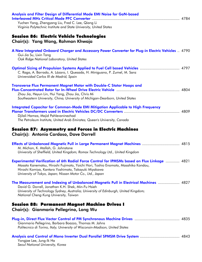| Analysis and Filter Design of Differential Mode EMI Noise for GaN-based                                                                                                                                                                                                                                       |  |
|---------------------------------------------------------------------------------------------------------------------------------------------------------------------------------------------------------------------------------------------------------------------------------------------------------------|--|
| Yuchen Yang, Zhengyang Liu, Fred C. Lee, Qiang Li<br>Virginia Polytechnic Institute and State University, United States                                                                                                                                                                                       |  |
| Session 86: Electric Vehicle Technologies<br>Chair(s): Yang Wang, Rahman Khwaja                                                                                                                                                                                                                               |  |
| A New Integrated Onboard Charger and Accessory Power Converter for Plug-in Electric Vehicles  4790<br>Gui-Jia Su, Lixin Tang<br>Oak Ridge National Laboratory, United States                                                                                                                                  |  |
| <b>Optimal Sizing of Propulsion Systems Applied to Fuel Cell based Vehicles  4797</b><br>C. Raga, A. Barrado, A. Lázaro, I. Quesada, H. Miniguano, P. Zumel, M. Sanz<br>Universidad Carlos III de Madrid, Spain                                                                                               |  |
| <b>Transverse Flux Permanent Magnet Motor with Double-C Stator Hoops and</b><br>Zhou Jia, Heyun Lin, Hui Yang, Zhou Jia, Chris Mi<br>Southeastern University, China; University of Michigan-Dearborn, United States                                                                                           |  |
| <b>Integrated Capacitor for Common-Mode EMI Mitigation Applicable to High Frequency</b><br>Djilali Hamza, Majid Pahlevaninezhad<br>The Petroleum Institute, United Arab Emirates; Queen's University, Canada                                                                                                  |  |
| Session 87: Asymmetry and Forces in Electric Machines<br>Chair(s): Antonio Cardoso, Dave Dorrell                                                                                                                                                                                                              |  |
| Effects of Unbalanced Magnetic Pull in Large Permanent Magnet Machines  4815<br>M. Michon, K. Atallah, G. Johnstone<br>University of Sheffield, United Kingdom; Romax Technology Ltd., United Kingdom                                                                                                         |  |
| <b>Experimental Verification of 6th Radial Force Control for IPMSMs based on Flux Linkage </b> 4821<br>Masato Kanematsu, Hiroshi Fujimoto, Yoichi Hori, Toshio Enomoto, Masahiko Kondou,<br>Hiroshi Komiya, Kantaro Yoshimoto, Takayuki Miyakawa<br>University of Tokyo, Japan; Nissan Motor Co., Ltd., Japan |  |
| The Measurement and Indexing of Unbalanced Magnetic Pull in Electrical Machines  4827<br>David G. Dorrell, Jonathan K.H. Shek, Min-Fu Hsieh<br>University of Technology Sydney, Australia; University of Edinburgh, United Kingdom;<br>National Cheng Kung University, Taiwan                                 |  |
| Session 88: Permanent Magnet Machine Drives I<br>Chair(s): Gianmario Pellegrino, Long Wu                                                                                                                                                                                                                      |  |
| Gianmario Pellegrino, Barbara Boazzo, Thomas M. Jahns<br>Politecnico di Torino, Italy; University of Wisconsin-Madison, United States                                                                                                                                                                         |  |
| Yongjae Lee, Jung-Ik Ha<br>Seoul National University, Korea                                                                                                                                                                                                                                                   |  |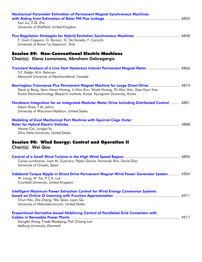| <b>Mechanical Parameter Estimation of Permanent Magnet Synchronous Machines</b>                                                                                                                                                                        |  |
|--------------------------------------------------------------------------------------------------------------------------------------------------------------------------------------------------------------------------------------------------------|--|
| Kan Liu, Z.Q. Zhu<br>University of Sheffield, United Kingdom                                                                                                                                                                                           |  |
| F. Giulii Capponi, G. Borocci, G. De Donato, F. Caricchi<br>University of Roma "La Sapienza", Italy                                                                                                                                                    |  |
| <b>Session 89: Non-Conventional Electric Machines</b><br>Chair(s): Elena Lomonova, Abraham Gebregergis                                                                                                                                                 |  |
| Transient Analysis of a Line Start Hysteresis Interior Permanent Magnet Motor  4866<br>S.F. Rabbi, M.A. Rahman<br>Memorial University of Newfoundland, Canada                                                                                          |  |
| Bearingless Transverse Flux Permanent Magnet Machine for Large Direct-Drive  4874<br>Deok-je Bang, Seon-Hwan Hwang, Ji-Won Kim, Wook Hwang, Pil-Wan Han, Dae-Hyun Koo<br>Korea Electrotechnology Research Institute, Korea, Kyungnam University, Korea |  |
| Hardware Integration for an Integrated Modular Motor Drive Including Distributed Control  4881<br>Adam Shea, T.M. Jahns<br>University of Wisconsin-Madison, United States                                                                              |  |
| Modeling of Dual Mechanical Port Machine with Squirrel-Cage Outer<br>Haiwei Cai, Longya Xu<br>Ohio State University, United States                                                                                                                     |  |
| <b>Session 90: Wind Energy: Control and Operation II</b><br>Chair(s): Wei Qao                                                                                                                                                                          |  |
| Carlos Lumbreras, Juan M. Guerrero, Pablo García, Fernando Briz, David Díaz<br>University of Oviedo, Spain                                                                                                                                             |  |
| Sideband Torque Ripple in Direct Drive Permanent Magnet Wind Power Generator System  4904<br>W. Liang, W. Fei, P.C.K. Luk<br>Cranfield University, United Kingdom                                                                                      |  |
| <b>Intelligent Maximum Power Extraction Control for Wind Energy Conversion Systems</b><br>Chun Wei, Zhe Zhang, Wei Qiao, Liyan Qu<br>University of Nebraska-Lincoln, United States                                                                     |  |
| Proportional Derivative based Stabilizing Control of Paralleled Grid Converters with<br>Xiongfei Wang, Frede Blaabjerg, Poh Chiang Loh<br>Aalborg University, Denmark                                                                                  |  |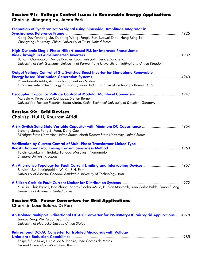#### Session 91: Voltage Control Issues in Renewable Energy Applications Chair(s): Jiangang Hu, Jaedo Park

| Estimation of Synchronization Signal using Sinusoidal Amplitude Integrator in                                                                                                                                                                       |  |
|-----------------------------------------------------------------------------------------------------------------------------------------------------------------------------------------------------------------------------------------------------|--|
| Xiong Du, Yandong Liu, Guoning Wang, Pengju Sun, Luowei Zhou, Heng-Ming Tai<br>Chongqing University, China; University of Tulsa, United States                                                                                                      |  |
| High-Dynamic Single-Phase Hilbert-based PLL for Improved Phase-Jump<br>Buticchi Giampaolo, Davide Barater, Luca Tarisciotti, Pericle Zanchetta<br>University of Kiel, Germany; University of Parma, Italy; University of Nottingham, United Kingdom |  |
| Output Voltage Control of 3- $\varphi$ Switched Boost Inverter for Standalone Renewable<br>Ravindranath Adda, Avinash Joshi, Santanu Mishra<br>Indian Institute of Technology Guwahati, India; Indian Institute of Technology Kanpur, India         |  |
| Marcelo A. Perez, Jose Rodriguez, Steffen Bernet<br>Universidad Tecnica Federico Santa Maria, Chile; Technical University of Dresden, Germany                                                                                                       |  |
| <b>Session 92: Grid Devices</b><br>Chair(s): Hui Li, Khurram Afridi                                                                                                                                                                                 |  |
| A Six-Switch Solid State Variable Capacitor with Minimum DC Capacitance  4954<br>Sisheng Liang, Fang Z. Peng, Dong Cao<br>Michigan State University, United States; North Dakota State University, United States                                    |  |
| Verification by Current Control of Multi-Phase Transformer-Linked Type<br>Taichi Kawakami, Hirotaka Tanada, Masayoshi Yamamoto<br>Shimane University, Japan                                                                                         |  |
| An Alternative Topology for Fault Current Limiting and Interrupting Devices  4967<br>R. Alaei, S.A. Khajehoddin, W. Xu, S.H. Fathi<br>University of Alberta, Canada; Amirkabir University of Technology, Iran                                       |  |
| Yusi Liu, Chris Farnell, Hao Zhang, Andrés Escobar-Mejía, H. Alan Mantooth, Juan Carlos Balda, Simon S. Ang<br>University of Arkansas, United States                                                                                                |  |
| <b>Session 93: Power Converters for Grid Applications</b><br>Chair(s): Luca Solero, Di Pan                                                                                                                                                          |  |
| An Isolated Multiport Bidirectional DC-DC Converter for PV-Battery-DC Microgrid Applications  4978<br>Jianwu Zeng, Wei Qiao, Liyan Qu<br>University of Nebraska-Lincoln, United States                                                              |  |
| <b>Bidirectional DC-AC Converter for Isolated Microgrids with Voltage</b><br>Felipe S.F. e Silva, Luiz A. de S. Ribeiro, José Gomes de Matos                                                                                                        |  |

*Federal University of Maranhao, Brazil*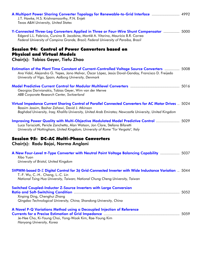| A Multiport Power Sharing Converter Topology for Renewable-to-Grid Interface  4992<br>J.T. Hawke, H.S. Krishnamoorthy, P.N. Enjeti<br>Texas A&M University, United States                                                                                            |  |
|----------------------------------------------------------------------------------------------------------------------------------------------------------------------------------------------------------------------------------------------------------------------|--|
| Y-Connected Three-Leg Converters Applied in Three or Four-Wire Shunt Compensator  5000<br>Edgard L.L. Fabricio, Cursino B. Jacobina, Montiê A. Vitorino, Maurício B.R. Correa<br>Federal University of Campina Grande, Brazil; Federal University of Paraiba, Brazil |  |
| <b>Session 94: Control of Power Converters based on</b><br><b>Physical and Virtual Models</b><br>Chair(s): Tobias Geyer, Tiefu Zhao                                                                                                                                  |  |
|                                                                                                                                                                                                                                                                      |  |
| Estimation of the Plant Time Constant of Current-Controlled Voltage Source Converters  5008<br>Ana Vidal, Alejandro G. Yepes, Jano Malvar, Óscar López, Jesús Doval-Gandoy, Francisco D. Freijedo<br>University of Vigo, Spain; Aalborg University, Denmark          |  |
| Georgios Darivianakis, Tobias Geyer, Wim van der Merwe<br>ABB Corporate Research Center, Switzerland                                                                                                                                                                 |  |
| Virtual Impedance Current Sharing Control of Parallel Connected Converters for AC Motor Drives  5024<br>Bassim Jassim, Bashar Zahawi, David J. Atkinson<br>Baghdad University, Iraq; Khalifa University, United Arab Emirates; Newcastle University, United Kingdom  |  |
| Improving Power Quality with Multi-Objective Modulated Model Predictive Control  5029<br>Luca Tarisciotti, Pericle Zanchetta, Alan Watson, Jon Clare, Stefano Bifaretti<br>University of Nottingham, United Kingdom; University of Rome "Tor Vergata", Italy         |  |
| <b>Session 95: DC-AC Multi-Phase Converters</b><br>Chair(s): Radu Bojoi, Norma Anglani                                                                                                                                                                               |  |
| A New Four-Level $\pi$ -Type Converter with Neutral Point Voltage Balancing Capability  5037<br>Xibo Yuan<br>University of Bristol, United Kingdom                                                                                                                   |  |
| SVPWM-based D- $\Sigma$ Digital Control for 3 $\phi$ Grid-Connected Inverter with Wide Inductance Variation  5044<br>T.-F. Wu, C.-H Chang, L.-C. Lin<br>National Tsing Hua University, Taiwan; National Chung Cheng University, Taiwan                               |  |
| <b>Switched Coupled-Inductor Z-Source Inverters with Large Conversion</b><br>Xinping Ding, Chenghui Zhang<br>Qingdao Technological University, China; Shandong University, China                                                                                     |  |
| A Novel P-Q Variations Method using a Decoupled Injection of Reference<br>Je-Hee Cho, Ki-Young Choi, Yong-Wook Kim, Rae-Young Kim<br>Hanyang University, Korea                                                                                                       |  |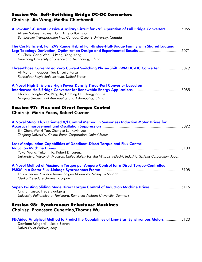## Session 96: Soft-Switching Bridge DC-DC Converters

Chair(s): Jin Wang, Madhu Chinthavali

| A Low-RMS-Current Passive Auxiliary Circuit for ZVS Operation of Full Bridge Converters  5065<br>Alireza Safaee, Praveen Jain, Alireza Bakhshai<br>Bombardier Transportation Inc., Canada; Queen's University, Canada                                                         |  |
|-------------------------------------------------------------------------------------------------------------------------------------------------------------------------------------------------------------------------------------------------------------------------------|--|
| The Cost-Efficient, Full ZVS Range Hybrid Full-Bridge-Half-Bridge Family with Shared Lagging<br>Leg: Topology Derivation, Optimization Design and Experimental Results  5071<br>Yu Chen, Gang Wen, Li Peng, Yong Kang<br>Huazhong University of Science and Technology, China |  |
| Three-Phase Current-Fed Zero Current Switching Phase-Shift PWM DC-DC Converter  5079<br>Ali Mohammadpour, Tao Li, Leila Parsa<br>Rensselaer Polytechnic Institute, United States                                                                                              |  |
| A Novel High Efficiency High Power Density Three-Port Converter based on<br>Lili Zhu, Hongfei Wu, Peng Xu, Haibing Hu, Hongjuan Ge<br>Nanjing University of Aeronautics and Astronautics, China                                                                               |  |
| <b>Session 97: Flux and Direct Torque Control</b><br>Chair(s): Mario Pacas, Robert Cuzner                                                                                                                                                                                     |  |
| A Novel Stator Flux Oriented V/f Control Method in Sensorless Induction Motor Drives for<br>Bin Chen, Wenxi Yao, Zhengyu Lu, Kevin Lee<br>Zhejiang University, China; Eaton Corporation, United States                                                                        |  |
| Loss Manipulation Capabilities of Deadbeat-Direct Torque and Flux Control<br>Yukai Wang, Takumi Ito, Robert D. Lorenz<br>University of Wisconsin-Madison, United States; Toshiba Mitsubishi-Electric Industrial Systems Corporation, Japan                                    |  |
| A Novel Method of Maximum Torque per Ampere Control for a Direct Torque-Controlled<br>Tatsuki Inoue, Yukinori Inoue, Shigeo Morimoto, Masayuki Sanada<br>Osaka Prefecture University, Japan                                                                                   |  |
| Super-Twisting Sliding Mode Direct Torque Control of Induction Machine Drives  5116<br>Cristian Lascu, Frede Blaabjerg<br>University Politehnica of Timisoara, Romania; Aalborg University, Denmark                                                                           |  |
| <b>Session 98: Synchronous Reluctance Machines</b><br>Chair(s): Francesco Cupertino, Thomas Wu                                                                                                                                                                                |  |

FE-Aided Analytical Method to Predict the Capabilities of Line-Start Synchronous Motors ............. 5123 Damiano Mingardi, Nicola Bianchi *University of Padova, Italy*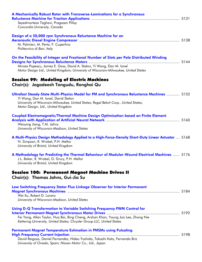| A Mechanically Robust Rotor with Transverse-Laminations for a Synchronous<br>Seyedmorteza Taghavi, Pragasen Pillay<br>Concordia University, Canada                                                                                                               |  |
|------------------------------------------------------------------------------------------------------------------------------------------------------------------------------------------------------------------------------------------------------------------|--|
| Design of a 50,000 rpm Synchronous Reluctance Machine for an<br>Aeronautic Diesel Engine Compressor manufacture and the manufacture of 138<br>M. Palmieri, M. Perta, F. Cupertino<br>Politecnico di Bari, Italy                                                  |  |
| On the Feasibility of Integer and Fractional Number of Slots per Pole Distributed Winding<br>Mircea Popescu, James E. Goss, David A. Staton, Yi Wang, Dan M. Ionel<br>Motor Design Ltd., United Kingdom; University of Wisconsin-Milwaukee, United States        |  |
| <b>Session 99: Modeling of Electric Machines</b><br>Chair(s): Jagadeesh Tangudu, Ronghai Qu                                                                                                                                                                      |  |
| Ultrafast Steady-State Multi-Physics Model for PM and Synchronous Reluctance Machines  5152<br>Yi Wang, Dan M. Ionel, David Staton<br>University of Wisconsin-Milwaukee, United States; Regal Beloit Corp., United States;<br>Motor Design, Ltd., United Kingdom |  |
| Coupled Electromagnetic/Thermal Machine Design Optimization based on Finite Element<br>Wenying Jiang, T.M. Jahns<br>University of Wisconsin-Madison, United States                                                                                               |  |
| A Multi-Physics Design Methodology Applied to a High-Force-Density Short-Duty Linear Actuator  5168<br>N. Simpson, R. Wrobel, P.H. Mellor<br>University of Bristol, United Kingdom                                                                               |  |
| A Methodology for Predicting the Thermal Behaviour of Modular-Wound Electrical Machines  5176<br>J.L. Baker, R. Wrobel, D. Drury, P.H. Mellor<br>University of Bristol, United Kingdom                                                                           |  |
| Session 100: Permanent Magnet Machine Drives II<br>Chair(s): Thomas Jahns, Gui-Jia Su                                                                                                                                                                            |  |
| Low Switching Frequency Stator Flux Linkage Observer for Interior Permanent<br>Wei Xu, Robert D. Lorenz<br>University of Wisconsin-Madison, United States                                                                                                        |  |
| Using D-Q Transformation to Variable Switching Frequency PWM Control for<br>Fei Yang, Allan Taylor, Hua Bai, Bing Cheng, Arshan Khan, Young Joo Lee, Zhong Nie<br>Kettering University, United States; Chrysler Group LLC, United States                         |  |
| <b>Permanent Magnet Temperature Estimation in PMSMs using Pulsating</b><br>David Reigosa, Daniel Fernandez, Hideo Yoshida, Takashi Kato, Fernando Briz<br>University of Oviedo, Spain; Nissan Motor Co., Ltd., Japan                                             |  |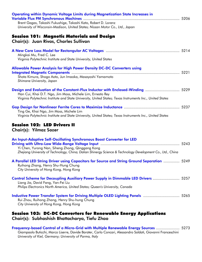| <b>Operating within Dynamic Voltage Limits during Magnetization State Increases in</b><br>Brent Gagas, Takashi Fukushige, Takashi Kato, Robert D. Lorenz<br>University of Wisconsin-Madison, United States; Nissan Motor Co., Ltd., Japan                  |  |
|------------------------------------------------------------------------------------------------------------------------------------------------------------------------------------------------------------------------------------------------------------|--|
| <b>Session 101: Magnetic Materials and Design</b><br>Chair(s): Juan Rivas, Charles Sullivan                                                                                                                                                                |  |
| Mingkai Mu, Fred C. Lee<br>Virginia Polytechnic Institute and State University, United States                                                                                                                                                              |  |
| <b>Allowable Power Analysis for High Power Density DC-DC Converters using</b><br>Shota Kimura, Shogo Aoto, Jun Imaoka, Masayoshi Yamamoto<br>Shimane University, Japan                                                                                     |  |
| Design and Evaluation of the Constant-Flux Inductor with Enclosed-Winding  5229<br>Han Cui, Khai D.T. Ngo, Jim Moss, Michele Lim, Ernesto Rey<br>Virginia Polytechnic Institute and State University, United States; Texas Instruments Inc., United States |  |
| Ting Ge, Khai Ngo, Jim Moss, Michele Lim<br>Virginia Polytechnic Institute and State University, United States; Texas Instruments Inc., United States                                                                                                      |  |
| <b>Session 102: LED Drivers II</b><br>Chair(s): Yilmaz Sozer                                                                                                                                                                                               |  |
| An Input-Adaptive Self-Oscillating Synchronous Boost Converter for LED<br>Yi Chen, Yurong Nan, Siheng Zhong, Qinggang Kong<br>Zhejiang University of Technology, China; Dalian Shinergy Science & Technology Development Co., Ltd., China                  |  |
| A Parallel LED String Driver using Capacitors for Source and String Ground Separation  5249<br>Ruihong Zhang, Henry Shu-Hung Chung<br>City University of Hong Kong, Hong Kong                                                                              |  |
| Control Scheme for Decoupling Auxiliary Power Supply in Dimmable LED Drivers  5257<br>Liang Jia, David Fang, Yan-Fei Liu<br>Philips Electronics North America, United States; Queen's University, Canada                                                   |  |
| Inductive Power Transfer System for Driving Multiple OLED Lighting Panels  5265<br>Rui Zhou, Ruihong Zhang, Henry Shu-hung Chung<br>City University of Hong Kong, Hong Kong                                                                                |  |
| Session 103: DC-DC Converters for Renewable Energy Applications<br>Chair(s): Subhashish Bhattacharya, Tiefu Zhao                                                                                                                                           |  |

Frequency-based Control of a Micro-Grid with Multiple Renewable Energy Sources ...................... 5273 Giampaolo Buticchi, Marco Liserre, Davide Barater, Carlo Concari, Alessandro Soldati, Giovanni Franceschini *University of Kiel, Germany; University of Parma, Italy*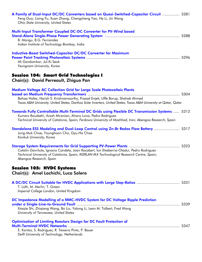| A Family of Dual-Input DC/DC Converters based on Quasi-Switched-Capacitor Circuit  5281<br>Feng Guo, Lixing Fu, Xuan Zhang, Chengcheng Yao, He Li, Jin Wang<br>Ohio State University, United States                                                                                 |  |
|-------------------------------------------------------------------------------------------------------------------------------------------------------------------------------------------------------------------------------------------------------------------------------------|--|
| Multi-Input Transformer Coupled DC-DC Converter for PV-Wind based<br>B. Mangu, B.G. Fernandes<br>Indian Institute of Technology Bombay, India                                                                                                                                       |  |
| <b>Inductive-Boost Switched-Capacitor DC/DC Converter for Maximum</b><br>Ali Gandomkar, Jul-Ki Seok<br>Yeungnam University, Korea                                                                                                                                                   |  |
| <b>Session 104: Smart Grid Technologies I</b><br>Chair(s): David Perreault, Zhiguo Pan                                                                                                                                                                                              |  |
| <b>Medium Voltage AC Collection Grid for Large Scale Photovoltaic Plants</b><br>Bahaa Hafez, Harish S. Krishnamoorthy, Prasad Enjeti, Uffe Borup, Shehab Ahmed<br>Texas A&M University, United States; Danfoss Solar Inverters, United States; Texas A&M University at Qatar, Qatar |  |
| Towards Fully Controllable Multi-Terminal DC Grids using Flexible DC Transmission Systems  5312<br>Kumars Rouzbehi, Arash Miranian, Alvaro Luna, Pedro Rodriguez<br>Technical University of Catalonia, Spain; Ferdowsi University of Mashhad, Iran; Abengoa Research, Spain         |  |
| Standalone ESS Modeling and Dual-Loop Control using Zn-Br Redox Flow Battery  5317<br>Jung-Muk Choe, Younghoon Cho, Gyu-Ha Choe<br>Konkuk University, Korea                                                                                                                         |  |
| Catalin Gavriluta, Ignacio Candela, Joan Rocabert, Ion Etxeberria-Otadui, Pedro Rodriguez<br>Technical University of Catalonia, Spain; IKERLAN-IK4 Technological Research Centre, Spain;<br>Abengoa Research, Spain                                                                 |  |
| <b>Session 105: HVDC Systems</b><br>Chair(s): Amel Lachichi, Luca Solero                                                                                                                                                                                                            |  |
| T. Lüth, M. Merlin, T. Green<br>Imperial College London, United Kingdom                                                                                                                                                                                                             |  |
| DC Impedance Modelling of a MMC-HVDC System for DC Voltage Ripple Prediction<br>Xiaojie Shi, Zhiqiang Wang, Bo Liu, Yalong Li, Leon M. Tolbert, Fred Wang<br>University of Tennessee, United States                                                                                 |  |
| <b>Optimization of Limiting Reactors Design for DC Fault Protection of</b><br>E. Kontos, S. Rodrigues, R. Teixeira Pinto, P. Bauer<br>Delft University of Technology, Netherlands                                                                                                   |  |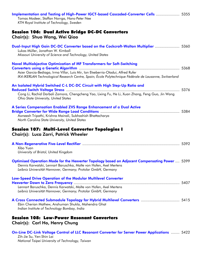| Implementation and Testing of High-Power IGCT-based Cascaded-Converter Cells  5355<br>Tomas Modeer, Staffan Norrga, Hans-Peter Nee<br>KTH Royal Institute of Technology, Sweden                                                                                               |  |
|-------------------------------------------------------------------------------------------------------------------------------------------------------------------------------------------------------------------------------------------------------------------------------|--|
| <b>Session 106: Dual Active Bridge DC-DC Converters</b><br>Chair(s): Shuo Wang, Wei Qiao                                                                                                                                                                                      |  |
| Dual-Input High Gain DC-DC Converter based on the Cockcroft-Walton Multiplier  5360<br>Lukas Müller, Jonathan W. Kimball<br>Missouri University of Science and Technology, United States                                                                                      |  |
| <b>Novel Multiobjective Optimization of MF Transformers for Soft-Switching</b><br>Asier Garcia-Bediaga, Irma Villar, Luis Mir, Ion Etxeberria-Otadui, Alfred Rufer<br>IK4-IKERLAN Technological Research Centre, Spain; École Polytechnique Fédérale de Lausanne, Switzerland |  |
| An Isolated Hybrid Switched C-L DC-DC Circuit with High Step-Up Ratio and<br>Cong Li, Rachid Darbali Zamora, Chengcheng Yao, Lixing Fu, He Li, Xuan Zhang, Feng Guo, Jin Wang<br>Ohio State University, United States                                                         |  |
| A Series Compensation Enabled ZVS Range Enhancement of a Dual Active                                                                                                                                                                                                          |  |
| Awneesh Tripathi, Krishna Mainali, Subhashish Bhattacharya<br>North Carolina State University, United States                                                                                                                                                                  |  |
| Session 107: Multi-Level Converter Topologies I<br>Chair(s): Luca Zarri, Patrick Wheeler                                                                                                                                                                                      |  |
| Xibo Yuan<br>University of Bristol, United Kingdom                                                                                                                                                                                                                            |  |
| Optimised Operation Mode for the Hexverter Topology based on Adjacent Compensating Power  5399<br>Dennis Karwatzki, Lennart Baruschka, Malte von Hofen, Axel Mertens<br>Leibniz Universität Hannover, Germany; Protolar GmbH, Germany                                         |  |
| Low-Speed Drive Operation of the Modular Multilevel Converter<br>Lennart Baruschka, Dennis Karwatzki, Malte von Hofen, Axel Mertens<br>Leibniz Universität Hannover, Germany; Protolar GmbH, Germany                                                                          |  |
| Ebin Cherian Mathew, Anshuman Shukla, Mahendra Ghat<br>Indian Institute of Technology Bombay, India                                                                                                                                                                           |  |
| <b>Session 108: Low-Power Resonant Converters</b><br>Chair(s): Carl Ho, Henry Chung                                                                                                                                                                                           |  |

*National Taipei University of Technology, Taiwan*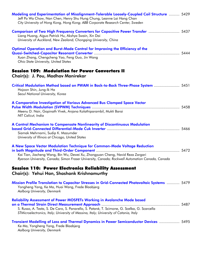| Modeling and Experimentation of Misalignment-Tolerable Loosely-Coupled Coil Structure  5429<br>Jeff Po Wa Chow, Nan Chen, Henry Shu Hung Chung, Leanne Lai Hang Chan<br>City University of Hong Kong, Hong Kong; ABB Corporate Research Center, Sweden                  |  |
|-------------------------------------------------------------------------------------------------------------------------------------------------------------------------------------------------------------------------------------------------------------------------|--|
| Comparison of Two High Frequency Converters for Capacitive Power Transfer  5437<br>Liang Huang, Aiguo Patrick Hu, Akshya Swain, Xin Dai<br>University of Auckland, New Zealand; Chongqing University, China                                                             |  |
| Optimal Operation and Burst-Mode Control for Improving the Efficiency of the<br>Xuan Zhang, Chengcheng Yao, Feng Guo, Jin Wang<br><b>Ohio State University, United States</b>                                                                                           |  |
| <b>Session 109: Modulation for Power Converters II</b><br>Chair(s): J. Pou, Madhav Manirekar                                                                                                                                                                            |  |
| Critical Modulation Method based on PWAM in Back-to-Back Three-Phase System  5451<br>Hojoon Shin, Jung-Ik Ha<br>Seoul National University, Korea                                                                                                                        |  |
| A Comparative Investigation of Various Advanced Bus Clamped Space Vector<br>Meenu D. Nair, Gopinath Vivek, Anjana Kolathiparambil, Mukti Barai<br>NIT Calicut, India                                                                                                    |  |
| A Control Mechanism to Compensate Nonlinearity of Discontinuous Modulation<br>Siamak Mehrnami, Sudip K. Mazumder<br>University of Illinois at Chicago, United States                                                                                                    |  |
| A New Space Vector Modulation Technique for Common-Mode Voltage Reduction<br>Kai Tian, Jiacheng Wang, Bin Wu, Dewei Xu, Zhongyuan Cheng, Navid Reza Zargari<br>Ryerson University, Canada; Simon Fraser University, Canada; Rockwell Automation Canada, Canada          |  |
| <b>Session 110: Power Electronics Reliability Assessment</b><br>Chair(s): Yehui Han, Shashank Krishnamurthy                                                                                                                                                             |  |
| Mission Profile Translation to Capacitor Stresses in Grid-Connected Photovoltaic Systems  5479<br>Yongheng Yang, Ke Ma, Huai Wang, Frede Blaabjerg<br>Aalborg University, Denmark                                                                                       |  |
| <b>Reliability Assessment of Power MOSFETs Working in Avalanche Mode based</b><br>S. Russo, A. Testa, S. De Caro, S. Panarello, S. Patanè, T. Scimone, G. Scelba, G. Scarcella<br>STMicroelectronics, Italy; University of Messina, Italy; University of Catania, Italy |  |
| Transient Modelling of Loss and Thermal Dynamics in Power Semiconductor Devices  5495<br>Ke Ma, Yongheng Yang, Frede Blaabjerg<br>Aalborg University, Denmark                                                                                                           |  |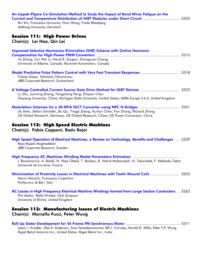| An Icepak-PSpice Co-Simulation Method to Study the Impact of Bond Wires Fatigue on the<br>Current and Temperature Distribution of IGBT Modules under Short-Circuit  5502<br>Rui Wu, Francesco lannuzzo, Huai Wang, Frede Blaabjerg<br>Aalborg University, Denmark |  |
|-------------------------------------------------------------------------------------------------------------------------------------------------------------------------------------------------------------------------------------------------------------------|--|
| <b>Session 111: High Power Drives</b><br>Chair(s): Lei Hao, Qin Lei                                                                                                                                                                                               |  |
| <b>Improved Selective Harmonics Elimination (SHE) Scheme with Online Harmonic</b><br>Ye Zhang, Yun Wei Li, Navid R. Zargari, Zhongyuan Cheng<br>University of Alberta, Canada; Rockwell Automation, Canada                                                        |  |
| Model Predictive Pulse Pattern Control with Very Fast Transient Responses  5518<br>Tobias Geyer, Nikolaos Oikonomou<br>ABB Corporate Research, Switzerland                                                                                                        |  |
| A Voltage Controlled Current Source Gate Drive Method for IGBT Devices  5525<br>Lu Shu, Junming Zhang, Fangzheng Peng, Zhiqian Chen<br>Zhejiang University, China; Michigan State University, United States; IMRA Europe S.A.S, United Kingdom                    |  |
| Jie Shen, Stefan Schröder, Bo Qu, Yingqi Zhang, Kunlun Chen, Fan Zhang, Richard Zhang<br>GE Global Research, Germany; GE Global Research, China; GE Power Conversion, China                                                                                       |  |
| <b>Session 112: High Speed Electric Machines</b><br>Chair(s): Fabio Capponi, Radu Bojoi                                                                                                                                                                           |  |
| High Speed Operation of Electrical Machines, a Review on Technology, Benefits and Challenges  5539<br>Reza Rajabi Moghaddam<br>ABB Corporate Research, Sweden                                                                                                     |  |
| I. Rasoanarivo, A. Baddi, N. Haje Obeid, T. Boileau, B. Nahid-Mobarakeh, N. Takorabet, F. Meibody-Tabar<br>Université de Lorraine, France                                                                                                                         |  |
| Minimization of Proximity Losses in Electrical Machines with Tooth-Wound Coils  5555<br>Mario Vetuschi, Francesco Cupertino<br>Politecnico di Bari, Italy                                                                                                         |  |
| AC Losses in High Frequency Electrical Machine Windings formed from Large Section Conductors  5563<br>Phil Mellor, Rafal Wrobel, Nick Simpson<br>University of Bristol, United Kingdom                                                                            |  |
| <b>Session 113: Manufacturing Issues of Electric Machines</b><br>Chair(s): Marcello Pucci, Peter Wung                                                                                                                                                             |  |
|                                                                                                                                                                                                                                                                   |  |

Jason J. Kreidler, Wes K. Anderson, Sree Venkateswararao, Bill J. Conway, Harold D. Willis, Peter Y.P. Wung *Regal Beloit America Inc., United States; Regal Beloit Inc., India*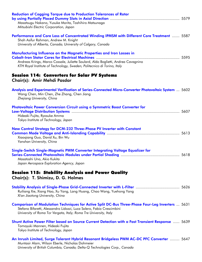| <b>Reduction of Cogging Torque due to Production Tolerances of Rotor</b><br>Masatsugu Nakano, Yusuke Morita, Toshihiro Matsunaga<br>Mitsubishi Electric Corporation, Japan                                                                     |  |
|------------------------------------------------------------------------------------------------------------------------------------------------------------------------------------------------------------------------------------------------|--|
| Performance and Core Loss of Concentrated Winding IPMSM with Different Core Treatment  5587<br>Shah Asifur Rahman, Andrew M. Knight<br>University of Alberta, Canada; University of Calgary, Canada                                            |  |
| <b>Manufacturing Influence on the Magnetic Properties and Iron Losses in</b><br>Andreas Krings, Marco Cossale, Juliette Soulard, Aldo Boglietti, Andrea Cavagnino<br>KTH Royal Institute of Technology, Sweden; Politecnico di Torino, Italy   |  |
| <b>Session 114: Converters for Solar PV Systems</b><br>Chair(s): Amir Mehdi Pasdar                                                                                                                                                             |  |
| Analysis and Experimental Verification of Series-Connected Micro-Converter Photovoltaic System  5602<br>Wang Chen, Min Chen, Zhe Zhang, Chen Jiang<br>Zhejiang University, China                                                               |  |
| Photovoltaic Power Conversion Circuit using a Symmetric Boost Converter for<br>Hideaki Fujita, Ryosuke Amma<br>Tokyo Institute of Technology, Japan                                                                                            |  |
| New Control Strategy for DCM-232 Three-Phase PV Inverter with Constant<br>Xiaoqiang Guo, David Xu, Bin Wu<br>Yanshan University, China                                                                                                         |  |
| Single-Switch Single-Magnetic PWM Converter Integrating Voltage Equalizer for<br>Masatoshi Uno, Akio Kukita<br>Japan Aerospace Exploration Agency, Japan                                                                                       |  |
| <b>Session 115: Stability Analysis and Power Quality</b><br>Chair(s): T. Shimizu, D. G. Holmes                                                                                                                                                 |  |
| Ruiliang Xie, Xiang Hao, Xu Yang, Lang Huang, Chao Wang, Yuehong Yang<br>Xi'an Jiaotong University, China                                                                                                                                      |  |
| Comparison of Modulation Techniques for Active Split DC-Bus Three-Phase Four-Leg Inverters  5631<br>Stefano Bifaretti, Alessandro Lidozzi, Luca Solero, Fabio Crescimbini<br>University of Roma Tor Vergata, Italy; Roma Tre University, Italy |  |
| Shunt Active Power Filter based on Source Current Detection with a Fast Transient Response  5639<br>Tomoyuki Mannen, Hideaki Fujita<br>Tokyo Institute of Technology, Japan                                                                    |  |
| An Inrush Limited, Surge Tolerant Hybrid Resonant Bridgeless PWM AC-DC PFC Converter  5647<br>Muntasir Alam, Wilson Eberle, Nicholas Dohmeier                                                                                                  |  |

*University of British Columbia, Canada; Delta-Q Technologies Corp., Canada*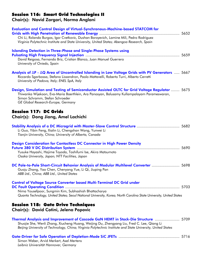## Session 116: Smart Grid Technologies II

Chair(s): Navid Zargari, Norma Anglani

| <b>Evaluation and Control Design of Virtual-Synchronous-Machine-based STATCOM for</b><br>Chi Li, Rolando Burgos, Igor Cvetkovic, Dushan Boroyevich, Lamine Mili, Pedro Rodriguez<br>Virginia Polytechnic Institute and State University, United States; Abengoa Research, Spain                |  |
|------------------------------------------------------------------------------------------------------------------------------------------------------------------------------------------------------------------------------------------------------------------------------------------------|--|
| <b>Islanding Detection in Three-Phase and Single-Phase Systems using</b><br>David Reigosa, Fernando Briz, Cristian Blanco, Juan Manuel Guerrero<br>University of Oviedo, Spain                                                                                                                 |  |
| Analysis of $\Delta P$ - $\Delta Q$ Area of Uncontrolled Islanding in Low Voltage Grids with PV Generators  5667<br>Riccardo Sgarbossa, Stefano Lissandron, Paolo Mattavelli, Roberto Turri, Alberto Cerretti<br>University of Padova, Italy; ENEL SpA, Italy                                  |  |
| Design, Simulation and Testing of Semiconductor Assisted OLTC for Grid Voltage Regulator  5675<br>Thiwanka Wijekoon, Eva-Maria Baerthlein, Ara Panosyan, Balusamy Kullampalayam Parameswaran,<br>Simon Schramm, Stefan Schroeder<br>GE Global Research-Europe, Germany                         |  |
| <b>Session 117: DC Grids</b><br>Chair(s): Dong Jiang, Amel Lachichi                                                                                                                                                                                                                            |  |
| Li Guo, Yibin Feng, Xialin Li, Chengshan Wang, Yunwei Li<br>Tianjin University, China; University of Alberta, Canada                                                                                                                                                                           |  |
| <b>Design Consideration for Contactless DC Connector in High Power Density</b><br>Yusuke Hayashi, Hajime Toyoda, Toshifumi Ise, Akira Matsumoto<br>Osaka University, Japan; NTT Facilities, Japan                                                                                              |  |
| DC Pole-to-Pole Short-Circuit Behavior Analysis of Modular Multilevel Converter  5698<br>Guoju Zhang, Yao Chen, Chenyang Yue, Li Qi, Jiuping Pan<br>ABB Ltd., China; ABB Ltd., United States                                                                                                   |  |
| <b>Control of Voltage Source Converter based Multi-Terminal DC Grid under</b><br>Nima Yousefpoor, Sungmin Kim, Subhashish Bhattacharya<br>Quanta Technology, United States; Seoul National University, Korea; North Carolina State University, United States                                   |  |
| <b>Session 118: Gate Drive Techniques</b><br>Chair(s): David Cotini, Jelena Popovic                                                                                                                                                                                                            |  |
| Thermal Analysis and Improvement of Cascode GaN HEMT in Stack-Die Structure  5709<br>Shuojie She, Wenli Zhang, Xiucheng Huang, Weijing Du, Zhengyang Liu, Fred C. Lee, Qiang Li<br>Beijing University of Technology, China; Virginia Polytechnic Institute and State University, United States |  |
|                                                                                                                                                                                                                                                                                                |  |

Simon Weber, Arvid Merkert, Axel Mertens *Leibniz Universität Hannover, Germany*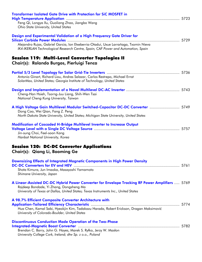| <b>Transformer Isolated Gate Drive with Protection for SiC MOSFET in</b>                                                                 |  |
|------------------------------------------------------------------------------------------------------------------------------------------|--|
| Feng Qi, Longya Xu, Guoliang Zhao, Jiangbo Wang                                                                                          |  |
| Ohio State University, United States                                                                                                     |  |
|                                                                                                                                          |  |
| Design and Experimental Validation of a High Frequency Gate Driver for                                                                   |  |
|                                                                                                                                          |  |
| Alejandro Rujas, Gabriel Garcia, Ion Etxeberria-Otadui, Uxue Larrañaga, Txomin Nieva                                                     |  |
| IK4-IKERLAN Technological Research Centre, Spain; CAF Power and Automation, Spain                                                        |  |
|                                                                                                                                          |  |
| Session 119: Multi-Level Converter Topologies II                                                                                         |  |
| Chair(s): Rolando Burgos, Pierluigi Tenca                                                                                                |  |
|                                                                                                                                          |  |
|                                                                                                                                          |  |
| Antonio Ginart, Richard Liou, Andres Salazar, Carlos Restrepo, Michael Ernst                                                             |  |
| SolarMax, United States; Georgia Institute of Technology, United States                                                                  |  |
|                                                                                                                                          |  |
|                                                                                                                                          |  |
| Cheng-Han Hsieh, Tsorng-Juu Liang, Shih-Wen Tsai                                                                                         |  |
| National Cheng Kung University, Taiwan                                                                                                   |  |
|                                                                                                                                          |  |
| A High Voltage Gain Multilevel Modular Switched-Capacitor DC-DC Converter  5749                                                          |  |
| Dong Cao, Wei Qian, Fang Z. Peng                                                                                                         |  |
| North Dakota State University, United States; Michigan State University, United States                                                   |  |
|                                                                                                                                          |  |
| <b>Modification of Cascaded H-Bridge Multilevel Inverter to Increase Output</b>                                                          |  |
|                                                                                                                                          |  |
| Jin-sung Choi, Feel-soon Kang                                                                                                            |  |
| Hanbat National University, Korea                                                                                                        |  |
|                                                                                                                                          |  |
| <b>Session 120: DC-DC Converter Applications</b>                                                                                         |  |
| <b>Chair(s): Qiang Li, Baoming Ge</b>                                                                                                    |  |
|                                                                                                                                          |  |
| Downsizing Effects of Integrated Magnetic Components in High Power Density                                                               |  |
|                                                                                                                                          |  |
| Shota Kimura, Jun Imaoka, Masayoshi Yamamoto                                                                                             |  |
| Shimane University, Japan                                                                                                                |  |
|                                                                                                                                          |  |
| A Linear-Assisted DC-DC Hybrid Power Converter for Envelope Tracking RF Power Amplifiers  5769                                           |  |
| Rajdeep Bondade, Yi Zhang, Dongsheng Ma                                                                                                  |  |
|                                                                                                                                          |  |
|                                                                                                                                          |  |
| University of Texas at Dallas, United States; Texas Instruments Inc., United States                                                      |  |
|                                                                                                                                          |  |
| A 98.7% Efficient Composite Converter Architecture with                                                                                  |  |
|                                                                                                                                          |  |
| Hua Chen, Kamal Sabi, Hyeokjin Kim, Tadakazu Harada, Robert Erickson, Dragan Maksimović<br>University of Colorado-Boulder, United States |  |
|                                                                                                                                          |  |
|                                                                                                                                          |  |
| <b>Discontinuous Conduction Mode Operation of the Two-Phase</b>                                                                          |  |
| Brendan C. Barry, John G. Hayes, Marek S. Ryłko, Jerzy W. Masłon                                                                         |  |
| University College Cork, Ireland; dtw Sp. z o.o., Poland                                                                                 |  |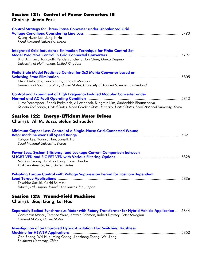## Session 121: Control of Power Converters III

Chair(s): Jaedo Park

| <b>Control Strategy for Three-Phase Converter under Unbalanced Grid</b><br>Kyung-Hwan Lee, Jung-Ik Ha<br>Seoul National University, Korea                                                                                                                                                      |
|------------------------------------------------------------------------------------------------------------------------------------------------------------------------------------------------------------------------------------------------------------------------------------------------|
| Integrated Grid Inductance Estimation Technique for Finite Control Set<br>Bilal Arif, Luca Tarisciotti, Pericle Zanchetta, Jon Clare, Marco Degano<br>University of Nottingham, United Kingdom                                                                                                 |
| Finite State Model Predictive Control for 3x3 Matrix Converter based on<br>Ozan Gulbudak, Enrico Santi, Janosch Marquart<br>University of South Carolina, United States; University of Applied Sciences, Switzerland                                                                           |
| <b>Control and Experiment of High Frequency Isolated Modular Converter under</b><br>Nima Yousefpoor, Babak Parkhideh, Ali Azidehak, Sungmin Kim, Subhashish Bhattacharya<br>Quanta Technology, United States; North Carolina State University, United States; Seoul National University, Korea |
| <b>Session 122: Energy-Efficient Motor Drives</b><br>Chair(s): Ali M. Bazzi, Stefan Schroeder                                                                                                                                                                                                  |
| <b>Minimum Copper Loss Control of a Single-Phase Grid-Connected Wound</b><br>Kahyun Lee, Yongsu Han, Jung-Ik Ha<br>Seoul National University, Korea                                                                                                                                            |
| Power Loss, System Efficiency, and Leakage Current Comparison between<br>Mahesh Swamy, Jun-Koo Kang, Kohei Shirabe<br>Yaskawa America, Inc., United States                                                                                                                                     |
| <b>Pulsating Torque Control with Voltage Suppression Period for Position-Dependent</b><br>Takahiro Suzuki, Yuichi Shimizu<br>Hitachi, Ltd., Japan; Hitachi Appliances, Inc., Japan                                                                                                             |
| <b>Session 123: Wound-Field Machines</b><br>Chair(s): Jiaqi Liang, Lei Hao                                                                                                                                                                                                                     |
| Separately Excited Synchronous Motor with Rotary Transformer for Hybrid Vehicle Application  5844<br>Constantin Stancu, Terence Ward, Khwaja Rahman, Robert Dawsey, Peter Savagian<br><b>General Motors, United States</b>                                                                     |
| <b>Investigation of an Improved Hybrid-Excitation Flux Switching Brushless</b><br>Gan Zhang, Wei Hua, Ming Cheng, Jianzhong Zhang, Wei Jiang<br>Southeast University, China                                                                                                                    |